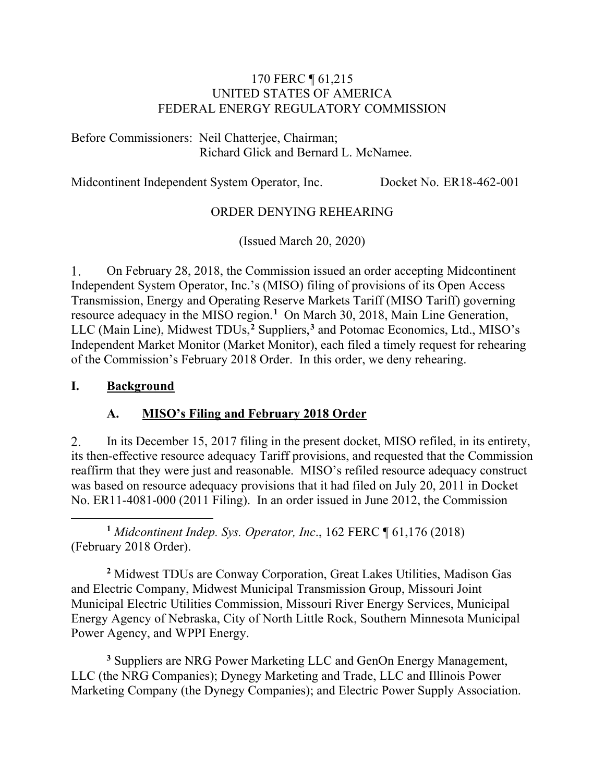#### 170 FERC ¶ 61,215 UNITED STATES OF AMERICA FEDERAL ENERGY REGULATORY COMMISSION

Before Commissioners: Neil Chatterjee, Chairman; Richard Glick and Bernard L. McNamee.

Midcontinent Independent System Operator, Inc. Docket No. ER18-462-001

#### ORDER DENYING REHEARING

(Issued March 20, 2020)

1. On February 28, 2018, the Commission issued an order accepting Midcontinent Independent System Operator, Inc.'s (MISO) filing of provisions of its Open Access Transmission, Energy and Operating Reserve Markets Tariff (MISO Tariff) governing resource adequacy in the MISO region. **[1](#page-0-0)** On March 30, 2018, Main Line Generation, LLC (Main Line), Midwest TDUs,**[2](#page-0-1)** Suppliers,**[3](#page-0-2)** and Potomac Economics, Ltd., MISO's Independent Market Monitor (Market Monitor), each filed a timely request for rehearing of the Commission's February 2018 Order. In this order, we deny rehearing.

#### **I. Background**

#### **A. MISO's Filing and February 2018 Order**

In its December 15, 2017 filing in the present docket, MISO refiled, in its entirety, 2. its then-effective resource adequacy Tariff provisions, and requested that the Commission reaffirm that they were just and reasonable. MISO's refiled resource adequacy construct was based on resource adequacy provisions that it had filed on July 20, 2011 in Docket No. ER11-4081-000 (2011 Filing). In an order issued in June 2012, the Commission

<span id="page-0-0"></span>**<sup>1</sup>** *Midcontinent Indep. Sys. Operator, Inc*., 162 FERC ¶ 61,176 (2018) (February 2018 Order).

<span id="page-0-1"></span>**<sup>2</sup>** Midwest TDUs are Conway Corporation, Great Lakes Utilities, Madison Gas and Electric Company, Midwest Municipal Transmission Group, Missouri Joint Municipal Electric Utilities Commission, Missouri River Energy Services, Municipal Energy Agency of Nebraska, City of North Little Rock, Southern Minnesota Municipal Power Agency, and WPPI Energy.

<span id="page-0-2"></span>**<sup>3</sup>** Suppliers are NRG Power Marketing LLC and GenOn Energy Management, LLC (the NRG Companies); Dynegy Marketing and Trade, LLC and Illinois Power Marketing Company (the Dynegy Companies); and Electric Power Supply Association.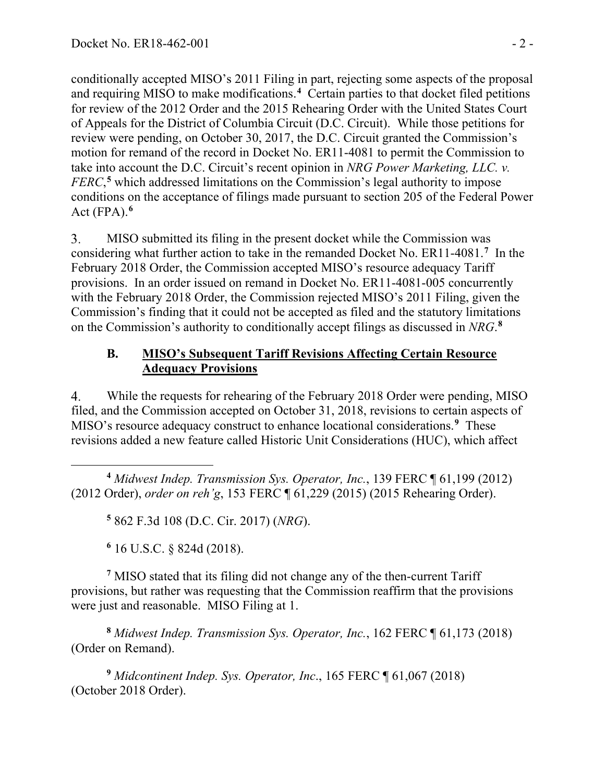conditionally accepted MISO's 2011 Filing in part, rejecting some aspects of the proposal and requiring MISO to make modifications.<sup>[4](#page-1-0)</sup> Certain parties to that docket filed petitions for review of the 2012 Order and the 2015 Rehearing Order with the United States Court of Appeals for the District of Columbia Circuit (D.C. Circuit). While those petitions for review were pending, on October 30, 2017, the D.C. Circuit granted the Commission's motion for remand of the record in Docket No. ER11-4081 to permit the Commission to take into account the D.C. Circuit's recent opinion in *NRG Power Marketing, LLC. v. FERC*, **[5](#page-1-1)** which addressed limitations on the Commission's legal authority to impose conditions on the acceptance of filings made pursuant to section 205 of the Federal Power Act (FPA). **[6](#page-1-2)**

3. MISO submitted its filing in the present docket while the Commission was considering what further action to take in the remanded Docket No. ER11-4081.<sup>[7](#page-1-3)</sup> In the February 2018 Order, the Commission accepted MISO's resource adequacy Tariff provisions. In an order issued on remand in Docket No. ER11-4081-005 concurrently with the February 2018 Order, the Commission rejected MISO's 2011 Filing, given the Commission's finding that it could not be accepted as filed and the statutory limitations on the Commission's authority to conditionally accept filings as discussed in *NRG*. **[8](#page-1-4)**

#### **B. MISO's Subsequent Tariff Revisions Affecting Certain Resource Adequacy Provisions**

4. While the requests for rehearing of the February 2018 Order were pending, MISO filed, and the Commission accepted on October 31, 2018, revisions to certain aspects of MISO's resource adequacy construct to enhance locational considerations.**[9](#page-1-5)** These revisions added a new feature called Historic Unit Considerations (HUC), which affect

<span id="page-1-1"></span><span id="page-1-0"></span>**<sup>4</sup>** *Midwest Indep. Transmission Sys. Operator, Inc.*, 139 FERC ¶ 61,199 (2012) (2012 Order), *order on reh'g*, 153 FERC ¶ 61,229 (2015) (2015 Rehearing Order).

**<sup>5</sup>** 862 F.3d 108 (D.C. Cir. 2017) (*NRG*).

**<sup>6</sup>** 16 U.S.C. § 824d (2018).

<span id="page-1-3"></span><span id="page-1-2"></span>**<sup>7</sup>** MISO stated that its filing did not change any of the then-current Tariff provisions, but rather was requesting that the Commission reaffirm that the provisions were just and reasonable. MISO Filing at 1.

<span id="page-1-4"></span>**<sup>8</sup>** *Midwest Indep. Transmission Sys. Operator, Inc.*, 162 FERC ¶ 61,173 (2018) (Order on Remand).

<span id="page-1-5"></span>**<sup>9</sup>** *Midcontinent Indep. Sys. Operator, Inc*., 165 FERC ¶ 61,067 (2018) (October 2018 Order).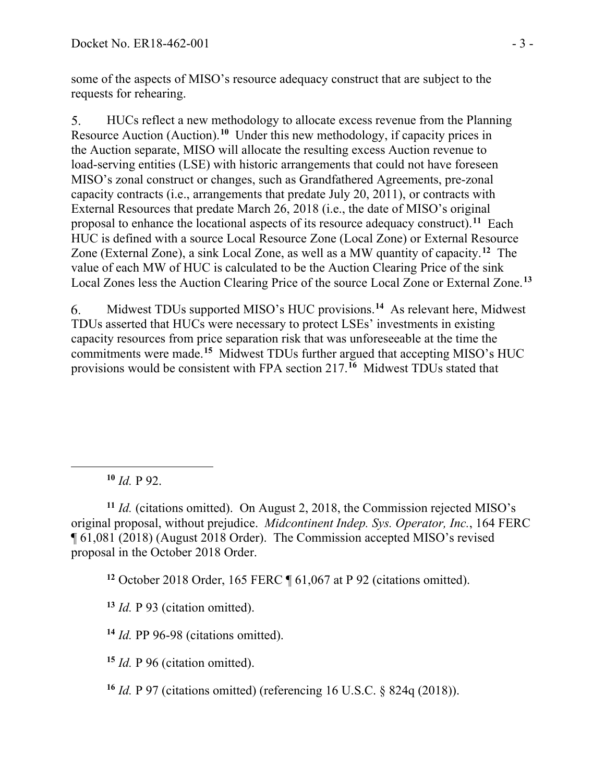some of the aspects of MISO's resource adequacy construct that are subject to the requests for rehearing.

5. HUCs reflect a new methodology to allocate excess revenue from the Planning Resource Auction (Auction). **[10](#page-2-0)** Under this new methodology, if capacity prices in the Auction separate, MISO will allocate the resulting excess Auction revenue to load-serving entities (LSE) with historic arrangements that could not have foreseen MISO's zonal construct or changes, such as Grandfathered Agreements, pre-zonal capacity contracts (i.e., arrangements that predate July 20, 2011), or contracts with External Resources that predate March 26, 2018 (i.e., the date of MISO's original proposal to enhance the locational aspects of its resource adequacy construct).**[11](#page-2-1)** Each HUC is defined with a source Local Resource Zone (Local Zone) or External Resource Zone (External Zone), a sink Local Zone, as well as a MW quantity of capacity.**[12](#page-2-2)** The value of each MW of HUC is calculated to be the Auction Clearing Price of the sink Local Zones less the Auction Clearing Price of the source Local Zone or External Zone.**[13](#page-2-3)**

6. Midwest TDUs supported MISO's HUC provisions. **[14](#page-2-4)** As relevant here, Midwest TDUs asserted that HUCs were necessary to protect LSEs' investments in existing capacity resources from price separation risk that was unforeseeable at the time the commitments were made.**[15](#page-2-5)** Midwest TDUs further argued that accepting MISO's HUC provisions would be consistent with FPA section 217.**[16](#page-2-6)** Midwest TDUs stated that

**<sup>10</sup>** *Id.* P 92.

<span id="page-2-2"></span><span id="page-2-1"></span><span id="page-2-0"></span>**<sup>11</sup>** *Id.* (citations omitted). On August 2, 2018, the Commission rejected MISO's original proposal, without prejudice. *Midcontinent Indep. Sys. Operator, Inc.*, 164 FERC ¶ 61,081 (2018) (August 2018 Order). The Commission accepted MISO's revised proposal in the October 2018 Order.

**<sup>12</sup>** October 2018 Order, 165 FERC ¶ 61,067 at P 92 (citations omitted).

<span id="page-2-3"></span>**<sup>13</sup>** *Id.* P 93 (citation omitted).

<span id="page-2-4"></span>**<sup>14</sup>** *Id.* PP 96-98 (citations omitted).

<span id="page-2-5"></span>**<sup>15</sup>** *Id.* P 96 (citation omitted).

<span id="page-2-6"></span>**<sup>16</sup>** *Id.* P 97 (citations omitted) (referencing 16 U.S.C. § 824q (2018)).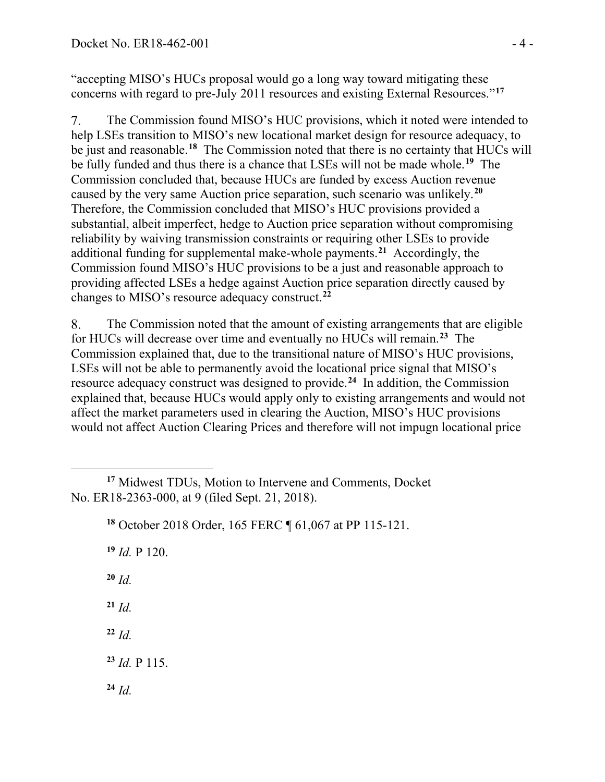"accepting MISO's HUCs proposal would go a long way toward mitigating these concerns with regard to pre-July 2011 resources and existing External Resources."**[17](#page-3-0)**

 $7.$ The Commission found MISO's HUC provisions, which it noted were intended to help LSEs transition to MISO's new locational market design for resource adequacy, to be just and reasonable.**[18](#page-3-1)** The Commission noted that there is no certainty that HUCs will be fully funded and thus there is a chance that LSEs will not be made whole.**[19](#page-3-2)** The Commission concluded that, because HUCs are funded by excess Auction revenue caused by the very same Auction price separation, such scenario was unlikely.**[20](#page-3-3)** Therefore, the Commission concluded that MISO's HUC provisions provided a substantial, albeit imperfect, hedge to Auction price separation without compromising reliability by waiving transmission constraints or requiring other LSEs to provide additional funding for supplemental make-whole payments.**[21](#page-3-4)** Accordingly, the Commission found MISO's HUC provisions to be a just and reasonable approach to providing affected LSEs a hedge against Auction price separation directly caused by changes to MISO's resource adequacy construct.**[22](#page-3-5)**

8. The Commission noted that the amount of existing arrangements that are eligible for HUCs will decrease over time and eventually no HUCs will remain.**[23](#page-3-6)** The Commission explained that, due to the transitional nature of MISO's HUC provisions, LSEs will not be able to permanently avoid the locational price signal that MISO's resource adequacy construct was designed to provide.**[24](#page-3-7)** In addition, the Commission explained that, because HUCs would apply only to existing arrangements and would not affect the market parameters used in clearing the Auction, MISO's HUC provisions would not affect Auction Clearing Prices and therefore will not impugn locational price

**<sup>19</sup>** *Id.* P 120.

<span id="page-3-3"></span>**<sup>20</sup>** *Id.*

<span id="page-3-4"></span>**<sup>21</sup>** *Id.*

<span id="page-3-5"></span>**<sup>22</sup>** *Id.*

<span id="page-3-6"></span>**<sup>23</sup>** *Id.* P 115.

<span id="page-3-7"></span>**<sup>24</sup>** *Id.*

<span id="page-3-2"></span><span id="page-3-1"></span><span id="page-3-0"></span>**<sup>17</sup>** Midwest TDUs, Motion to Intervene and Comments, Docket No. ER18-2363-000, at 9 (filed Sept. 21, 2018).

**<sup>18</sup>** October 2018 Order, 165 FERC ¶ 61,067 at PP 115-121.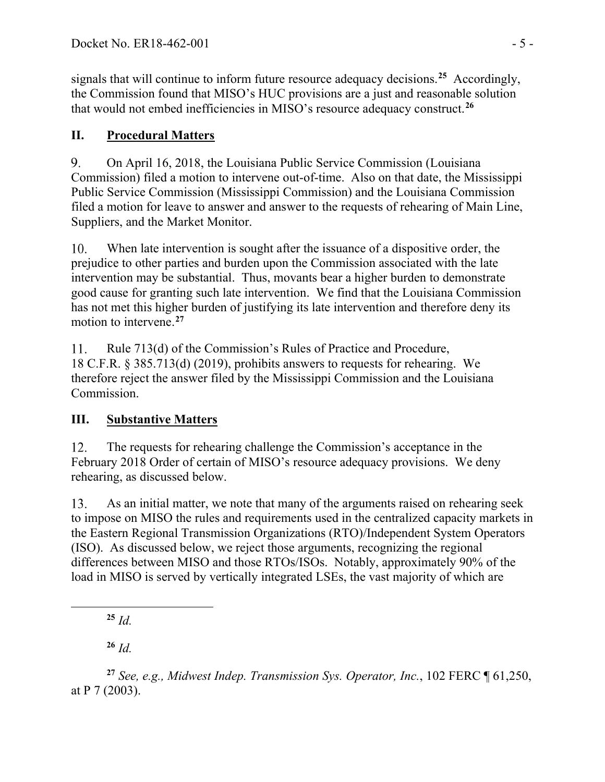signals that will continue to inform future resource adequacy decisions.**[25](#page-4-0)** Accordingly, the Commission found that MISO's HUC provisions are a just and reasonable solution that would not embed inefficiencies in MISO's resource adequacy construct.**[26](#page-4-1)**

# **II. Procedural Matters**

9. On April 16, 2018, the Louisiana Public Service Commission (Louisiana Commission) filed a motion to intervene out-of-time. Also on that date, the Mississippi Public Service Commission (Mississippi Commission) and the Louisiana Commission filed a motion for leave to answer and answer to the requests of rehearing of Main Line, Suppliers, and the Market Monitor.

When late intervention is sought after the issuance of a dispositive order, the  $10.$ prejudice to other parties and burden upon the Commission associated with the late intervention may be substantial. Thus, movants bear a higher burden to demonstrate good cause for granting such late intervention. We find that the Louisiana Commission has not met this higher burden of justifying its late intervention and therefore deny its motion to intervene. **[27](#page-4-2)**

 $11.$ Rule 713(d) of the Commission's Rules of Practice and Procedure, 18 C.F.R. § 385.713(d) (2019), prohibits answers to requests for rehearing. We therefore reject the answer filed by the Mississippi Commission and the Louisiana Commission.

# **III. Substantive Matters**

 $12.$ The requests for rehearing challenge the Commission's acceptance in the February 2018 Order of certain of MISO's resource adequacy provisions. We deny rehearing, as discussed below.

13. As an initial matter, we note that many of the arguments raised on rehearing seek to impose on MISO the rules and requirements used in the centralized capacity markets in the Eastern Regional Transmission Organizations (RTO)/Independent System Operators (ISO). As discussed below, we reject those arguments, recognizing the regional differences between MISO and those RTOs/ISOs. Notably, approximately 90% of the load in MISO is served by vertically integrated LSEs, the vast majority of which are

**<sup>25</sup>** *Id.*

**<sup>26</sup>** *Id.*

<span id="page-4-2"></span><span id="page-4-1"></span><span id="page-4-0"></span>**<sup>27</sup>** *See, e.g., Midwest Indep. Transmission Sys. Operator, Inc.*, 102 FERC ¶ 61,250, at P 7 (2003).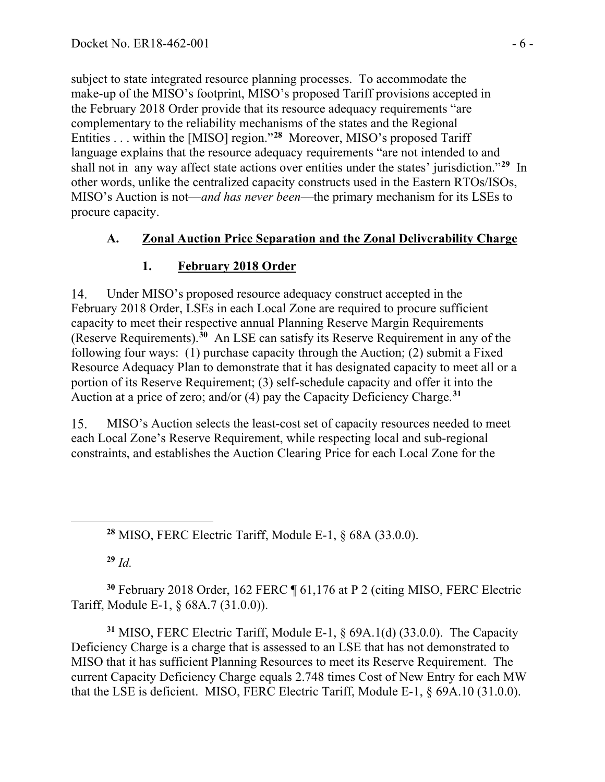subject to state integrated resource planning processes. To accommodate the make-up of the MISO's footprint, MISO's proposed Tariff provisions accepted in the February 2018 Order provide that its resource adequacy requirements "are complementary to the reliability mechanisms of the states and the Regional Entities . . . within the [MISO] region."**[28](#page-5-0)** Moreover, MISO's proposed Tariff language explains that the resource adequacy requirements "are not intended to and shall not in any way affect state actions over entities under the states' jurisdiction."**[29](#page-5-1)** In other words, unlike the centralized capacity constructs used in the Eastern RTOs/ISOs, MISO's Auction is not—*and has never been*—the primary mechanism for its LSEs to procure capacity.

### **A. Zonal Auction Price Separation and the Zonal Deliverability Charge**

## **1. February 2018 Order**

Under MISO's proposed resource adequacy construct accepted in the 14. February 2018 Order, LSEs in each Local Zone are required to procure sufficient capacity to meet their respective annual Planning Reserve Margin Requirements (Reserve Requirements).**[30](#page-5-2)** An LSE can satisfy its Reserve Requirement in any of the following four ways: (1) purchase capacity through the Auction; (2) submit a Fixed Resource Adequacy Plan to demonstrate that it has designated capacity to meet all or a portion of its Reserve Requirement; (3) self-schedule capacity and offer it into the Auction at a price of zero; and/or (4) pay the Capacity Deficiency Charge.**[31](#page-5-3)**

15. MISO's Auction selects the least-cost set of capacity resources needed to meet each Local Zone's Reserve Requirement, while respecting local and sub-regional constraints, and establishes the Auction Clearing Price for each Local Zone for the

**<sup>28</sup>** MISO, FERC Electric Tariff, Module E-1, § 68A (33.0.0).

**<sup>29</sup>** *Id.*

<span id="page-5-2"></span><span id="page-5-1"></span><span id="page-5-0"></span>**<sup>30</sup>** February 2018 Order, 162 FERC ¶ 61,176 at P 2 (citing MISO, FERC Electric Tariff, Module E-1, § 68A.7 (31.0.0)).

<span id="page-5-3"></span>**<sup>31</sup>** MISO, FERC Electric Tariff, Module E-1, § 69A.1(d) (33.0.0). The Capacity Deficiency Charge is a charge that is assessed to an LSE that has not demonstrated to MISO that it has sufficient Planning Resources to meet its Reserve Requirement. The current Capacity Deficiency Charge equals 2.748 times Cost of New Entry for each MW that the LSE is deficient. MISO, FERC Electric Tariff, Module E-1, § 69A.10 (31.0.0).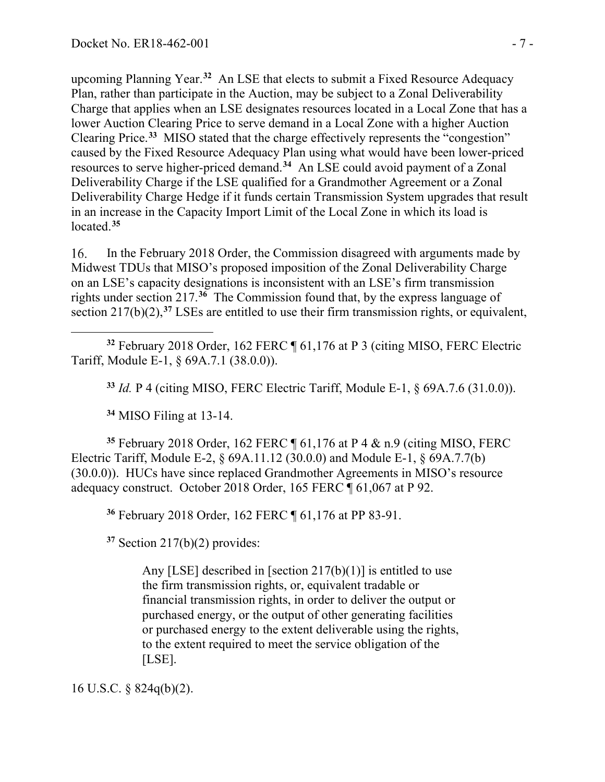upcoming Planning Year.**[32](#page-6-0)** An LSE that elects to submit a Fixed Resource Adequacy Plan, rather than participate in the Auction, may be subject to a Zonal Deliverability Charge that applies when an LSE designates resources located in a Local Zone that has a lower Auction Clearing Price to serve demand in a Local Zone with a higher Auction Clearing Price. **[33](#page-6-1)** MISO stated that the charge effectively represents the "congestion" caused by the Fixed Resource Adequacy Plan using what would have been lower-priced resources to serve higher-priced demand.**[34](#page-6-2)** An LSE could avoid payment of a Zonal Deliverability Charge if the LSE qualified for a Grandmother Agreement or a Zonal Deliverability Charge Hedge if it funds certain Transmission System upgrades that result in an increase in the Capacity Import Limit of the Local Zone in which its load is located.**[35](#page-6-3)**

16. In the February 2018 Order, the Commission disagreed with arguments made by Midwest TDUs that MISO's proposed imposition of the Zonal Deliverability Charge on an LSE's capacity designations is inconsistent with an LSE's firm transmission rights under section 217.**[36](#page-6-4)** The Commission found that, by the express language of section 217(b)(2),<sup>[37](#page-6-5)</sup> LSEs are entitled to use their firm transmission rights, or equivalent,

<span id="page-6-1"></span><span id="page-6-0"></span>**<sup>32</sup>** February 2018 Order, 162 FERC ¶ 61,176 at P 3 (citing MISO, FERC Electric Tariff, Module E-1, § 69A.7.1 (38.0.0)).

**<sup>33</sup>** *Id.* P 4 (citing MISO, FERC Electric Tariff, Module E-1, § 69A.7.6 (31.0.0)).

**<sup>34</sup>** MISO Filing at 13-14.

<span id="page-6-4"></span><span id="page-6-3"></span><span id="page-6-2"></span>**<sup>35</sup>** February 2018 Order, 162 FERC ¶ 61,176 at P 4 & n.9 (citing MISO, FERC Electric Tariff, Module E-2, § 69A.11.12 (30.0.0) and Module E-1, § 69A.7.7(b) (30.0.0)). HUCs have since replaced Grandmother Agreements in MISO's resource adequacy construct. October 2018 Order, 165 FERC ¶ 61,067 at P 92.

**<sup>36</sup>** February 2018 Order, 162 FERC ¶ 61,176 at PP 83-91.

<span id="page-6-5"></span>**<sup>37</sup>** Section 217(b)(2) provides:

Any [LSE] described in [section  $217(b)(1)$ ] is entitled to use the firm transmission rights, or, equivalent tradable or financial transmission rights, in order to deliver the output or purchased energy, or the output of other generating facilities or purchased energy to the extent deliverable using the rights, to the extent required to meet the service obligation of the [LSE].

16 U.S.C. § 824q(b)(2).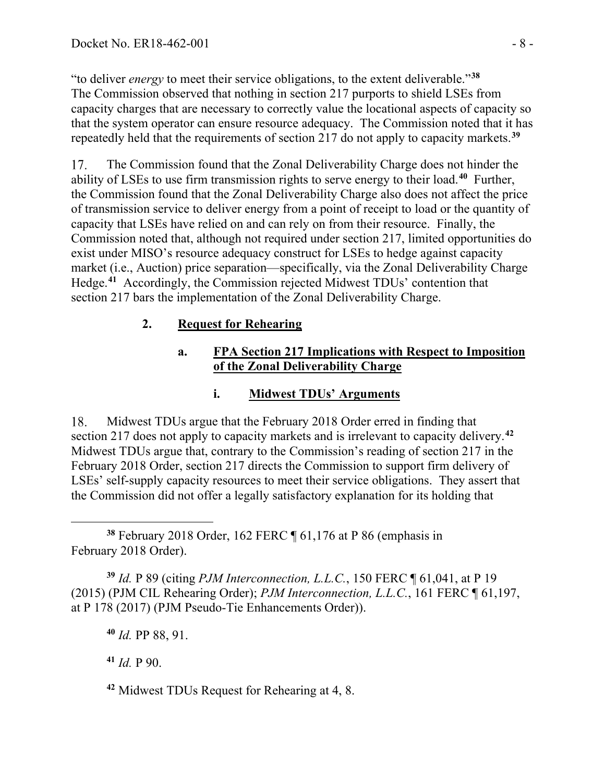"to deliver *energy* to meet their service obligations, to the extent deliverable."**[38](#page-7-0)** The Commission observed that nothing in section 217 purports to shield LSEs from capacity charges that are necessary to correctly value the locational aspects of capacity so that the system operator can ensure resource adequacy. The Commission noted that it has repeatedly held that the requirements of section 217 do not apply to capacity markets.**[39](#page-7-1)**

17. The Commission found that the Zonal Deliverability Charge does not hinder the ability of LSEs to use firm transmission rights to serve energy to their load.**[40](#page-7-2)** Further, the Commission found that the Zonal Deliverability Charge also does not affect the price of transmission service to deliver energy from a point of receipt to load or the quantity of capacity that LSEs have relied on and can rely on from their resource. Finally, the Commission noted that, although not required under section 217, limited opportunities do exist under MISO's resource adequacy construct for LSEs to hedge against capacity market (i.e., Auction) price separation—specifically, via the Zonal Deliverability Charge Hedge.**[41](#page-7-3)** Accordingly, the Commission rejected Midwest TDUs' contention that section 217 bars the implementation of the Zonal Deliverability Charge.

## **2. Request for Rehearing**

#### **a. FPA Section 217 Implications with Respect to Imposition of the Zonal Deliverability Charge**

## **i. Midwest TDUs' Arguments**

18. Midwest TDUs argue that the February 2018 Order erred in finding that section 217 does not apply to capacity markets and is irrelevant to capacity delivery.**[42](#page-7-4)** Midwest TDUs argue that, contrary to the Commission's reading of section 217 in the February 2018 Order, section 217 directs the Commission to support firm delivery of LSEs' self-supply capacity resources to meet their service obligations. They assert that the Commission did not offer a legally satisfactory explanation for its holding that

<span id="page-7-0"></span>**<sup>38</sup>** February 2018 Order, 162 FERC ¶ 61,176 at P 86 (emphasis in February 2018 Order).

<span id="page-7-2"></span><span id="page-7-1"></span>**<sup>39</sup>** *Id.* P 89 (citing *PJM Interconnection, L.L.C.*, 150 FERC ¶ 61,041, at P 19 (2015) (PJM CIL Rehearing Order); *PJM Interconnection, L.L.C.*, 161 FERC ¶ 61,197, at P 178 (2017) (PJM Pseudo-Tie Enhancements Order)).

**<sup>40</sup>** *Id.* PP 88, 91.

<span id="page-7-3"></span>**<sup>41</sup>** *Id.* P 90.

<span id="page-7-4"></span>**<sup>42</sup>** Midwest TDUs Request for Rehearing at 4, 8.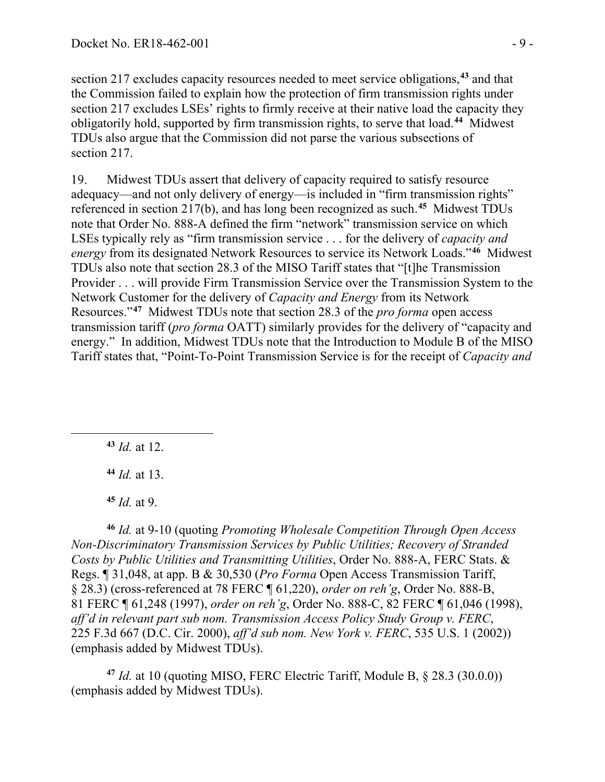section 217 excludes capacity resources needed to meet service obligations,**[43](#page-8-0)** and that the Commission failed to explain how the protection of firm transmission rights under section 217 excludes LSEs' rights to firmly receive at their native load the capacity they obligatorily hold, supported by firm transmission rights, to serve that load.**[44](#page-8-1)** Midwest TDUs also argue that the Commission did not parse the various subsections of section 217.

Midwest TDUs assert that delivery of capacity required to satisfy resource 19. adequacy—and not only delivery of energy—is included in "firm transmission rights" referenced in section 217(b), and has long been recognized as such. **[45](#page-8-2)** Midwest TDUs note that Order No. 888-A defined the firm "network" transmission service on which LSEs typically rely as "firm transmission service . . . for the delivery of *capacity and energy* from its designated Network Resources to service its Network Loads."**[46](#page-8-3)** Midwest TDUs also note that section 28.3 of the MISO Tariff states that "[t]he Transmission Provider . . . will provide Firm Transmission Service over the Transmission System to the Network Customer for the delivery of *Capacity and Energy* from its Network Resources."**[47](#page-8-4)** Midwest TDUs note that section 28.3 of the *pro forma* open access transmission tariff (*pro forma* OATT) similarly provides for the delivery of "capacity and energy." In addition, Midwest TDUs note that the Introduction to Module B of the MISO Tariff states that, "Point-To-Point Transmission Service is for the receipt of *Capacity and* 

<span id="page-8-0"></span>**<sup>43</sup>** *Id.* at 12.

**<sup>44</sup>** *Id.* at 13.

**<sup>45</sup>** *Id.* at 9.

<span id="page-8-3"></span><span id="page-8-2"></span><span id="page-8-1"></span>**<sup>46</sup>** *Id.* at 9-10 (quoting *Promoting Wholesale Competition Through Open Access Non-Discriminatory Transmission Services by Public Utilities; Recovery of Stranded Costs by Public Utilities and Transmitting Utilities*, Order No. 888-A, FERC Stats. & Regs. ¶ 31,048, at app. B & 30,530 (*Pro Forma* Open Access Transmission Tariff, § 28.3) (cross-referenced at 78 FERC ¶ 61,220), *order on reh'g*, Order No. 888-B, 81 FERC ¶ 61,248 (1997), *order on reh'g*, Order No. 888-C, 82 FERC ¶ 61,046 (1998), *aff'd in relevant part sub nom. Transmission Access Policy Study Group v. FERC*, 225 F.3d 667 (D.C. Cir. 2000), *aff'd sub nom. New York v. FERC*, 535 U.S. 1 (2002)) (emphasis added by Midwest TDUs).

<span id="page-8-4"></span>**<sup>47</sup>** *Id.* at 10 (quoting MISO, FERC Electric Tariff, Module B, § 28.3 (30.0.0)) (emphasis added by Midwest TDUs).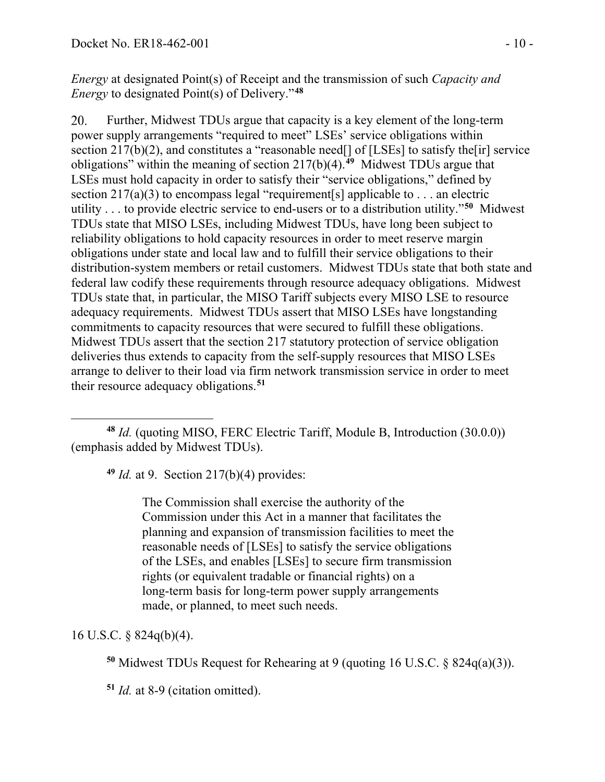*Energy* at designated Point(s) of Receipt and the transmission of such *Capacity and Energy* to designated Point(s) of Delivery."**[48](#page-9-0)**

20. Further, Midwest TDUs argue that capacity is a key element of the long-term power supply arrangements "required to meet" LSEs' service obligations within section 217(b)(2), and constitutes a "reasonable need<sup>[]</sup> of [LSEs] to satisfy the<sup>[ir]</sup> service obligations" within the meaning of section 217(b)(4).**[49](#page-9-1)** Midwest TDUs argue that LSEs must hold capacity in order to satisfy their "service obligations," defined by section 217(a)(3) to encompass legal "requirement[s] applicable to . . . an electric utility . . . to provide electric service to end-users or to a distribution utility."**[50](#page-9-2)** Midwest TDUs state that MISO LSEs, including Midwest TDUs, have long been subject to reliability obligations to hold capacity resources in order to meet reserve margin obligations under state and local law and to fulfill their service obligations to their distribution-system members or retail customers. Midwest TDUs state that both state and federal law codify these requirements through resource adequacy obligations. Midwest TDUs state that, in particular, the MISO Tariff subjects every MISO LSE to resource adequacy requirements. Midwest TDUs assert that MISO LSEs have longstanding commitments to capacity resources that were secured to fulfill these obligations. Midwest TDUs assert that the section 217 statutory protection of service obligation deliveries thus extends to capacity from the self-supply resources that MISO LSEs arrange to deliver to their load via firm network transmission service in order to meet their resource adequacy obligations.**[51](#page-9-3)**

**<sup>49</sup>** *Id.* at 9. Section 217(b)(4) provides:

The Commission shall exercise the authority of the Commission under this Act in a manner that facilitates the planning and expansion of transmission facilities to meet the reasonable needs of [LSEs] to satisfy the service obligations of the LSEs, and enables [LSEs] to secure firm transmission rights (or equivalent tradable or financial rights) on a long-term basis for long-term power supply arrangements made, or planned, to meet such needs.

<span id="page-9-3"></span><span id="page-9-2"></span>16 U.S.C. § 824q(b)(4).

**<sup>50</sup>** Midwest TDUs Request for Rehearing at 9 (quoting 16 U.S.C. § 824q(a)(3)).

**<sup>51</sup>** *Id.* at 8-9 (citation omitted).

<span id="page-9-1"></span><span id="page-9-0"></span>**<sup>48</sup>** *Id.* (quoting MISO, FERC Electric Tariff, Module B, Introduction (30.0.0)) (emphasis added by Midwest TDUs).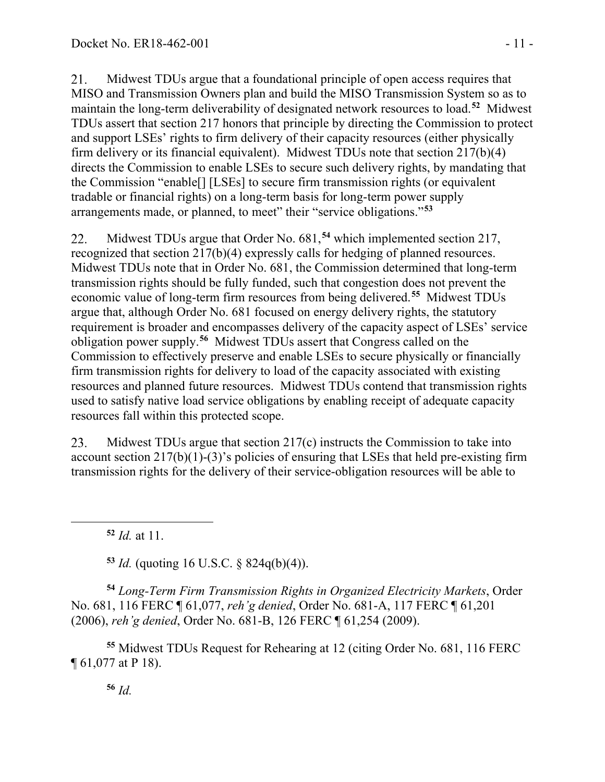21. Midwest TDUs argue that a foundational principle of open access requires that MISO and Transmission Owners plan and build the MISO Transmission System so as to maintain the long-term deliverability of designated network resources to load.**[52](#page-10-0)** Midwest TDUs assert that section 217 honors that principle by directing the Commission to protect and support LSEs' rights to firm delivery of their capacity resources (either physically firm delivery or its financial equivalent). Midwest TDUs note that section 217(b)(4) directs the Commission to enable LSEs to secure such delivery rights, by mandating that the Commission "enable[] [LSEs] to secure firm transmission rights (or equivalent tradable or financial rights) on a long-term basis for long-term power supply arrangements made, or planned, to meet" their "service obligations."**[53](#page-10-1)**

Midwest TDUs argue that Order No. 681,**[54](#page-10-2)** which implemented section 217, 22. recognized that section 217(b)(4) expressly calls for hedging of planned resources. Midwest TDUs note that in Order No. 681, the Commission determined that long-term transmission rights should be fully funded, such that congestion does not prevent the economic value of long-term firm resources from being delivered.**[55](#page-10-3)** Midwest TDUs argue that, although Order No. 681 focused on energy delivery rights, the statutory requirement is broader and encompasses delivery of the capacity aspect of LSEs' service obligation power supply.**[56](#page-10-4)** Midwest TDUs assert that Congress called on the Commission to effectively preserve and enable LSEs to secure physically or financially firm transmission rights for delivery to load of the capacity associated with existing resources and planned future resources. Midwest TDUs contend that transmission rights used to satisfy native load service obligations by enabling receipt of adequate capacity resources fall within this protected scope.

23. Midwest TDUs argue that section 217(c) instructs the Commission to take into account section 217(b)(1)-(3)'s policies of ensuring that LSEs that held pre-existing firm transmission rights for the delivery of their service-obligation resources will be able to

**<sup>52</sup>** *Id.* at 11.

**<sup>53</sup>** *Id.* (quoting 16 U.S.C. § 824q(b)(4)).

<span id="page-10-2"></span><span id="page-10-1"></span><span id="page-10-0"></span>**<sup>54</sup>** *Long-Term Firm Transmission Rights in Organized Electricity Markets*, Order No. 681, 116 FERC ¶ 61,077, *reh'g denied*, Order No. 681-A, 117 FERC ¶ 61,201 (2006), *reh'g denied*, Order No. 681-B, 126 FERC ¶ 61,254 (2009).

<span id="page-10-4"></span><span id="page-10-3"></span>**<sup>55</sup>** Midwest TDUs Request for Rehearing at 12 (citing Order No. 681, 116 FERC ¶ 61,077 at P 18).

**<sup>56</sup>** *Id.*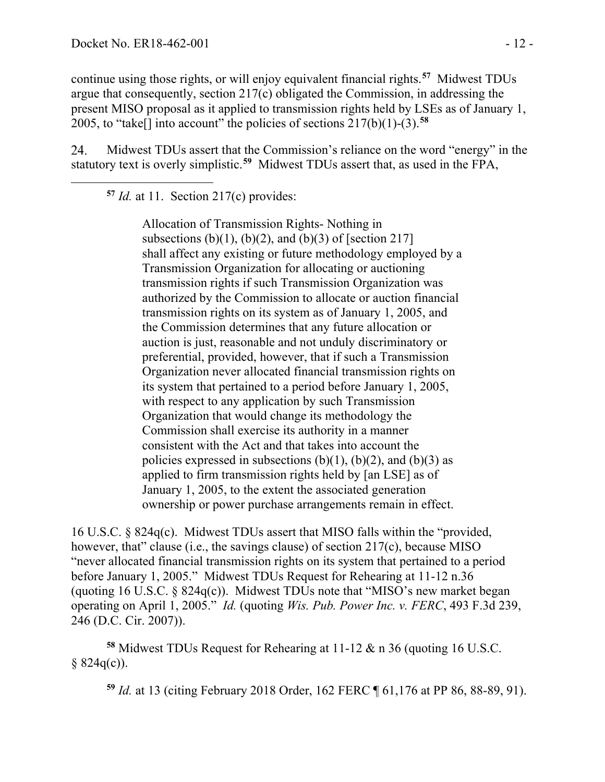continue using those rights, or will enjoy equivalent financial rights.**[57](#page-11-0)** Midwest TDUs argue that consequently, section 217(c) obligated the Commission, in addressing the present MISO proposal as it applied to transmission rights held by LSEs as of January 1, 2005, to "take[] into account" the policies of sections 217(b)(1)-(3).**[58](#page-11-1)**

<span id="page-11-0"></span>24. Midwest TDUs assert that the Commission's reliance on the word "energy" in the statutory text is overly simplistic.**[59](#page-11-2)** Midwest TDUs assert that, as used in the FPA,

**<sup>57</sup>** *Id.* at 11. Section 217(c) provides:

Allocation of Transmission Rights- Nothing in subsections  $(b)(1)$ ,  $(b)(2)$ , and  $(b)(3)$  of [section 217] shall affect any existing or future methodology employed by a Transmission Organization for allocating or auctioning transmission rights if such Transmission Organization was authorized by the Commission to allocate or auction financial transmission rights on its system as of January 1, 2005, and the Commission determines that any future allocation or auction is just, reasonable and not unduly discriminatory or preferential, provided, however, that if such a Transmission Organization never allocated financial transmission rights on its system that pertained to a period before January 1, 2005, with respect to any application by such Transmission Organization that would change its methodology the Commission shall exercise its authority in a manner consistent with the Act and that takes into account the policies expressed in subsections  $(b)(1)$ ,  $(b)(2)$ , and  $(b)(3)$  as applied to firm transmission rights held by [an LSE] as of January 1, 2005, to the extent the associated generation ownership or power purchase arrangements remain in effect.

16 U.S.C. § 824q(c). Midwest TDUs assert that MISO falls within the "provided, however, that" clause (i.e., the savings clause) of section 217(c), because MISO "never allocated financial transmission rights on its system that pertained to a period before January 1, 2005." Midwest TDUs Request for Rehearing at 11-12 n.36 (quoting 16 U.S.C. § 824q(c)). Midwest TDUs note that "MISO's new market began operating on April 1, 2005." *Id.* (quoting *Wis. Pub. Power Inc. v. FERC*, 493 F.3d 239, 246 (D.C. Cir. 2007)).

<span id="page-11-2"></span><span id="page-11-1"></span>**<sup>58</sup>** Midwest TDUs Request for Rehearing at 11-12 & n 36 (quoting 16 U.S.C.  $§ 824q(c)$ ).

**<sup>59</sup>** *Id.* at 13 (citing February 2018 Order, 162 FERC ¶ 61,176 at PP 86, 88-89, 91).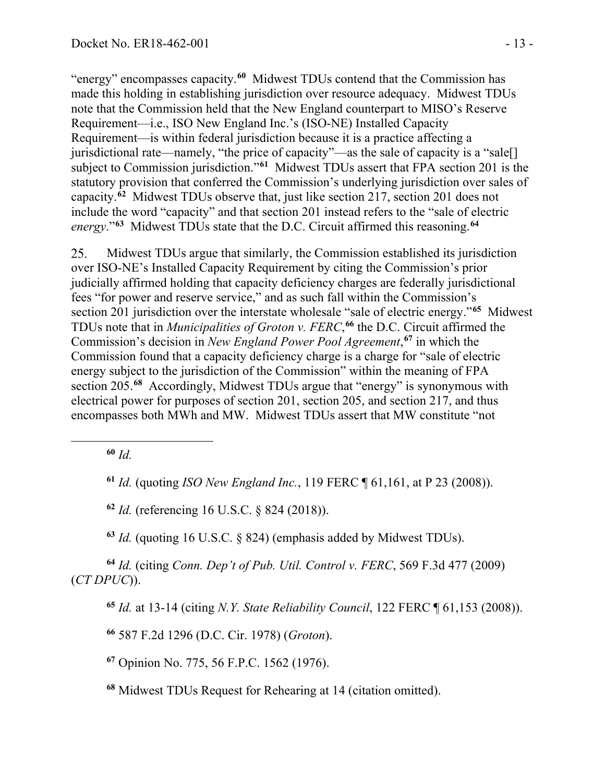"energy" encompasses capacity.**[60](#page-12-0)** Midwest TDUs contend that the Commission has made this holding in establishing jurisdiction over resource adequacy. Midwest TDUs note that the Commission held that the New England counterpart to MISO's Reserve Requirement—i.e., ISO New England Inc.'s (ISO-NE) Installed Capacity Requirement—is within federal jurisdiction because it is a practice affecting a jurisdictional rate—namely, "the price of capacity"—as the sale of capacity is a "sale[] subject to Commission jurisdiction."**[61](#page-12-1)** Midwest TDUs assert that FPA section 201 is the statutory provision that conferred the Commission's underlying jurisdiction over sales of capacity.**[62](#page-12-2)** Midwest TDUs observe that, just like section 217, section 201 does not include the word "capacity" and that section 201 instead refers to the "sale of electric *energy*."**[63](#page-12-3)** Midwest TDUs state that the D.C. Circuit affirmed this reasoning. **[64](#page-12-4)**

25. Midwest TDUs argue that similarly, the Commission established its jurisdiction over ISO-NE's Installed Capacity Requirement by citing the Commission's prior judicially affirmed holding that capacity deficiency charges are federally jurisdictional fees "for power and reserve service," and as such fall within the Commission's section 201 jurisdiction over the interstate wholesale "sale of electric energy."**[65](#page-12-5)** Midwest TDUs note that in *Municipalities of Groton v. FERC*, **[66](#page-12-6)** the D.C. Circuit affirmed the Commission's decision in *New England Power Pool Agreement*, **[67](#page-12-7)** in which the Commission found that a capacity deficiency charge is a charge for "sale of electric energy subject to the jurisdiction of the Commission" within the meaning of FPA section 205.**[68](#page-12-8)** Accordingly, Midwest TDUs argue that "energy" is synonymous with electrical power for purposes of section 201, section 205, and section 217, and thus encompasses both MWh and MW. Midwest TDUs assert that MW constitute "not

<span id="page-12-0"></span>**<sup>60</sup>** *Id.*

<span id="page-12-1"></span>**<sup>61</sup>** *Id.* (quoting *ISO New England Inc.*, 119 FERC ¶ 61,161, at P 23 (2008)).

**<sup>62</sup>** *Id.* (referencing 16 U.S.C. § 824 (2018)).

**<sup>63</sup>** *Id.* (quoting 16 U.S.C. § 824) (emphasis added by Midwest TDUs).

<span id="page-12-6"></span><span id="page-12-5"></span><span id="page-12-4"></span><span id="page-12-3"></span><span id="page-12-2"></span>**<sup>64</sup>** *Id.* (citing *Conn. Dep't of Pub. Util. Control v. FERC*, 569 F.3d 477 (2009) (*CT DPUC*)).

**<sup>65</sup>** *Id.* at 13-14 (citing *N.Y. State Reliability Council*, 122 FERC ¶ 61,153 (2008)).

**<sup>66</sup>** 587 F.2d 1296 (D.C. Cir. 1978) (*Groton*).

<span id="page-12-7"></span>**<sup>67</sup>** Opinion No. 775, 56 F.P.C. 1562 (1976).

<span id="page-12-8"></span>**<sup>68</sup>** Midwest TDUs Request for Rehearing at 14 (citation omitted).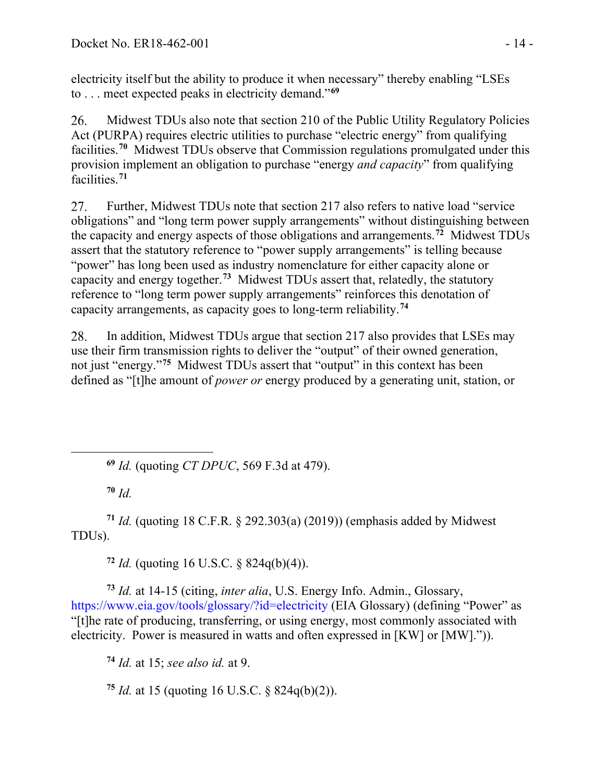electricity itself but the ability to produce it when necessary" thereby enabling "LSEs to . . . meet expected peaks in electricity demand."**[69](#page-13-0)**

26. Midwest TDUs also note that section 210 of the Public Utility Regulatory Policies Act (PURPA) requires electric utilities to purchase "electric energy" from qualifying facilities.**[70](#page-13-1)** Midwest TDUs observe that Commission regulations promulgated under this provision implement an obligation to purchase "energy *and capacity*" from qualifying facilities.**[71](#page-13-2)**

27. Further, Midwest TDUs note that section 217 also refers to native load "service obligations" and "long term power supply arrangements" without distinguishing between the capacity and energy aspects of those obligations and arrangements.**[72](#page-13-3)** Midwest TDUs assert that the statutory reference to "power supply arrangements" is telling because "power" has long been used as industry nomenclature for either capacity alone or capacity and energy together.**[73](#page-13-4)** Midwest TDUs assert that, relatedly, the statutory reference to "long term power supply arrangements" reinforces this denotation of capacity arrangements, as capacity goes to long-term reliability.**[74](#page-13-5)**

In addition, Midwest TDUs argue that section 217 also provides that LSEs may 28. use their firm transmission rights to deliver the "output" of their owned generation, not just "energy."**[75](#page-13-6)** Midwest TDUs assert that "output" in this context has been defined as "[t]he amount of *power or* energy produced by a generating unit, station, or

**<sup>69</sup>** *Id.* (quoting *CT DPUC*, 569 F.3d at 479).

**<sup>70</sup>** *Id.*

<span id="page-13-2"></span><span id="page-13-1"></span><span id="page-13-0"></span>**<sup>71</sup>** *Id.* (quoting 18 C.F.R. § 292.303(a) (2019)) (emphasis added by Midwest TDUs).

**<sup>72</sup>** *Id.* (quoting 16 U.S.C. § 824q(b)(4)).

<span id="page-13-5"></span><span id="page-13-4"></span><span id="page-13-3"></span>**<sup>73</sup>** *Id.* at 14-15 (citing, *inter alia*, U.S. Energy Info. Admin., Glossary, https://www.eia.gov/tools/glossary/?id=electricity (EIA Glossary) (defining "Power" as "[t]he rate of producing, transferring, or using energy, most commonly associated with electricity. Power is measured in watts and often expressed in [KW] or [MW].")).

**<sup>74</sup>** *Id.* at 15; *see also id.* at 9.

<span id="page-13-6"></span>**<sup>75</sup>** *Id.* at 15 (quoting 16 U.S.C. § 824q(b)(2)).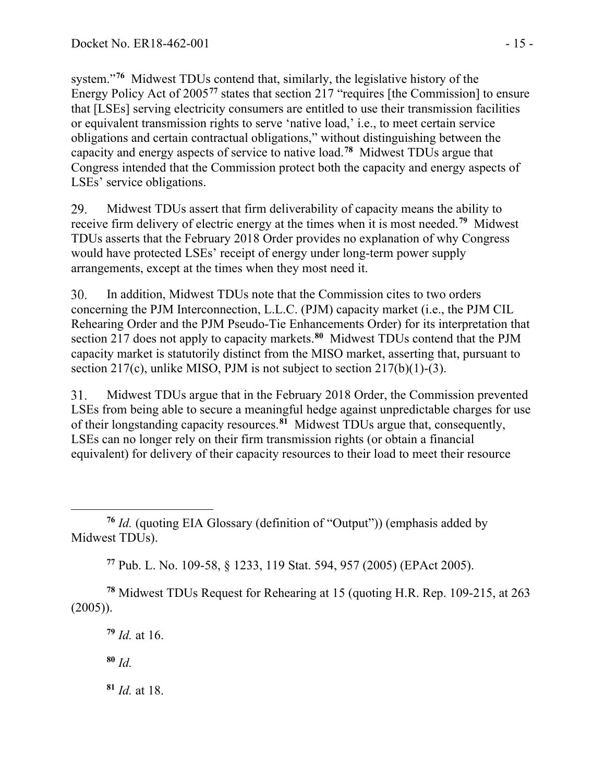system."**[76](#page-14-0)** Midwest TDUs contend that, similarly, the legislative history of the Energy Policy Act of 2005**[77](#page-14-1)** states that section 217 "requires [the Commission] to ensure that [LSEs] serving electricity consumers are entitled to use their transmission facilities or equivalent transmission rights to serve 'native load,' i.e., to meet certain service obligations and certain contractual obligations," without distinguishing between the capacity and energy aspects of service to native load.**[78](#page-14-2)** Midwest TDUs argue that Congress intended that the Commission protect both the capacity and energy aspects of LSEs' service obligations.

29. Midwest TDUs assert that firm deliverability of capacity means the ability to receive firm delivery of electric energy at the times when it is most needed.**[79](#page-14-3)** Midwest TDUs asserts that the February 2018 Order provides no explanation of why Congress would have protected LSEs' receipt of energy under long-term power supply arrangements, except at the times when they most need it.

30. In addition, Midwest TDUs note that the Commission cites to two orders concerning the PJM Interconnection, L.L.C. (PJM) capacity market (i.e., the PJM CIL Rehearing Order and the PJM Pseudo-Tie Enhancements Order) for its interpretation that section 217 does not apply to capacity markets. **[80](#page-14-4)** Midwest TDUs contend that the PJM capacity market is statutorily distinct from the MISO market, asserting that, pursuant to section 217(c), unlike MISO, PJM is not subject to section 217(b)(1)-(3).

 $31.$ Midwest TDUs argue that in the February 2018 Order, the Commission prevented LSEs from being able to secure a meaningful hedge against unpredictable charges for use of their longstanding capacity resources.**[81](#page-14-5)** Midwest TDUs argue that, consequently, LSEs can no longer rely on their firm transmission rights (or obtain a financial equivalent) for delivery of their capacity resources to their load to meet their resource

**<sup>77</sup>** Pub. L. No. 109-58, § 1233, 119 Stat. 594, 957 (2005) (EPAct 2005).

<span id="page-14-4"></span><span id="page-14-3"></span><span id="page-14-2"></span><span id="page-14-1"></span>**<sup>78</sup>** Midwest TDUs Request for Rehearing at 15 (quoting H.R. Rep. 109-215, at 263  $(2005)$ ).

**<sup>79</sup>** *Id.* at 16.

**<sup>80</sup>** *Id.*

<span id="page-14-5"></span>**<sup>81</sup>** *Id.* at 18.

<span id="page-14-0"></span>**<sup>76</sup>** *Id.* (quoting EIA Glossary (definition of "Output")) (emphasis added by Midwest TDUs).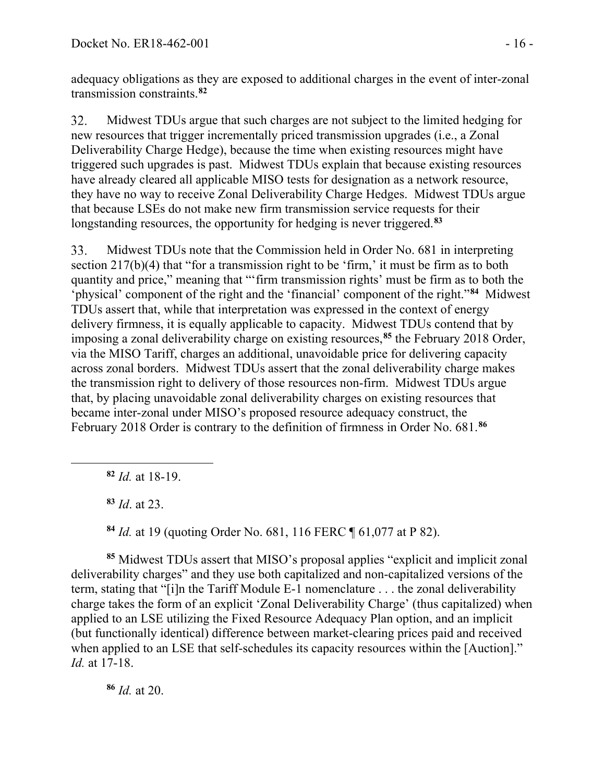adequacy obligations as they are exposed to additional charges in the event of inter-zonal transmission constraints.**[82](#page-15-0)**

32. Midwest TDUs argue that such charges are not subject to the limited hedging for new resources that trigger incrementally priced transmission upgrades (i.e., a Zonal Deliverability Charge Hedge), because the time when existing resources might have triggered such upgrades is past. Midwest TDUs explain that because existing resources have already cleared all applicable MISO tests for designation as a network resource, they have no way to receive Zonal Deliverability Charge Hedges. Midwest TDUs argue that because LSEs do not make new firm transmission service requests for their longstanding resources, the opportunity for hedging is never triggered.**[83](#page-15-1)**

33. Midwest TDUs note that the Commission held in Order No. 681 in interpreting section  $217(b)(4)$  that "for a transmission right to be 'firm,' it must be firm as to both quantity and price," meaning that "'firm transmission rights' must be firm as to both the ʻphysical' component of the right and the 'financial' component of the right."**[84](#page-15-2)** Midwest TDUs assert that, while that interpretation was expressed in the context of energy delivery firmness, it is equally applicable to capacity. Midwest TDUs contend that by imposing a zonal deliverability charge on existing resources,**[85](#page-15-3)** the February 2018 Order, via the MISO Tariff, charges an additional, unavoidable price for delivering capacity across zonal borders. Midwest TDUs assert that the zonal deliverability charge makes the transmission right to delivery of those resources non-firm. Midwest TDUs argue that, by placing unavoidable zonal deliverability charges on existing resources that became inter-zonal under MISO's proposed resource adequacy construct, the February 2018 Order is contrary to the definition of firmness in Order No. 681.**[86](#page-15-4)**

**<sup>83</sup>** *Id*. at 23.

**<sup>84</sup>** *Id.* at 19 (quoting Order No. 681, 116 FERC ¶ 61,077 at P 82).

<span id="page-15-3"></span><span id="page-15-2"></span><span id="page-15-1"></span>**<sup>85</sup>** Midwest TDUs assert that MISO's proposal applies "explicit and implicit zonal deliverability charges" and they use both capitalized and non-capitalized versions of the term, stating that "[i]n the Tariff Module E-1 nomenclature . . . the zonal deliverability charge takes the form of an explicit 'Zonal Deliverability Charge' (thus capitalized) when applied to an LSE utilizing the Fixed Resource Adequacy Plan option, and an implicit (but functionally identical) difference between market-clearing prices paid and received when applied to an LSE that self-schedules its capacity resources within the [Auction]." *Id.* at 17-18.

<span id="page-15-4"></span>**<sup>86</sup>** *Id.* at 20.

<span id="page-15-0"></span>**<sup>82</sup>** *Id.* at 18-19.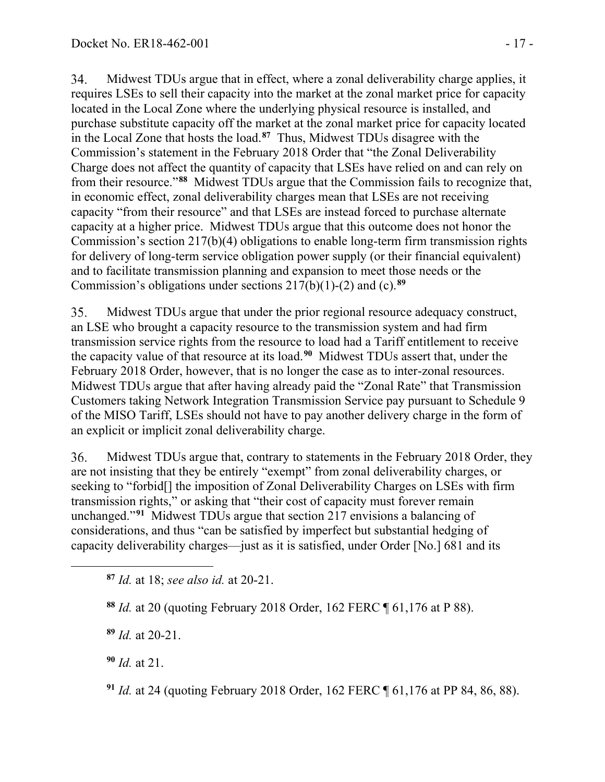34. Midwest TDUs argue that in effect, where a zonal deliverability charge applies, it requires LSEs to sell their capacity into the market at the zonal market price for capacity located in the Local Zone where the underlying physical resource is installed, and purchase substitute capacity off the market at the zonal market price for capacity located in the Local Zone that hosts the load.**[87](#page-16-0)** Thus, Midwest TDUs disagree with the Commission's statement in the February 2018 Order that "the Zonal Deliverability Charge does not affect the quantity of capacity that LSEs have relied on and can rely on from their resource."**[88](#page-16-1)** Midwest TDUs argue that the Commission fails to recognize that, in economic effect, zonal deliverability charges mean that LSEs are not receiving capacity "from their resource" and that LSEs are instead forced to purchase alternate capacity at a higher price. Midwest TDUs argue that this outcome does not honor the Commission's section 217(b)(4) obligations to enable long-term firm transmission rights for delivery of long-term service obligation power supply (or their financial equivalent) and to facilitate transmission planning and expansion to meet those needs or the Commission's obligations under sections 217(b)(1)-(2) and (c).**[89](#page-16-2)**

35. Midwest TDUs argue that under the prior regional resource adequacy construct, an LSE who brought a capacity resource to the transmission system and had firm transmission service rights from the resource to load had a Tariff entitlement to receive the capacity value of that resource at its load.**[90](#page-16-3)** Midwest TDUs assert that, under the February 2018 Order, however, that is no longer the case as to inter-zonal resources. Midwest TDUs argue that after having already paid the "Zonal Rate" that Transmission Customers taking Network Integration Transmission Service pay pursuant to Schedule 9 of the MISO Tariff, LSEs should not have to pay another delivery charge in the form of an explicit or implicit zonal deliverability charge.

36. Midwest TDUs argue that, contrary to statements in the February 2018 Order, they are not insisting that they be entirely "exempt" from zonal deliverability charges, or seeking to "forbid[] the imposition of Zonal Deliverability Charges on LSEs with firm transmission rights," or asking that "their cost of capacity must forever remain unchanged."**[91](#page-16-4)** Midwest TDUs argue that section 217 envisions a balancing of considerations, and thus "can be satisfied by imperfect but substantial hedging of capacity deliverability charges—just as it is satisfied, under Order [No.] 681 and its

<span id="page-16-2"></span>**<sup>89</sup>** *Id.* at 20-21.

<span id="page-16-3"></span>**<sup>90</sup>** *Id.* at 21.

<span id="page-16-4"></span>**<sup>91</sup>** *Id.* at 24 (quoting February 2018 Order, 162 FERC ¶ 61,176 at PP 84, 86, 88).

<span id="page-16-0"></span>**<sup>87</sup>** *Id.* at 18; *see also id.* at 20-21.

<span id="page-16-1"></span>**<sup>88</sup>** *Id.* at 20 (quoting February 2018 Order, 162 FERC ¶ 61,176 at P 88).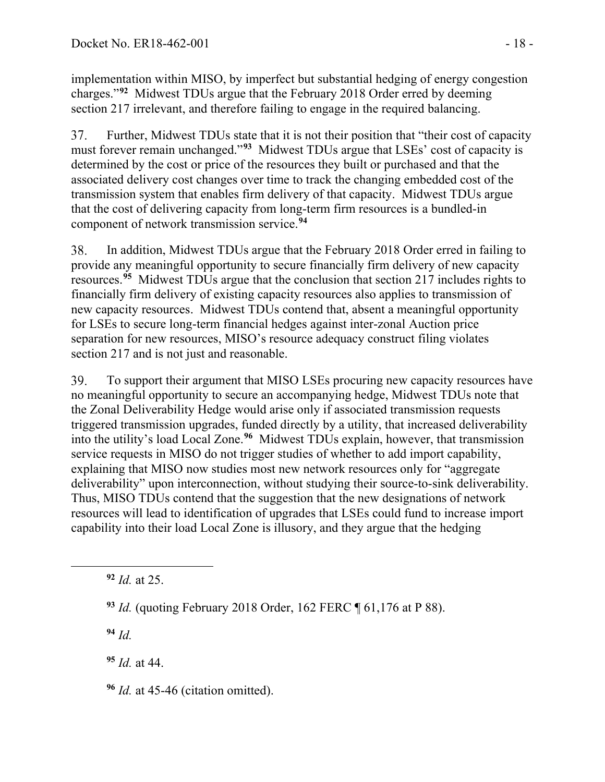implementation within MISO, by imperfect but substantial hedging of energy congestion charges."**[92](#page-17-0)** Midwest TDUs argue that the February 2018 Order erred by deeming section 217 irrelevant, and therefore failing to engage in the required balancing.

Further, Midwest TDUs state that it is not their position that "their cost of capacity 37. must forever remain unchanged."**[93](#page-17-1)** Midwest TDUs argue that LSEs' cost of capacity is determined by the cost or price of the resources they built or purchased and that the associated delivery cost changes over time to track the changing embedded cost of the transmission system that enables firm delivery of that capacity. Midwest TDUs argue that the cost of delivering capacity from long-term firm resources is a bundled-in component of network transmission service.**[94](#page-17-2)**

In addition, Midwest TDUs argue that the February 2018 Order erred in failing to 38. provide any meaningful opportunity to secure financially firm delivery of new capacity resources.**[95](#page-17-3)** Midwest TDUs argue that the conclusion that section 217 includes rights to financially firm delivery of existing capacity resources also applies to transmission of new capacity resources. Midwest TDUs contend that, absent a meaningful opportunity for LSEs to secure long-term financial hedges against inter-zonal Auction price separation for new resources, MISO's resource adequacy construct filing violates section 217 and is not just and reasonable.

39. To support their argument that MISO LSEs procuring new capacity resources have no meaningful opportunity to secure an accompanying hedge, Midwest TDUs note that the Zonal Deliverability Hedge would arise only if associated transmission requests triggered transmission upgrades, funded directly by a utility, that increased deliverability into the utility's load Local Zone.**[96](#page-17-4)** Midwest TDUs explain, however, that transmission service requests in MISO do not trigger studies of whether to add import capability, explaining that MISO now studies most new network resources only for "aggregate deliverability" upon interconnection, without studying their source-to-sink deliverability. Thus, MISO TDUs contend that the suggestion that the new designations of network resources will lead to identification of upgrades that LSEs could fund to increase import capability into their load Local Zone is illusory, and they argue that the hedging

<span id="page-17-0"></span>**<sup>92</sup>** *Id.* at 25.

<span id="page-17-1"></span>**<sup>93</sup>** *Id.* (quoting February 2018 Order, 162 FERC ¶ 61,176 at P 88).

<span id="page-17-2"></span>**<sup>94</sup>** *Id.*

<span id="page-17-3"></span>**<sup>95</sup>** *Id.* at 44.

<span id="page-17-4"></span>**<sup>96</sup>** *Id.* at 45-46 (citation omitted).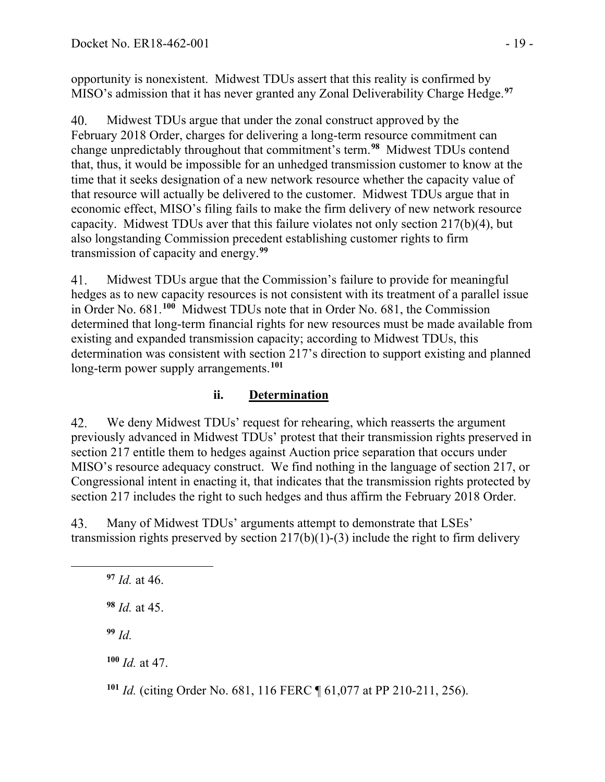opportunity is nonexistent. Midwest TDUs assert that this reality is confirmed by MISO's admission that it has never granted any Zonal Deliverability Charge Hedge.**[97](#page-18-0)**

Midwest TDUs argue that under the zonal construct approved by the 40. February 2018 Order, charges for delivering a long-term resource commitment can change unpredictably throughout that commitment's term.**[98](#page-18-1)** Midwest TDUs contend that, thus, it would be impossible for an unhedged transmission customer to know at the time that it seeks designation of a new network resource whether the capacity value of that resource will actually be delivered to the customer. Midwest TDUs argue that in economic effect, MISO's filing fails to make the firm delivery of new network resource capacity. Midwest TDUs aver that this failure violates not only section 217(b)(4), but also longstanding Commission precedent establishing customer rights to firm transmission of capacity and energy.**[99](#page-18-2)**

Midwest TDUs argue that the Commission's failure to provide for meaningful 41. hedges as to new capacity resources is not consistent with its treatment of a parallel issue in Order No. 681.**[100](#page-18-3)** Midwest TDUs note that in Order No. 681, the Commission determined that long-term financial rights for new resources must be made available from existing and expanded transmission capacity; according to Midwest TDUs, this determination was consistent with section 217's direction to support existing and planned long-term power supply arrangements.**[101](#page-18-4)**

### **ii. Determination**

42. We deny Midwest TDUs' request for rehearing, which reasserts the argument previously advanced in Midwest TDUs' protest that their transmission rights preserved in section 217 entitle them to hedges against Auction price separation that occurs under MISO's resource adequacy construct. We find nothing in the language of section 217, or Congressional intent in enacting it, that indicates that the transmission rights protected by section 217 includes the right to such hedges and thus affirm the February 2018 Order.

<span id="page-18-0"></span>43. Many of Midwest TDUs' arguments attempt to demonstrate that LSEs' transmission rights preserved by section  $217(b)(1)-(3)$  include the right to firm delivery

<span id="page-18-1"></span> *Id.* at 46. *Id.* at 45. **<sup>99</sup>** *Id. Id.* at 47.

<span id="page-18-4"></span><span id="page-18-3"></span><span id="page-18-2"></span>**<sup>101</sup>** *Id.* (citing Order No. 681, 116 FERC ¶ 61,077 at PP 210-211, 256).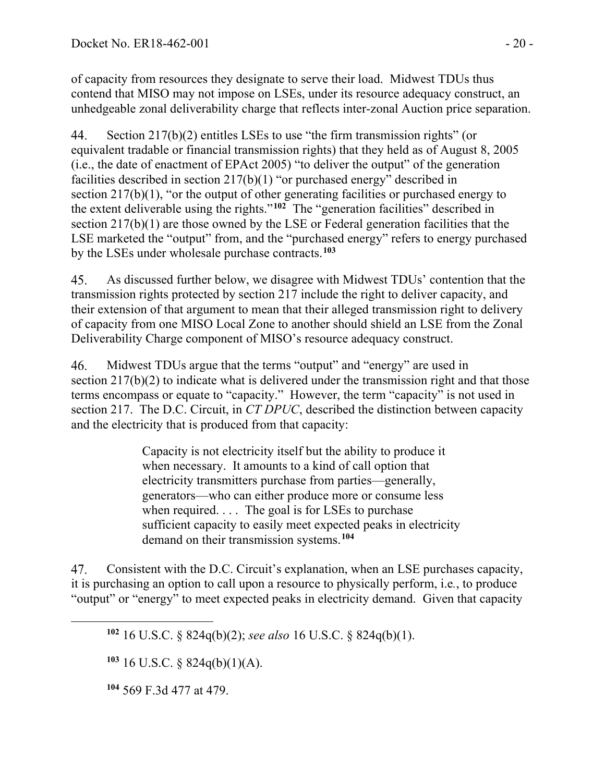of capacity from resources they designate to serve their load. Midwest TDUs thus contend that MISO may not impose on LSEs, under its resource adequacy construct, an unhedgeable zonal deliverability charge that reflects inter-zonal Auction price separation.

44. Section 217(b)(2) entitles LSEs to use "the firm transmission rights" (or equivalent tradable or financial transmission rights) that they held as of August 8, 2005 (i.e., the date of enactment of EPAct 2005) "to deliver the output" of the generation facilities described in section 217(b)(1) "or purchased energy" described in section 217(b)(1), "or the output of other generating facilities or purchased energy to the extent deliverable using the rights."**[102](#page-19-0)** The "generation facilities" described in section 217(b)(1) are those owned by the LSE or Federal generation facilities that the LSE marketed the "output" from, and the "purchased energy" refers to energy purchased by the LSEs under wholesale purchase contracts.**[103](#page-19-1)**

As discussed further below, we disagree with Midwest TDUs' contention that the 45. transmission rights protected by section 217 include the right to deliver capacity, and their extension of that argument to mean that their alleged transmission right to delivery of capacity from one MISO Local Zone to another should shield an LSE from the Zonal Deliverability Charge component of MISO's resource adequacy construct.

 $46<sub>1</sub>$ Midwest TDUs argue that the terms "output" and "energy" are used in section 217(b)(2) to indicate what is delivered under the transmission right and that those terms encompass or equate to "capacity." However, the term "capacity" is not used in section 217. The D.C. Circuit, in *CT DPUC*, described the distinction between capacity and the electricity that is produced from that capacity:

> Capacity is not electricity itself but the ability to produce it when necessary. It amounts to a kind of call option that electricity transmitters purchase from parties—generally, generators—who can either produce more or consume less when required. . . . The goal is for LSEs to purchase sufficient capacity to easily meet expected peaks in electricity demand on their transmission systems.**[104](#page-19-2)**

<span id="page-19-0"></span>47. Consistent with the D.C. Circuit's explanation, when an LSE purchases capacity, it is purchasing an option to call upon a resource to physically perform, i.e*.*, to produce "output" or "energy" to meet expected peaks in electricity demand. Given that capacity

<span id="page-19-1"></span>**<sup>103</sup>** 16 U.S.C. § 824q(b)(1)(A).

<span id="page-19-2"></span>**<sup>104</sup>** 569 F.3d 477 at 479.

**<sup>102</sup>** 16 U.S.C. § 824q(b)(2); *see also* 16 U.S.C. § 824q(b)(1).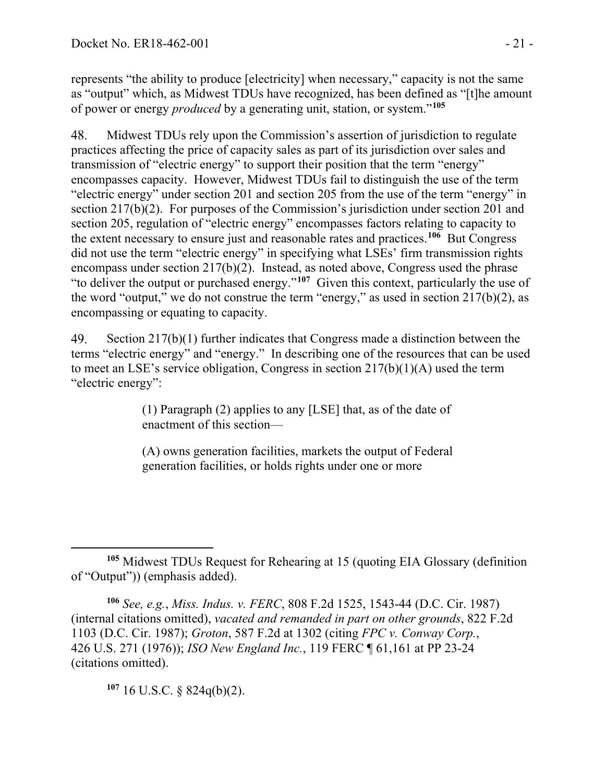represents "the ability to produce [electricity] when necessary," capacity is not the same as "output" which, as Midwest TDUs have recognized, has been defined as "[t]he amount of power or energy *produced* by a generating unit, station, or system."**[105](#page-20-0)**

48. Midwest TDUs rely upon the Commission's assertion of jurisdiction to regulate practices affecting the price of capacity sales as part of its jurisdiction over sales and transmission of "electric energy" to support their position that the term "energy" encompasses capacity. However, Midwest TDUs fail to distinguish the use of the term "electric energy" under section 201 and section 205 from the use of the term "energy" in section 217(b)(2). For purposes of the Commission's jurisdiction under section 201 and section 205, regulation of "electric energy" encompasses factors relating to capacity to the extent necessary to ensure just and reasonable rates and practices.**[106](#page-20-1)** But Congress did not use the term "electric energy" in specifying what LSEs' firm transmission rights encompass under section 217(b)(2). Instead, as noted above, Congress used the phrase "to deliver the output or purchased energy."**[107](#page-20-2)** Given this context, particularly the use of the word "output," we do not construe the term "energy," as used in section  $217(b)(2)$ , as encompassing or equating to capacity.

49. Section 217(b)(1) further indicates that Congress made a distinction between the terms "electric energy" and "energy." In describing one of the resources that can be used to meet an LSE's service obligation, Congress in section 217(b)(1)(A) used the term "electric energy":

> (1) Paragraph (2) applies to any [LSE] that, as of the date of enactment of this section—

> (A) owns generation facilities, markets the output of Federal generation facilities, or holds rights under one or more

<span id="page-20-1"></span>**<sup>106</sup>** *See, e.g.*, *Miss. Indus. v. FERC*, 808 F.2d 1525, 1543-44 (D.C. Cir. 1987) (internal citations omitted), *vacated and remanded in part on other grounds*, 822 F.2d 1103 (D.C. Cir. 1987); *Groton*, 587 F.2d at 1302 (citing *FPC v. Conway Corp.*, 426 U.S. 271 (1976)); *ISO New England Inc.*, 119 FERC ¶ 61,161 at PP 23-24 (citations omitted).

<span id="page-20-2"></span>**<sup>107</sup>** 16 U.S.C. § 824q(b)(2).

<span id="page-20-0"></span>**<sup>105</sup>** Midwest TDUs Request for Rehearing at 15 (quoting EIA Glossary (definition of "Output")) (emphasis added).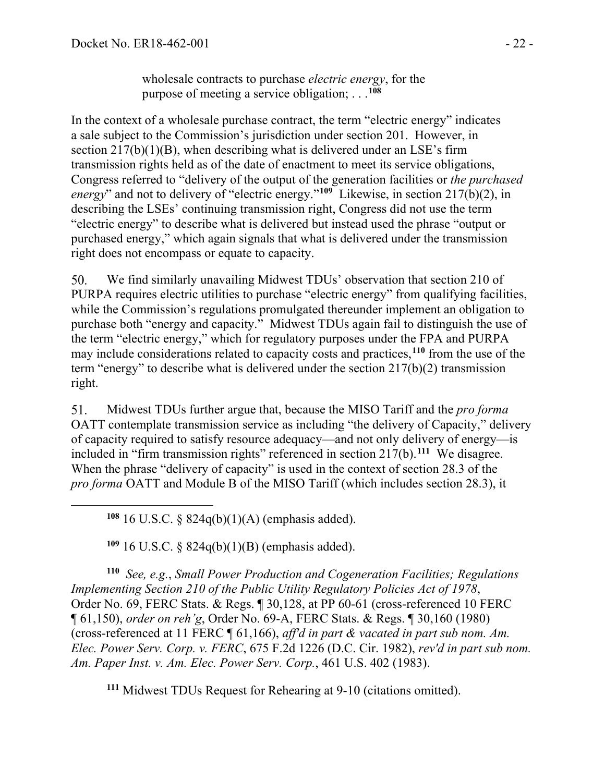wholesale contracts to purchase *electric energy*, for the purpose of meeting a service obligation; . . .**[108](#page-21-0)**

In the context of a wholesale purchase contract, the term "electric energy" indicates a sale subject to the Commission's jurisdiction under section 201. However, in section  $217(b)(1)(B)$ , when describing what is delivered under an LSE's firm transmission rights held as of the date of enactment to meet its service obligations, Congress referred to "delivery of the output of the generation facilities or *the purchased energy*" and not to delivery of "electric energy."**[109](#page-21-1)** Likewise, in section 217(b)(2), in describing the LSEs' continuing transmission right, Congress did not use the term "electric energy" to describe what is delivered but instead used the phrase "output or purchased energy," which again signals that what is delivered under the transmission right does not encompass or equate to capacity.

We find similarly unavailing Midwest TDUs' observation that section 210 of 50. PURPA requires electric utilities to purchase "electric energy" from qualifying facilities, while the Commission's regulations promulgated thereunder implement an obligation to purchase both "energy and capacity." Midwest TDUs again fail to distinguish the use of the term "electric energy," which for regulatory purposes under the FPA and PURPA may include considerations related to capacity costs and practices,**[110](#page-21-2)** from the use of the term "energy" to describe what is delivered under the section 217(b)(2) transmission right.

Midwest TDUs further argue that, because the MISO Tariff and the *pro forma* 51. OATT contemplate transmission service as including "the delivery of Capacity," delivery of capacity required to satisfy resource adequacy—and not only delivery of energy—is included in "firm transmission rights" referenced in section 217(b).**[111](#page-21-3)** We disagree. When the phrase "delivery of capacity" is used in the context of section 28.3 of the *pro forma* OATT and Module B of the MISO Tariff (which includes section 28.3), it

**<sup>108</sup>** 16 U.S.C. § 824q(b)(1)(A) (emphasis added).

**<sup>109</sup>** 16 U.S.C. § 824q(b)(1)(B) (emphasis added).

<span id="page-21-2"></span><span id="page-21-1"></span><span id="page-21-0"></span>**<sup>110</sup>** *See, e.g.*, *Small Power Production and Cogeneration Facilities; Regulations Implementing Section 210 of the Public Utility Regulatory Policies Act of 1978*, Order No. 69, FERC Stats. & Regs. ¶ 30,128, at PP 60-61 (cross-referenced 10 FERC ¶ 61,150), *order on reh'g*, Order No. 69-A, FERC Stats. & Regs. ¶ 30,160 (1980) (cross-referenced at 11 FERC ¶ 61,166), *aff'd in part & vacated in part sub nom. Am. Elec. Power Serv. Corp. v. FERC*, 675 F.2d 1226 (D.C. Cir. 1982), *rev'd in part sub nom. Am. Paper Inst. v. Am. Elec. Power Serv. Corp.*, 461 U.S. 402 (1983).

<span id="page-21-3"></span>**<sup>111</sup>** Midwest TDUs Request for Rehearing at 9-10 (citations omitted).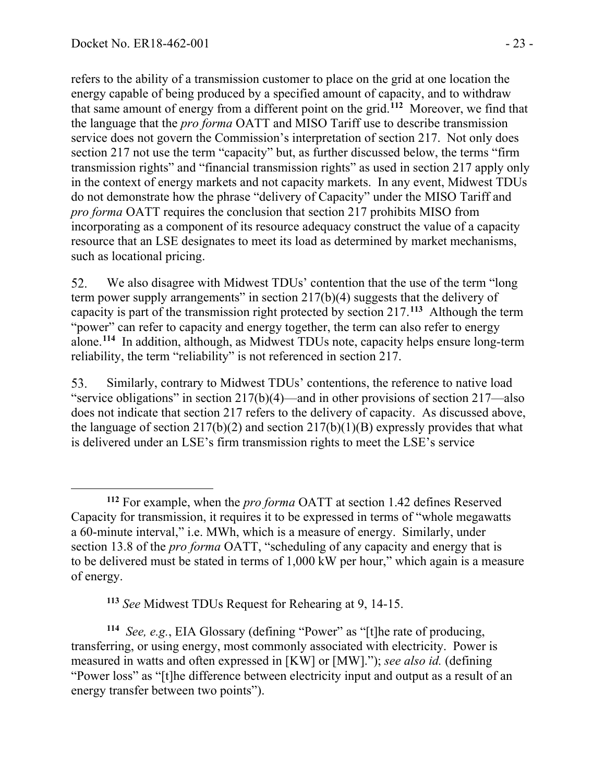refers to the ability of a transmission customer to place on the grid at one location the energy capable of being produced by a specified amount of capacity, and to withdraw that same amount of energy from a different point on the grid.**[112](#page-22-0)** Moreover, we find that the language that the *pro forma* OATT and MISO Tariff use to describe transmission service does not govern the Commission's interpretation of section 217. Not only does section 217 not use the term "capacity" but, as further discussed below, the terms "firm transmission rights" and "financial transmission rights" as used in section 217 apply only in the context of energy markets and not capacity markets.In any event, Midwest TDUs do not demonstrate how the phrase "delivery of Capacity" under the MISO Tariff and *pro forma* OATT requires the conclusion that section 217 prohibits MISO from incorporating as a component of its resource adequacy construct the value of a capacity resource that an LSE designates to meet its load as determined by market mechanisms, such as locational pricing.

52. We also disagree with Midwest TDUs' contention that the use of the term "long" term power supply arrangements" in section 217(b)(4) suggests that the delivery of capacity is part of the transmission right protected by section 217.**[113](#page-22-1)** Although the term "power" can refer to capacity and energy together, the term can also refer to energy alone.**[114](#page-22-2)** In addition, although, as Midwest TDUs note, capacity helps ensure long-term reliability, the term "reliability" is not referenced in section 217.

53. Similarly, contrary to Midwest TDUs' contentions, the reference to native load "service obligations" in section 217(b)(4)—and in other provisions of section 217—also does not indicate that section 217 refers to the delivery of capacity. As discussed above, the language of section  $217(b)(2)$  and section  $217(b)(1)(B)$  expressly provides that what is delivered under an LSE's firm transmission rights to meet the LSE's service

**<sup>113</sup>** *See* Midwest TDUs Request for Rehearing at 9, 14-15.

<span id="page-22-2"></span><span id="page-22-1"></span>**<sup>114</sup>** *See, e.g.*, EIA Glossary (defining "Power" as "[t]he rate of producing, transferring, or using energy, most commonly associated with electricity. Power is measured in watts and often expressed in [KW] or [MW]."); *see also id.* (defining "Power loss" as "[t]he difference between electricity input and output as a result of an energy transfer between two points").

<span id="page-22-0"></span>**<sup>112</sup>** For example, when the *pro forma* OATT at section 1.42 defines Reserved Capacity for transmission, it requires it to be expressed in terms of "whole megawatts a 60-minute interval," i.e. MWh, which is a measure of energy. Similarly, under section 13.8 of the *pro forma* OATT, "scheduling of any capacity and energy that is to be delivered must be stated in terms of 1,000 kW per hour," which again is a measure of energy.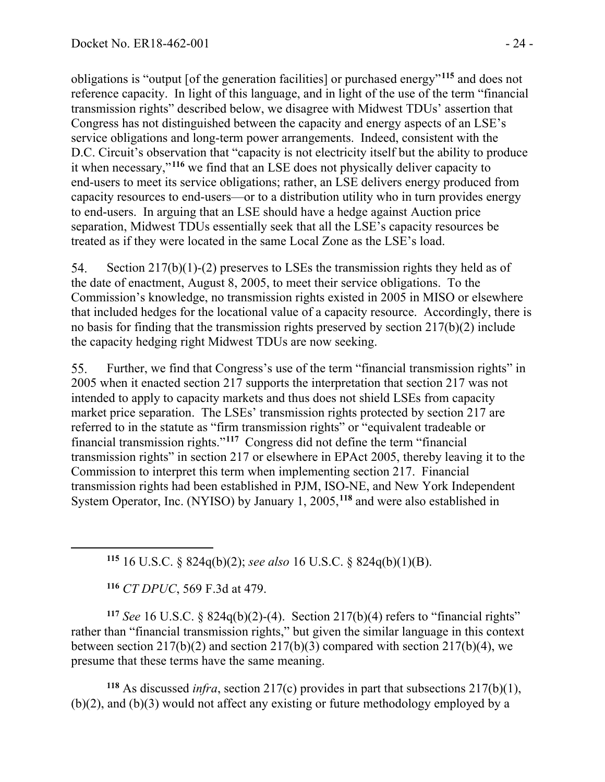obligations is "output [of the generation facilities] or purchased energy"**[115](#page-23-0)** and does not reference capacity. In light of this language, and in light of the use of the term "financial transmission rights" described below, we disagree with Midwest TDUs' assertion that Congress has not distinguished between the capacity and energy aspects of an LSE's service obligations and long-term power arrangements. Indeed, consistent with the D.C. Circuit's observation that "capacity is not electricity itself but the ability to produce it when necessary,"**[116](#page-23-1)** we find that an LSE does not physically deliver capacity to end-users to meet its service obligations; rather, an LSE delivers energy produced from capacity resources to end-users—or to a distribution utility who in turn provides energy to end-users. In arguing that an LSE should have a hedge against Auction price separation, Midwest TDUs essentially seek that all the LSE's capacity resources be treated as if they were located in the same Local Zone as the LSE's load.

54. Section 217(b)(1)-(2) preserves to LSEs the transmission rights they held as of the date of enactment, August 8, 2005, to meet their service obligations. To the Commission's knowledge, no transmission rights existed in 2005 in MISO or elsewhere that included hedges for the locational value of a capacity resource. Accordingly, there is no basis for finding that the transmission rights preserved by section 217(b)(2) include the capacity hedging right Midwest TDUs are now seeking.

Further, we find that Congress's use of the term "financial transmission rights" in 55. 2005 when it enacted section 217 supports the interpretation that section 217 was not intended to apply to capacity markets and thus does not shield LSEs from capacity market price separation. The LSEs' transmission rights protected by section 217 are referred to in the statute as "firm transmission rights" or "equivalent tradeable or financial transmission rights."**[117](#page-23-2)** Congress did not define the term "financial transmission rights" in section 217 or elsewhere in EPAct 2005, thereby leaving it to the Commission to interpret this term when implementing section 217. Financial transmission rights had been established in PJM, ISO-NE, and New York Independent System Operator, Inc. (NYISO) by January 1, 2005,**[118](#page-23-3)** and were also established in

**<sup>115</sup>** 16 U.S.C. § 824q(b)(2); *see also* 16 U.S.C. § 824q(b)(1)(B).

**<sup>116</sup>** *CT DPUC*, 569 F.3d at 479.

<span id="page-23-2"></span><span id="page-23-1"></span><span id="page-23-0"></span>**<sup>117</sup>** *See* 16 U.S.C. § 824q(b)(2)-(4). Section 217(b)(4) refers to "financial rights" rather than "financial transmission rights," but given the similar language in this context between section 217(b)(2) and section 217(b)(3) compared with section 217(b)(4), we presume that these terms have the same meaning.

<span id="page-23-3"></span>**<sup>118</sup>** As discussed *infra*, section 217(c) provides in part that subsections 217(b)(1), (b)(2), and (b)(3) would not affect any existing or future methodology employed by a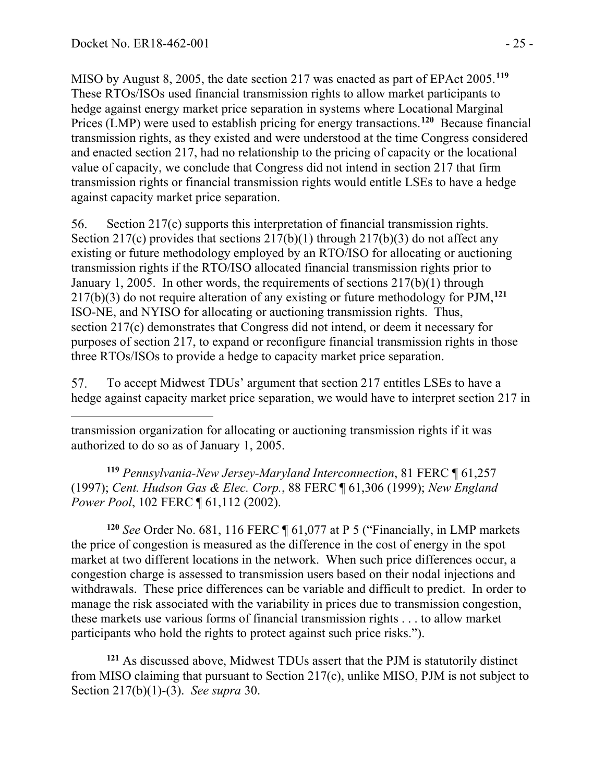MISO by August 8, 2005, the date section 217 was enacted as part of EPAct 2005.**[119](#page-24-0)** These RTOs/ISOs used financial transmission rights to allow market participants to hedge against energy market price separation in systems where Locational Marginal Prices (LMP) were used to establish pricing for energy transactions.**[120](#page-24-1)** Because financial transmission rights, as they existed and were understood at the time Congress considered and enacted section 217, had no relationship to the pricing of capacity or the locational value of capacity, we conclude that Congress did not intend in section 217 that firm transmission rights or financial transmission rights would entitle LSEs to have a hedge against capacity market price separation.

56. Section 217(c) supports this interpretation of financial transmission rights. Section 217(c) provides that sections  $217(b)(1)$  through  $217(b)(3)$  do not affect any existing or future methodology employed by an RTO/ISO for allocating or auctioning transmission rights if the RTO/ISO allocated financial transmission rights prior to January 1, 2005. In other words, the requirements of sections 217(b)(1) through 217(b)(3) do not require alteration of any existing or future methodology for PJM,**[121](#page-24-2)** ISO-NE, and NYISO for allocating or auctioning transmission rights. Thus, section 217(c) demonstrates that Congress did not intend, or deem it necessary for purposes of section 217, to expand or reconfigure financial transmission rights in those three RTOs/ISOs to provide a hedge to capacity market price separation.

57. To accept Midwest TDUs' argument that section 217 entitles LSEs to have a hedge against capacity market price separation, we would have to interpret section 217 in

transmission organization for allocating or auctioning transmission rights if it was authorized to do so as of January 1, 2005.

<span id="page-24-0"></span>**<sup>119</sup>** *Pennsylvania-New Jersey-Maryland Interconnection*, 81 FERC ¶ 61,257 (1997); *Cent. Hudson Gas & Elec. Corp.*, 88 FERC ¶ 61,306 (1999); *New England Power Pool*, 102 FERC ¶ 61,112 (2002).

<span id="page-24-1"></span>**<sup>120</sup>** *See* Order No. 681, 116 FERC ¶ 61,077 at P 5 ("Financially, in LMP markets the price of congestion is measured as the difference in the cost of energy in the spot market at two different locations in the network. When such price differences occur, a congestion charge is assessed to transmission users based on their nodal injections and withdrawals. These price differences can be variable and difficult to predict. In order to manage the risk associated with the variability in prices due to transmission congestion, these markets use various forms of financial transmission rights . . . to allow market participants who hold the rights to protect against such price risks.").

<span id="page-24-2"></span>**<sup>121</sup>** As discussed above, Midwest TDUs assert that the PJM is statutorily distinct from MISO claiming that pursuant to Section 217(c), unlike MISO, PJM is not subject to Section 217(b)(1)-(3). *See supra* 30.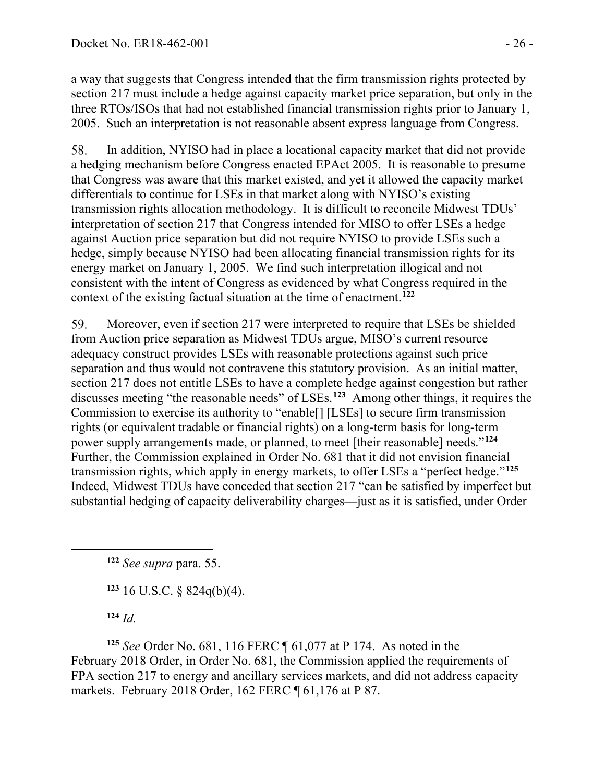a way that suggests that Congress intended that the firm transmission rights protected by section 217 must include a hedge against capacity market price separation, but only in the three RTOs/ISOs that had not established financial transmission rights prior to January 1, 2005. Such an interpretation is not reasonable absent express language from Congress.

58. In addition, NYISO had in place a locational capacity market that did not provide a hedging mechanism before Congress enacted EPAct 2005. It is reasonable to presume that Congress was aware that this market existed, and yet it allowed the capacity market differentials to continue for LSEs in that market along with NYISO's existing transmission rights allocation methodology. It is difficult to reconcile Midwest TDUs' interpretation of section 217 that Congress intended for MISO to offer LSEs a hedge against Auction price separation but did not require NYISO to provide LSEs such a hedge, simply because NYISO had been allocating financial transmission rights for its energy market on January 1, 2005. We find such interpretation illogical and not consistent with the intent of Congress as evidenced by what Congress required in the context of the existing factual situation at the time of enactment.**[122](#page-25-0)**

Moreover, even if section 217 were interpreted to require that LSEs be shielded 59. from Auction price separation as Midwest TDUs argue, MISO's current resource adequacy construct provides LSEs with reasonable protections against such price separation and thus would not contravene this statutory provision. As an initial matter, section 217 does not entitle LSEs to have a complete hedge against congestion but rather discusses meeting "the reasonable needs" of LSEs.**[123](#page-25-1)** Among other things, it requires the Commission to exercise its authority to "enable[] [LSEs] to secure firm transmission rights (or equivalent tradable or financial rights) on a long-term basis for long-term power supply arrangements made, or planned, to meet [their reasonable] needs."**[124](#page-25-2)** Further, the Commission explained in Order No. 681 that it did not envision financial transmission rights, which apply in energy markets, to offer LSEs a "perfect hedge."**[125](#page-25-3)** Indeed, Midwest TDUs have conceded that section 217 "can be satisfied by imperfect but substantial hedging of capacity deliverability charges—just as it is satisfied, under Order

<span id="page-25-0"></span>**<sup>122</sup>** *See supra* para. 55.

**<sup>123</sup>** 16 U.S.C. § 824q(b)(4).

**<sup>124</sup>** *Id.*

<span id="page-25-3"></span><span id="page-25-2"></span><span id="page-25-1"></span>**<sup>125</sup>** *See* Order No. 681, 116 FERC ¶ 61,077 at P 174. As noted in the February 2018 Order, in Order No. 681, the Commission applied the requirements of FPA section 217 to energy and ancillary services markets, and did not address capacity markets. February 2018 Order, 162 FERC ¶ 61,176 at P 87.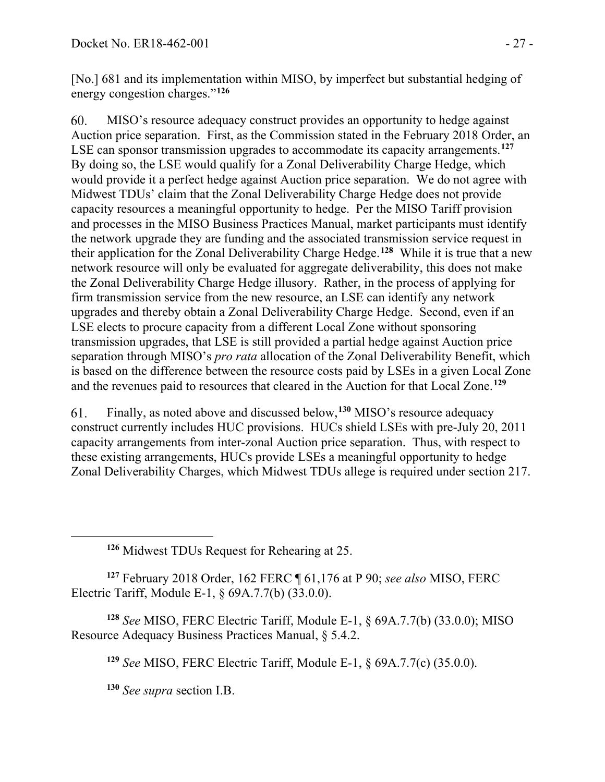[No.] 681 and its implementation within MISO, by imperfect but substantial hedging of energy congestion charges."**[126](#page-26-0)**

60. MISO's resource adequacy construct provides an opportunity to hedge against Auction price separation. First, as the Commission stated in the February 2018 Order, an LSE can sponsor transmission upgrades to accommodate its capacity arrangements.**[127](#page-26-1)** By doing so, the LSE would qualify for a Zonal Deliverability Charge Hedge, which would provide it a perfect hedge against Auction price separation. We do not agree with Midwest TDUs' claim that the Zonal Deliverability Charge Hedge does not provide capacity resources a meaningful opportunity to hedge. Per the MISO Tariff provision and processes in the MISO Business Practices Manual, market participants must identify the network upgrade they are funding and the associated transmission service request in their application for the Zonal Deliverability Charge Hedge.**[128](#page-26-2)** While it is true that a new network resource will only be evaluated for aggregate deliverability, this does not make the Zonal Deliverability Charge Hedge illusory. Rather, in the process of applying for firm transmission service from the new resource, an LSE can identify any network upgrades and thereby obtain a Zonal Deliverability Charge Hedge. Second, even if an LSE elects to procure capacity from a different Local Zone without sponsoring transmission upgrades, that LSE is still provided a partial hedge against Auction price separation through MISO's *pro rata* allocation of the Zonal Deliverability Benefit, which is based on the difference between the resource costs paid by LSEs in a given Local Zone and the revenues paid to resources that cleared in the Auction for that Local Zone. **[129](#page-26-3)**

61. Finally, as noted above and discussed below, **[130](#page-26-4)** MISO's resource adequacy construct currently includes HUC provisions. HUCs shield LSEs with pre-July 20, 2011 capacity arrangements from inter-zonal Auction price separation. Thus, with respect to these existing arrangements, HUCs provide LSEs a meaningful opportunity to hedge Zonal Deliverability Charges, which Midwest TDUs allege is required under section 217.

**<sup>126</sup>** Midwest TDUs Request for Rehearing at 25.

<span id="page-26-1"></span><span id="page-26-0"></span>**<sup>127</sup>** February 2018 Order, 162 FERC ¶ 61,176 at P 90; *see also* MISO, FERC Electric Tariff, Module E-1, § 69A.7.7(b) (33.0.0).

<span id="page-26-4"></span><span id="page-26-3"></span><span id="page-26-2"></span>**<sup>128</sup>** *See* MISO, FERC Electric Tariff, Module E-1, § 69A.7.7(b) (33.0.0); MISO Resource Adequacy Business Practices Manual, § 5.4.2.

**<sup>129</sup>** *See* MISO, FERC Electric Tariff, Module E-1, § 69A.7.7(c) (35.0.0).

**<sup>130</sup>** *See supra* section I.B.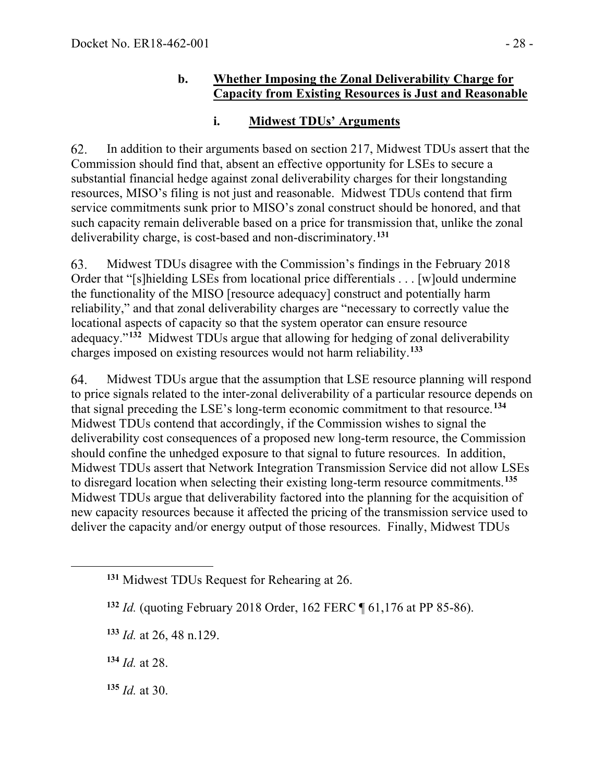#### **b. Whether Imposing the Zonal Deliverability Charge for Capacity from Existing Resources is Just and Reasonable**

### **i. Midwest TDUs' Arguments**

62. In addition to their arguments based on section 217, Midwest TDUs assert that the Commission should find that, absent an effective opportunity for LSEs to secure a substantial financial hedge against zonal deliverability charges for their longstanding resources, MISO's filing is not just and reasonable. Midwest TDUs contend that firm service commitments sunk prior to MISO's zonal construct should be honored, and that such capacity remain deliverable based on a price for transmission that, unlike the zonal deliverability charge, is cost-based and non-discriminatory. **[131](#page-27-0)**

63. Midwest TDUs disagree with the Commission's findings in the February 2018 Order that "[s]hielding LSEs from locational price differentials . . . [w]ould undermine the functionality of the MISO [resource adequacy] construct and potentially harm reliability," and that zonal deliverability charges are "necessary to correctly value the locational aspects of capacity so that the system operator can ensure resource adequacy."**[132](#page-27-1)** Midwest TDUs argue that allowing for hedging of zonal deliverability charges imposed on existing resources would not harm reliability.**[133](#page-27-2)**

64. Midwest TDUs argue that the assumption that LSE resource planning will respond to price signals related to the inter-zonal deliverability of a particular resource depends on that signal preceding the LSE's long-term economic commitment to that resource.**[134](#page-27-3)** Midwest TDUs contend that accordingly, if the Commission wishes to signal the deliverability cost consequences of a proposed new long-term resource, the Commission should confine the unhedged exposure to that signal to future resources. In addition, Midwest TDUs assert that Network Integration Transmission Service did not allow LSEs to disregard location when selecting their existing long-term resource commitments.**[135](#page-27-4)** Midwest TDUs argue that deliverability factored into the planning for the acquisition of new capacity resources because it affected the pricing of the transmission service used to deliver the capacity and/or energy output of those resources. Finally, Midwest TDUs

<span id="page-27-3"></span>**<sup>134</sup>** *Id.* at 28.

<span id="page-27-4"></span>**<sup>135</sup>** *Id.* at 30.

<span id="page-27-0"></span>**<sup>131</sup>** Midwest TDUs Request for Rehearing at 26.

<span id="page-27-1"></span>**<sup>132</sup>** *Id.* (quoting February 2018 Order, 162 FERC ¶ 61,176 at PP 85-86).

<span id="page-27-2"></span>**<sup>133</sup>** *Id.* at 26, 48 n.129.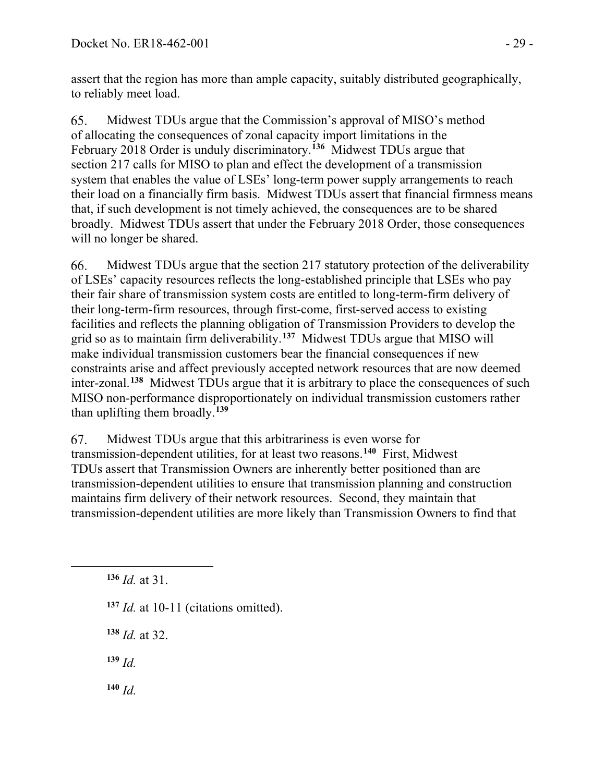assert that the region has more than ample capacity, suitably distributed geographically, to reliably meet load.

Midwest TDUs argue that the Commission's approval of MISO's method 65. of allocating the consequences of zonal capacity import limitations in the February 2018 Order is unduly discriminatory.**[136](#page-28-0)** Midwest TDUs argue that section 217 calls for MISO to plan and effect the development of a transmission system that enables the value of LSEs' long-term power supply arrangements to reach their load on a financially firm basis. Midwest TDUs assert that financial firmness means that, if such development is not timely achieved, the consequences are to be shared broadly. Midwest TDUs assert that under the February 2018 Order, those consequences will no longer be shared.

Midwest TDUs argue that the section 217 statutory protection of the deliverability 66. of LSEs' capacity resources reflects the long-established principle that LSEs who pay their fair share of transmission system costs are entitled to long-term-firm delivery of their long-term-firm resources, through first-come, first-served access to existing facilities and reflects the planning obligation of Transmission Providers to develop the grid so as to maintain firm deliverability.**[137](#page-28-1)** Midwest TDUs argue that MISO will make individual transmission customers bear the financial consequences if new constraints arise and affect previously accepted network resources that are now deemed inter-zonal.**[138](#page-28-2)** Midwest TDUs argue that it is arbitrary to place the consequences of such MISO non-performance disproportionately on individual transmission customers rather than uplifting them broadly.**[139](#page-28-3)**

Midwest TDUs argue that this arbitrariness is even worse for 67. transmission-dependent utilities, for at least two reasons.**[140](#page-28-4)** First, Midwest TDUs assert that Transmission Owners are inherently better positioned than are transmission-dependent utilities to ensure that transmission planning and construction maintains firm delivery of their network resources. Second, they maintain that transmission-dependent utilities are more likely than Transmission Owners to find that

- <span id="page-28-1"></span>**<sup>137</sup>** *Id.* at 10-11 (citations omitted).
- <span id="page-28-2"></span>**<sup>138</sup>** *Id.* at 32.
- <span id="page-28-3"></span>**<sup>139</sup>** *Id.*
- <span id="page-28-4"></span>**<sup>140</sup>** *Id.*

<span id="page-28-0"></span>**<sup>136</sup>** *Id.* at 31.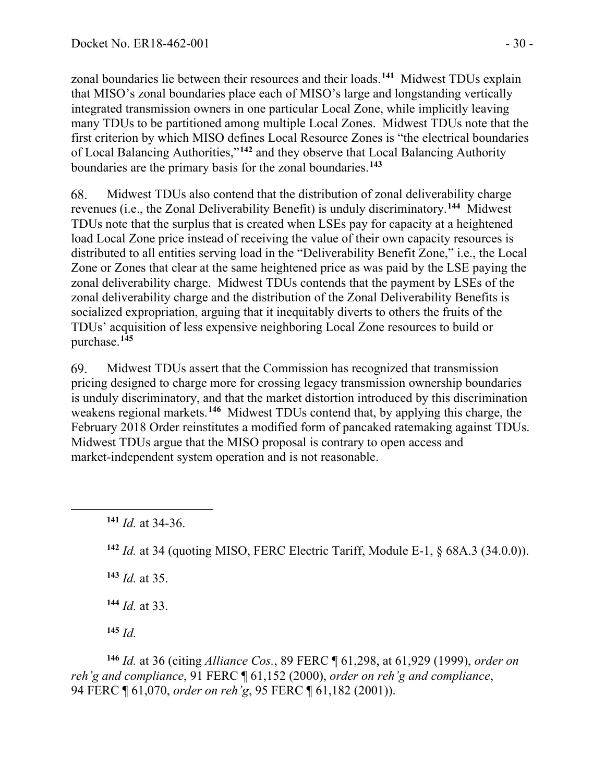zonal boundaries lie between their resources and their loads.**[141](#page-29-0)** Midwest TDUs explain that MISO's zonal boundaries place each of MISO's large and longstanding vertically integrated transmission owners in one particular Local Zone, while implicitly leaving many TDUs to be partitioned among multiple Local Zones. Midwest TDUs note that the first criterion by which MISO defines Local Resource Zones is "the electrical boundaries of Local Balancing Authorities,"**[142](#page-29-1)** and they observe that Local Balancing Authority boundaries are the primary basis for the zonal boundaries.**[143](#page-29-2)**

68. Midwest TDUs also contend that the distribution of zonal deliverability charge revenues (i.e., the Zonal Deliverability Benefit) is unduly discriminatory.**[144](#page-29-3)** Midwest TDUs note that the surplus that is created when LSEs pay for capacity at a heightened load Local Zone price instead of receiving the value of their own capacity resources is distributed to all entities serving load in the "Deliverability Benefit Zone," i.e., the Local Zone or Zones that clear at the same heightened price as was paid by the LSE paying the zonal deliverability charge. Midwest TDUs contends that the payment by LSEs of the zonal deliverability charge and the distribution of the Zonal Deliverability Benefits is socialized expropriation, arguing that it inequitably diverts to others the fruits of the TDUs' acquisition of less expensive neighboring Local Zone resources to build or purchase.**[145](#page-29-4)**

Midwest TDUs assert that the Commission has recognized that transmission 69. pricing designed to charge more for crossing legacy transmission ownership boundaries is unduly discriminatory, and that the market distortion introduced by this discrimination weakens regional markets.**[146](#page-29-5)** Midwest TDUs contend that, by applying this charge, the February 2018 Order reinstitutes a modified form of pancaked ratemaking against TDUs. Midwest TDUs argue that the MISO proposal is contrary to open access and market-independent system operation and is not reasonable.

<span id="page-29-1"></span>**<sup>142</sup>** *Id.* at 34 (quoting MISO, FERC Electric Tariff, Module E-1, § 68A.3 (34.0.0)).

<span id="page-29-2"></span>**<sup>143</sup>** *Id.* at 35.

**<sup>144</sup>** *Id.* at 33.

**<sup>145</sup>** *Id.*

<span id="page-29-5"></span><span id="page-29-4"></span><span id="page-29-3"></span>**<sup>146</sup>** *Id.* at 36 (citing *Alliance Cos.*, 89 FERC ¶ 61,298, at 61,929 (1999), *order on reh'g and compliance*, 91 FERC ¶ 61,152 (2000), *order on reh'g and compliance*, 94 FERC ¶ 61,070, *order on reh'g*, 95 FERC ¶ 61,182 (2001)).

<span id="page-29-0"></span>**<sup>141</sup>** *Id.* at 34-36.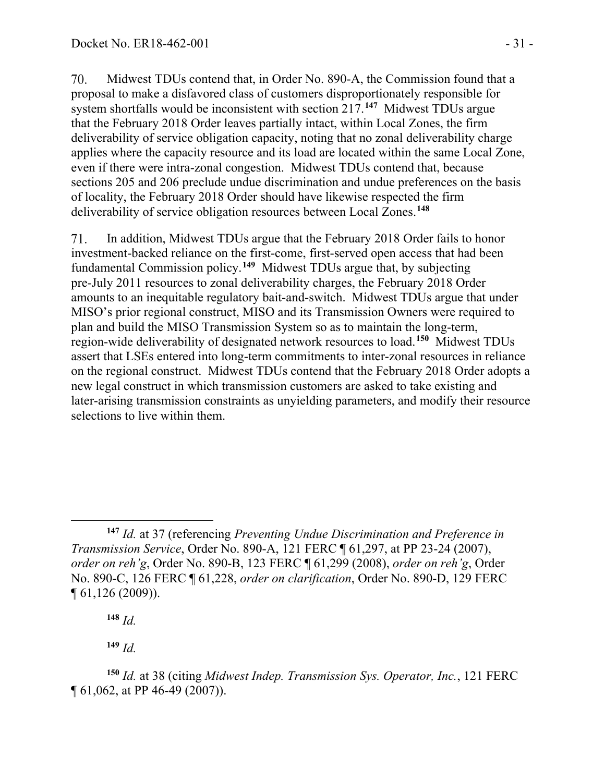70. Midwest TDUs contend that, in Order No. 890-A, the Commission found that a proposal to make a disfavored class of customers disproportionately responsible for system shortfalls would be inconsistent with section 217. **[147](#page-30-0)** Midwest TDUs argue that the February 2018 Order leaves partially intact, within Local Zones, the firm deliverability of service obligation capacity, noting that no zonal deliverability charge applies where the capacity resource and its load are located within the same Local Zone, even if there were intra-zonal congestion. Midwest TDUs contend that, because sections 205 and 206 preclude undue discrimination and undue preferences on the basis of locality, the February 2018 Order should have likewise respected the firm deliverability of service obligation resources between Local Zones. **[148](#page-30-1)**

71. In addition, Midwest TDUs argue that the February 2018 Order fails to honor investment-backed reliance on the first-come, first-served open access that had been fundamental Commission policy.**[149](#page-30-2)** Midwest TDUs argue that, by subjecting pre-July 2011 resources to zonal deliverability charges, the February 2018 Order amounts to an inequitable regulatory bait-and-switch. Midwest TDUs argue that under MISO's prior regional construct, MISO and its Transmission Owners were required to plan and build the MISO Transmission System so as to maintain the long-term, region-wide deliverability of designated network resources to load.**[150](#page-30-3)** Midwest TDUs assert that LSEs entered into long-term commitments to inter-zonal resources in reliance on the regional construct. Midwest TDUs contend that the February 2018 Order adopts a new legal construct in which transmission customers are asked to take existing and later-arising transmission constraints as unyielding parameters, and modify their resource selections to live within them.

**<sup>148</sup>** *Id.*

**<sup>149</sup>** *Id.*

<span id="page-30-0"></span>**<sup>147</sup>** *Id.* at 37 (referencing *Preventing Undue Discrimination and Preference in Transmission Service*, Order No. 890-A, 121 FERC ¶ 61,297, at PP 23-24 (2007), *order on reh'g*, Order No. 890-B, 123 FERC ¶ 61,299 (2008), *order on reh'g*, Order No. 890-C, 126 FERC ¶ 61,228, *order on clarification*, Order No. 890-D, 129 FERC ¶ 61,126 (2009)).

<span id="page-30-3"></span><span id="page-30-2"></span><span id="page-30-1"></span>**<sup>150</sup>** *Id.* at 38 (citing *Midwest Indep. Transmission Sys. Operator, Inc.*, 121 FERC ¶ 61,062, at PP 46-49 (2007)).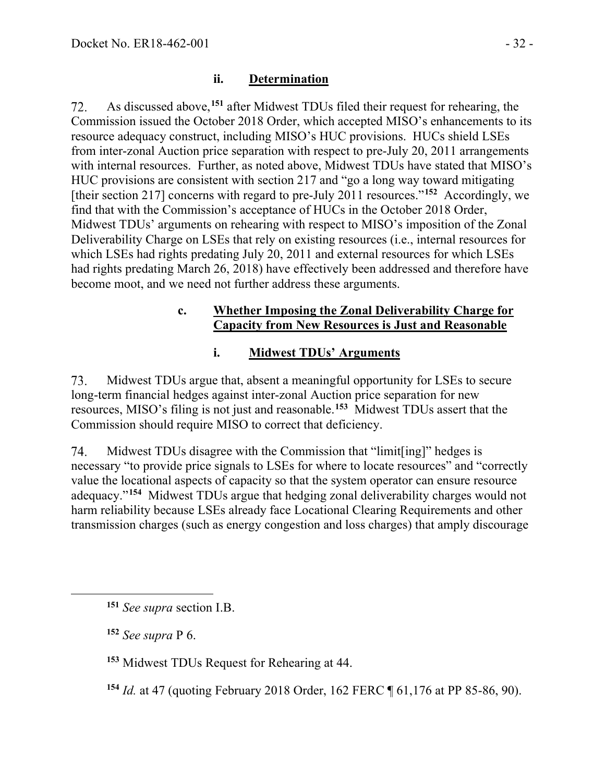#### **ii. Determination**

As discussed above, **[151](#page-31-0)** after Midwest TDUs filed their request for rehearing, the 72. Commission issued the October 2018 Order, which accepted MISO's enhancements to its resource adequacy construct, including MISO's HUC provisions. HUCs shield LSEs from inter-zonal Auction price separation with respect to pre-July 20, 2011 arrangements with internal resources. Further, as noted above, Midwest TDUs have stated that MISO's HUC provisions are consistent with section 217 and "go a long way toward mitigating [their section 217] concerns with regard to pre-July 2011 resources."**[152](#page-31-1)** Accordingly, we find that with the Commission's acceptance of HUCs in the October 2018 Order, Midwest TDUs' arguments on rehearing with respect to MISO's imposition of the Zonal Deliverability Charge on LSEs that rely on existing resources (i.e., internal resources for which LSEs had rights predating July 20, 2011 and external resources for which LSEs had rights predating March 26, 2018) have effectively been addressed and therefore have become moot, and we need not further address these arguments.

#### **c. Whether Imposing the Zonal Deliverability Charge for Capacity from New Resources is Just and Reasonable**

#### **i. Midwest TDUs' Arguments**

73. Midwest TDUs argue that, absent a meaningful opportunity for LSEs to secure long-term financial hedges against inter-zonal Auction price separation for new resources, MISO's filing is not just and reasonable.**[153](#page-31-2)** Midwest TDUs assert that the Commission should require MISO to correct that deficiency.

74. Midwest TDUs disagree with the Commission that "limit[ing]" hedges is necessary "to provide price signals to LSEs for where to locate resources" and "correctly value the locational aspects of capacity so that the system operator can ensure resource adequacy."**[154](#page-31-3)** Midwest TDUs argue that hedging zonal deliverability charges would not harm reliability because LSEs already face Locational Clearing Requirements and other transmission charges (such as energy congestion and loss charges) that amply discourage

<span id="page-31-0"></span>**<sup>151</sup>** *See supra* section I.B.

<span id="page-31-1"></span>**<sup>152</sup>** *See supra* P 6.

<span id="page-31-2"></span>**<sup>153</sup>** Midwest TDUs Request for Rehearing at 44.

<span id="page-31-3"></span>**<sup>154</sup>** *Id.* at 47 (quoting February 2018 Order, 162 FERC ¶ 61,176 at PP 85-86, 90).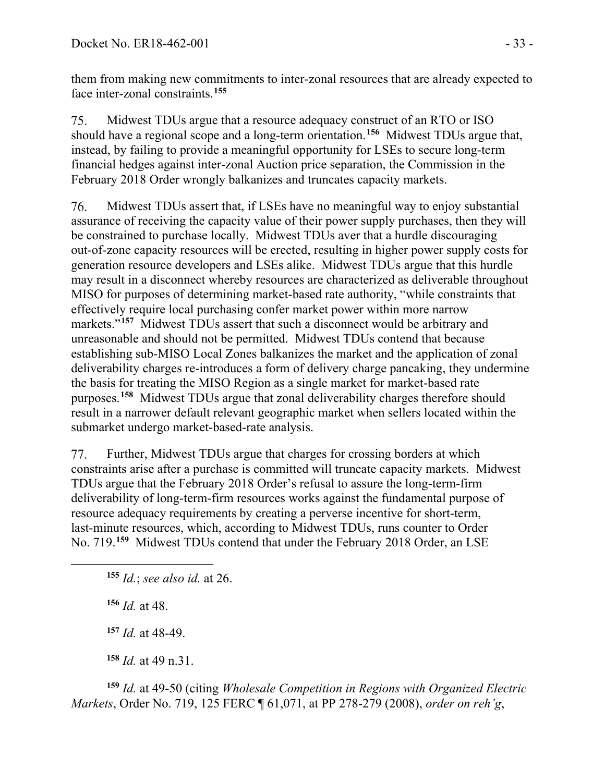them from making new commitments to inter-zonal resources that are already expected to face inter-zonal constraints.**[155](#page-32-0)**

75. Midwest TDUs argue that a resource adequacy construct of an RTO or ISO should have a regional scope and a long-term orientation.**[156](#page-32-1)** Midwest TDUs argue that, instead, by failing to provide a meaningful opportunity for LSEs to secure long-term financial hedges against inter-zonal Auction price separation, the Commission in the February 2018 Order wrongly balkanizes and truncates capacity markets.

76. Midwest TDUs assert that, if LSEs have no meaningful way to enjoy substantial assurance of receiving the capacity value of their power supply purchases, then they will be constrained to purchase locally. Midwest TDUs aver that a hurdle discouraging out-of-zone capacity resources will be erected, resulting in higher power supply costs for generation resource developers and LSEs alike. Midwest TDUs argue that this hurdle may result in a disconnect whereby resources are characterized as deliverable throughout MISO for purposes of determining market-based rate authority, "while constraints that effectively require local purchasing confer market power within more narrow markets."<sup>[157](#page-32-2)</sup> Midwest TDUs assert that such a disconnect would be arbitrary and unreasonable and should not be permitted. Midwest TDUs contend that because establishing sub-MISO Local Zones balkanizes the market and the application of zonal deliverability charges re-introduces a form of delivery charge pancaking, they undermine the basis for treating the MISO Region as a single market for market-based rate purposes.**[158](#page-32-3)** Midwest TDUs argue that zonal deliverability charges therefore should result in a narrower default relevant geographic market when sellers located within the submarket undergo market-based-rate analysis.

Further, Midwest TDUs argue that charges for crossing borders at which 77. constraints arise after a purchase is committed will truncate capacity markets. Midwest TDUs argue that the February 2018 Order's refusal to assure the long-term-firm deliverability of long-term-firm resources works against the fundamental purpose of resource adequacy requirements by creating a perverse incentive for short-term, last-minute resources, which, according to Midwest TDUs, runs counter to Order No. 719.**[159](#page-32-4)** Midwest TDUs contend that under the February 2018 Order, an LSE

<span id="page-32-0"></span>**<sup>155</sup>** *Id.*; *see also id.* at 26.

<span id="page-32-1"></span>**<sup>156</sup>** *Id.* at 48.

**<sup>157</sup>** *Id.* at 48-49.

**<sup>158</sup>** *Id.* at 49 n.31.

<span id="page-32-4"></span><span id="page-32-3"></span><span id="page-32-2"></span>**<sup>159</sup>** *Id.* at 49-50 (citing *Wholesale Competition in Regions with Organized Electric Markets*, Order No. 719, 125 FERC ¶ 61,071, at PP 278-279 (2008), *order on reh'g*,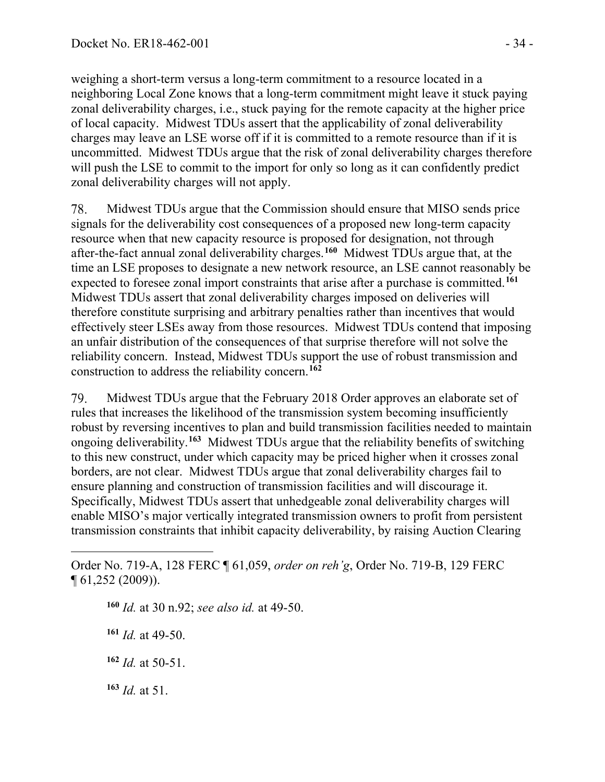weighing a short-term versus a long-term commitment to a resource located in a neighboring Local Zone knows that a long-term commitment might leave it stuck paying zonal deliverability charges, i.e., stuck paying for the remote capacity at the higher price of local capacity. Midwest TDUs assert that the applicability of zonal deliverability charges may leave an LSE worse off if it is committed to a remote resource than if it is uncommitted. Midwest TDUs argue that the risk of zonal deliverability charges therefore will push the LSE to commit to the import for only so long as it can confidently predict zonal deliverability charges will not apply.

Midwest TDUs argue that the Commission should ensure that MISO sends price 78. signals for the deliverability cost consequences of a proposed new long-term capacity resource when that new capacity resource is proposed for designation, not through after-the-fact annual zonal deliverability charges.**[160](#page-33-0)** Midwest TDUs argue that, at the time an LSE proposes to designate a new network resource, an LSE cannot reasonably be expected to foresee zonal import constraints that arise after a purchase is committed. **[161](#page-33-1)** Midwest TDUs assert that zonal deliverability charges imposed on deliveries will therefore constitute surprising and arbitrary penalties rather than incentives that would effectively steer LSEs away from those resources. Midwest TDUs contend that imposing an unfair distribution of the consequences of that surprise therefore will not solve the reliability concern. Instead, Midwest TDUs support the use of robust transmission and construction to address the reliability concern.**[162](#page-33-2)**

79. Midwest TDUs argue that the February 2018 Order approves an elaborate set of rules that increases the likelihood of the transmission system becoming insufficiently robust by reversing incentives to plan and build transmission facilities needed to maintain ongoing deliverability.**[163](#page-33-3)** Midwest TDUs argue that the reliability benefits of switching to this new construct, under which capacity may be priced higher when it crosses zonal borders, are not clear. Midwest TDUs argue that zonal deliverability charges fail to ensure planning and construction of transmission facilities and will discourage it. Specifically, Midwest TDUs assert that unhedgeable zonal deliverability charges will enable MISO's major vertically integrated transmission owners to profit from persistent transmission constraints that inhibit capacity deliverability, by raising Auction Clearing

**<sup>160</sup>** *Id.* at 30 n.92; *see also id.* at 49-50.

**<sup>161</sup>** *Id.* at 49-50.

<span id="page-33-2"></span>**<sup>162</sup>** *Id.* at 50-51.

<span id="page-33-3"></span>**<sup>163</sup>** *Id.* at 51.

<span id="page-33-1"></span><span id="page-33-0"></span>Order No. 719-A, 128 FERC ¶ 61,059, *order on reh'g*, Order No. 719-B, 129 FERC ¶ 61,252 (2009)).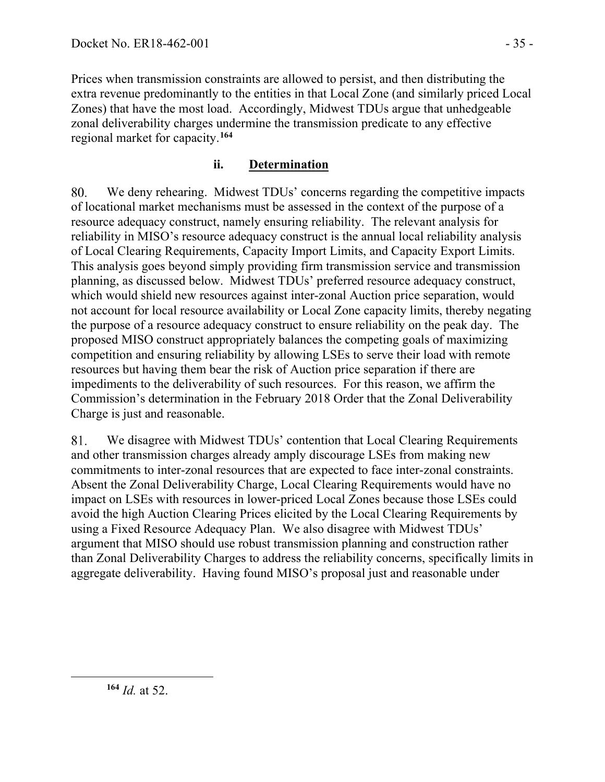Prices when transmission constraints are allowed to persist, and then distributing the extra revenue predominantly to the entities in that Local Zone (and similarly priced Local Zones) that have the most load. Accordingly, Midwest TDUs argue that unhedgeable zonal deliverability charges undermine the transmission predicate to any effective regional market for capacity.**[164](#page-34-0)**

### **ii. Determination**

80. We deny rehearing. Midwest TDUs' concerns regarding the competitive impacts of locational market mechanisms must be assessed in the context of the purpose of a resource adequacy construct, namely ensuring reliability. The relevant analysis for reliability in MISO's resource adequacy construct is the annual local reliability analysis of Local Clearing Requirements, Capacity Import Limits, and Capacity Export Limits. This analysis goes beyond simply providing firm transmission service and transmission planning, as discussed below. Midwest TDUs' preferred resource adequacy construct, which would shield new resources against inter-zonal Auction price separation, would not account for local resource availability or Local Zone capacity limits, thereby negating the purpose of a resource adequacy construct to ensure reliability on the peak day. The proposed MISO construct appropriately balances the competing goals of maximizing competition and ensuring reliability by allowing LSEs to serve their load with remote resources but having them bear the risk of Auction price separation if there are impediments to the deliverability of such resources. For this reason, we affirm the Commission's determination in the February 2018 Order that the Zonal Deliverability Charge is just and reasonable.

81. We disagree with Midwest TDUs' contention that Local Clearing Requirements and other transmission charges already amply discourage LSEs from making new commitments to inter-zonal resources that are expected to face inter-zonal constraints. Absent the Zonal Deliverability Charge, Local Clearing Requirements would have no impact on LSEs with resources in lower-priced Local Zones because those LSEs could avoid the high Auction Clearing Prices elicited by the Local Clearing Requirements by using a Fixed Resource Adequacy Plan. We also disagree with Midwest TDUs' argument that MISO should use robust transmission planning and construction rather than Zonal Deliverability Charges to address the reliability concerns, specifically limits in aggregate deliverability. Having found MISO's proposal just and reasonable under

<span id="page-34-0"></span>**<sup>164</sup>** *Id.* at 52.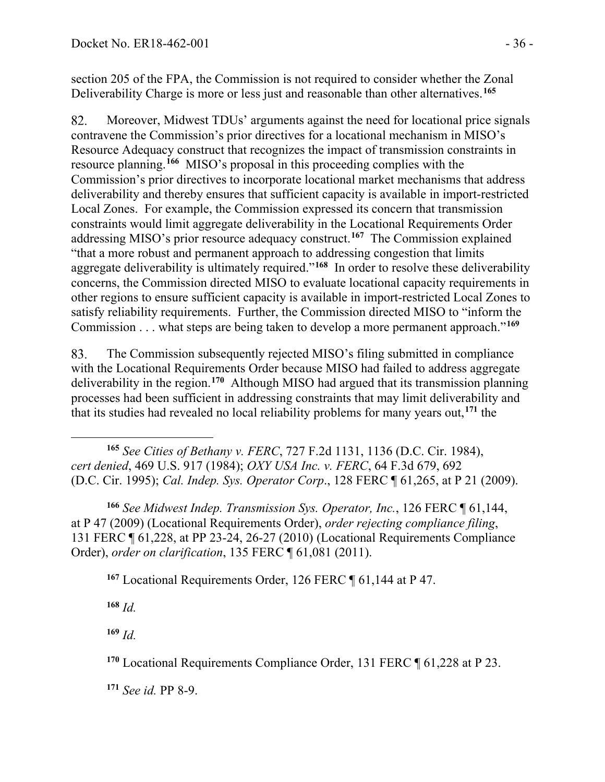section 205 of the FPA, the Commission is not required to consider whether the Zonal Deliverability Charge is more or less just and reasonable than other alternatives.**[165](#page-35-0)**

82. Moreover, Midwest TDUs' arguments against the need for locational price signals contravene the Commission's prior directives for a locational mechanism in MISO's Resource Adequacy construct that recognizes the impact of transmission constraints in resource planning.**[166](#page-35-1)** MISO's proposal in this proceeding complies with the Commission's prior directives to incorporate locational market mechanisms that address deliverability and thereby ensures that sufficient capacity is available in import-restricted Local Zones. For example, the Commission expressed its concern that transmission constraints would limit aggregate deliverability in the Locational Requirements Order addressing MISO's prior resource adequacy construct. **[167](#page-35-2)** The Commission explained "that a more robust and permanent approach to addressing congestion that limits aggregate deliverability is ultimately required."**[168](#page-35-3)** In order to resolve these deliverability concerns, the Commission directed MISO to evaluate locational capacity requirements in other regions to ensure sufficient capacity is available in import-restricted Local Zones to satisfy reliability requirements. Further, the Commission directed MISO to "inform the Commission . . . what steps are being taken to develop a more permanent approach."**[169](#page-35-4)**

The Commission subsequently rejected MISO's filing submitted in compliance 83. with the Locational Requirements Order because MISO had failed to address aggregate deliverability in the region.**[170](#page-35-5)** Although MISO had argued that its transmission planning processes had been sufficient in addressing constraints that may limit deliverability and that its studies had revealed no local reliability problems for many years out,**[171](#page-35-6)** the

<span id="page-35-0"></span>**<sup>165</sup>** *See Cities of Bethany v. FERC*, 727 F.2d 1131, 1136 (D.C. Cir. 1984), *cert denied*, 469 U.S. 917 (1984); *OXY USA Inc. v. FERC*, 64 F.3d 679, 692 (D.C. Cir. 1995); *Cal. Indep. Sys. Operator Corp*., 128 FERC ¶ 61,265, at P 21 (2009).

<span id="page-35-2"></span><span id="page-35-1"></span>**<sup>166</sup>** *See Midwest Indep. Transmission Sys. Operator, Inc.*, 126 FERC ¶ 61,144, at P 47 (2009) (Locational Requirements Order), *order rejecting compliance filing*, 131 FERC ¶ 61,228, at PP 23-24, 26-27 (2010) (Locational Requirements Compliance Order), *order on clarification*, 135 FERC ¶ 61,081 (2011).

**<sup>167</sup>** Locational Requirements Order, 126 FERC ¶ 61,144 at P 47.

<span id="page-35-3"></span>**<sup>168</sup>** *Id.*

<span id="page-35-4"></span>**<sup>169</sup>** *Id.*

<span id="page-35-5"></span>**<sup>170</sup>** Locational Requirements Compliance Order, 131 FERC ¶ 61,228 at P 23.

<span id="page-35-6"></span>**<sup>171</sup>** *See id.* PP 8-9.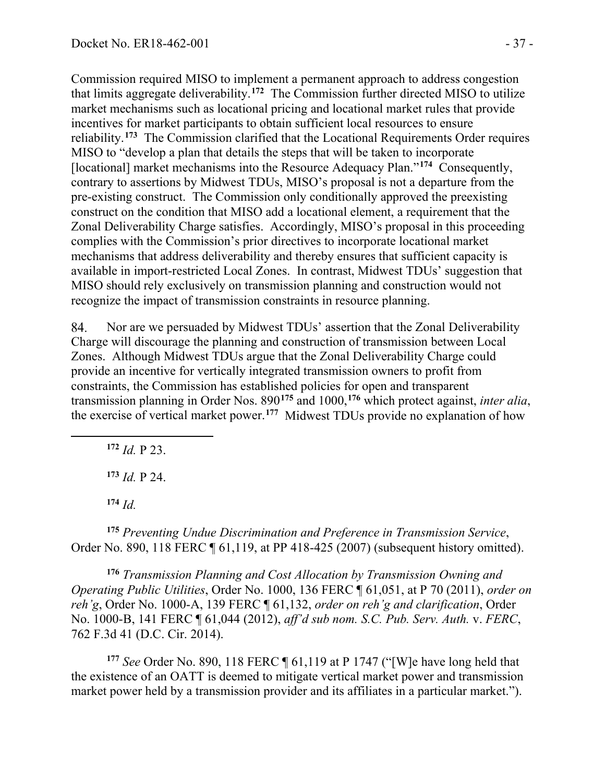Commission required MISO to implement a permanent approach to address congestion that limits aggregate deliverability.**[172](#page-36-0)** The Commission further directed MISO to utilize market mechanisms such as locational pricing and locational market rules that provide incentives for market participants to obtain sufficient local resources to ensure reliability.**[173](#page-36-1)** The Commission clarified that the Locational Requirements Order requires MISO to "develop a plan that details the steps that will be taken to incorporate [locational] market mechanisms into the Resource Adequacy Plan."**[174](#page-36-2)** Consequently, contrary to assertions by Midwest TDUs, MISO's proposal is not a departure from the pre-existing construct. The Commission only conditionally approved the preexisting construct on the condition that MISO add a locational element, a requirement that the Zonal Deliverability Charge satisfies. Accordingly, MISO's proposal in this proceeding complies with the Commission's prior directives to incorporate locational market mechanisms that address deliverability and thereby ensures that sufficient capacity is available in import-restricted Local Zones. In contrast, Midwest TDUs' suggestion that MISO should rely exclusively on transmission planning and construction would not recognize the impact of transmission constraints in resource planning.

84. Nor are we persuaded by Midwest TDUs' assertion that the Zonal Deliverability Charge will discourage the planning and construction of transmission between Local Zones. Although Midwest TDUs argue that the Zonal Deliverability Charge could provide an incentive for vertically integrated transmission owners to profit from constraints, the Commission has established policies for open and transparent transmission planning in Order Nos. 890**[175](#page-36-3)** and 1000, **[176](#page-36-4)** which protect against, *inter alia*, the exercise of vertical market power.**[177](#page-36-5)** Midwest TDUs provide no explanation of how

<span id="page-36-0"></span>**<sup>172</sup>** *Id.* P 23.

**<sup>173</sup>** *Id.* P 24.

**<sup>174</sup>** *Id.* 

<span id="page-36-3"></span><span id="page-36-2"></span><span id="page-36-1"></span>**<sup>175</sup>** *Preventing Undue Discrimination and Preference in Transmission Service*, Order No. 890, 118 FERC ¶ 61,119, at PP 418-425 (2007) (subsequent history omitted).

<span id="page-36-4"></span>**<sup>176</sup>** *Transmission Planning and Cost Allocation by Transmission Owning and Operating Public Utilities*, Order No. 1000, 136 FERC ¶ 61,051, at P 70 (2011), *order on reh'g*, Order No. 1000-A, 139 FERC ¶ 61,132, *order on reh'g and clarification*, Order No. 1000-B, 141 FERC ¶ 61,044 (2012), *aff'd sub nom. S.C. Pub. Serv. Auth.* v. *FERC*, 762 F.3d 41 (D.C. Cir. 2014).

<span id="page-36-5"></span>**<sup>177</sup>** *See* Order No. 890, 118 FERC ¶ 61,119 at P 1747 ("[W]e have long held that the existence of an OATT is deemed to mitigate vertical market power and transmission market power held by a transmission provider and its affiliates in a particular market.").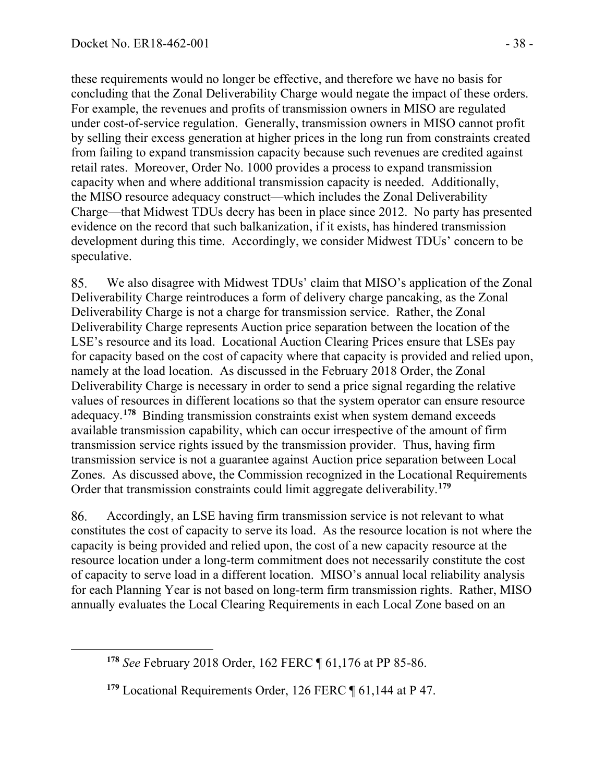these requirements would no longer be effective, and therefore we have no basis for concluding that the Zonal Deliverability Charge would negate the impact of these orders. For example, the revenues and profits of transmission owners in MISO are regulated under cost-of-service regulation. Generally, transmission owners in MISO cannot profit by selling their excess generation at higher prices in the long run from constraints created from failing to expand transmission capacity because such revenues are credited against retail rates. Moreover, Order No. 1000 provides a process to expand transmission capacity when and where additional transmission capacity is needed. Additionally, the MISO resource adequacy construct—which includes the Zonal Deliverability Charge—that Midwest TDUs decry has been in place since 2012. No party has presented evidence on the record that such balkanization, if it exists, has hindered transmission development during this time. Accordingly, we consider Midwest TDUs' concern to be speculative.

85. We also disagree with Midwest TDUs' claim that MISO's application of the Zonal Deliverability Charge reintroduces a form of delivery charge pancaking, as the Zonal Deliverability Charge is not a charge for transmission service. Rather, the Zonal Deliverability Charge represents Auction price separation between the location of the LSE's resource and its load. Locational Auction Clearing Prices ensure that LSEs pay for capacity based on the cost of capacity where that capacity is provided and relied upon, namely at the load location. As discussed in the February 2018 Order, the Zonal Deliverability Charge is necessary in order to send a price signal regarding the relative values of resources in different locations so that the system operator can ensure resource adequacy. **[178](#page-37-0)** Binding transmission constraints exist when system demand exceeds available transmission capability, which can occur irrespective of the amount of firm transmission service rights issued by the transmission provider. Thus, having firm transmission service is not a guarantee against Auction price separation between Local Zones. As discussed above, the Commission recognized in the Locational Requirements Order that transmission constraints could limit aggregate deliverability.**[179](#page-37-1)**

86. Accordingly, an LSE having firm transmission service is not relevant to what constitutes the cost of capacity to serve its load. As the resource location is not where the capacity is being provided and relied upon, the cost of a new capacity resource at the resource location under a long-term commitment does not necessarily constitute the cost of capacity to serve load in a different location. MISO's annual local reliability analysis for each Planning Year is not based on long-term firm transmission rights. Rather, MISO annually evaluates the Local Clearing Requirements in each Local Zone based on an

<span id="page-37-0"></span>**<sup>178</sup>** *See* February 2018 Order, 162 FERC ¶ 61,176 at PP 85-86.

<span id="page-37-1"></span>**<sup>179</sup>** Locational Requirements Order, 126 FERC ¶ 61,144 at P 47.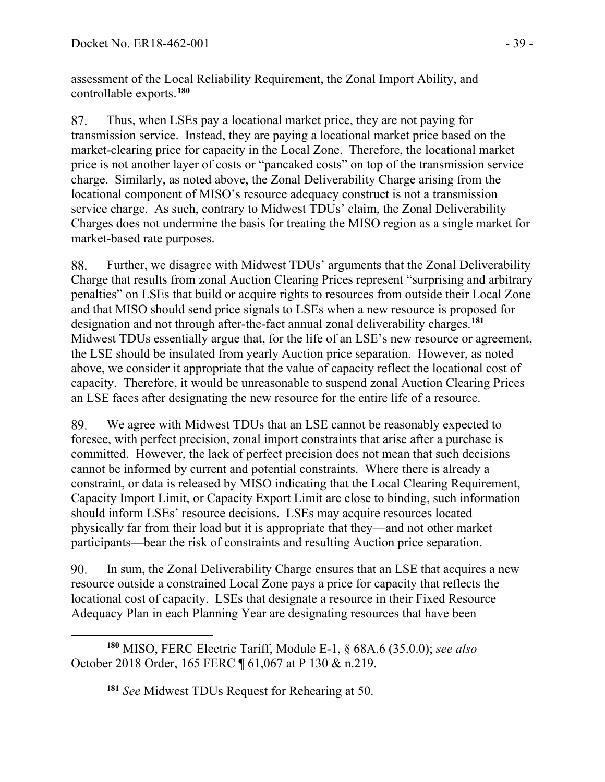assessment of the Local Reliability Requirement, the Zonal Import Ability, and controllable exports. **[180](#page-38-0)**

Thus, when LSEs pay a locational market price, they are not paying for 87. transmission service. Instead, they are paying a locational market price based on the market-clearing price for capacity in the Local Zone. Therefore, the locational market price is not another layer of costs or "pancaked costs" on top of the transmission service charge. Similarly, as noted above, the Zonal Deliverability Charge arising from the locational component of MISO's resource adequacy construct is not a transmission service charge. As such, contrary to Midwest TDUs' claim, the Zonal Deliverability Charges does not undermine the basis for treating the MISO region as a single market for market-based rate purposes.

88. Further, we disagree with Midwest TDUs' arguments that the Zonal Deliverability Charge that results from zonal Auction Clearing Prices represent "surprising and arbitrary penalties" on LSEs that build or acquire rights to resources from outside their Local Zone and that MISO should send price signals to LSEs when a new resource is proposed for designation and not through after-the-fact annual zonal deliverability charges.**[181](#page-38-1)** Midwest TDUs essentially argue that, for the life of an LSE's new resource or agreement, the LSE should be insulated from yearly Auction price separation. However, as noted above, we consider it appropriate that the value of capacity reflect the locational cost of capacity. Therefore, it would be unreasonable to suspend zonal Auction Clearing Prices an LSE faces after designating the new resource for the entire life of a resource.

89. We agree with Midwest TDUs that an LSE cannot be reasonably expected to foresee, with perfect precision, zonal import constraints that arise after a purchase is committed. However, the lack of perfect precision does not mean that such decisions cannot be informed by current and potential constraints. Where there is already a constraint, or data is released by MISO indicating that the Local Clearing Requirement, Capacity Import Limit, or Capacity Export Limit are close to binding, such information should inform LSEs' resource decisions. LSEs may acquire resources located physically far from their load but it is appropriate that they—and not other market participants—bear the risk of constraints and resulting Auction price separation.

90. In sum, the Zonal Deliverability Charge ensures that an LSE that acquires a new resource outside a constrained Local Zone pays a price for capacity that reflects the locational cost of capacity. LSEs that designate a resource in their Fixed Resource Adequacy Plan in each Planning Year are designating resources that have been

<span id="page-38-1"></span><span id="page-38-0"></span>**<sup>180</sup>** MISO, FERC Electric Tariff, Module E-1, § 68A.6 (35.0.0); *see also* October 2018 Order, 165 FERC ¶ 61,067 at P 130 & n.219.

**<sup>181</sup>** *See* Midwest TDUs Request for Rehearing at 50.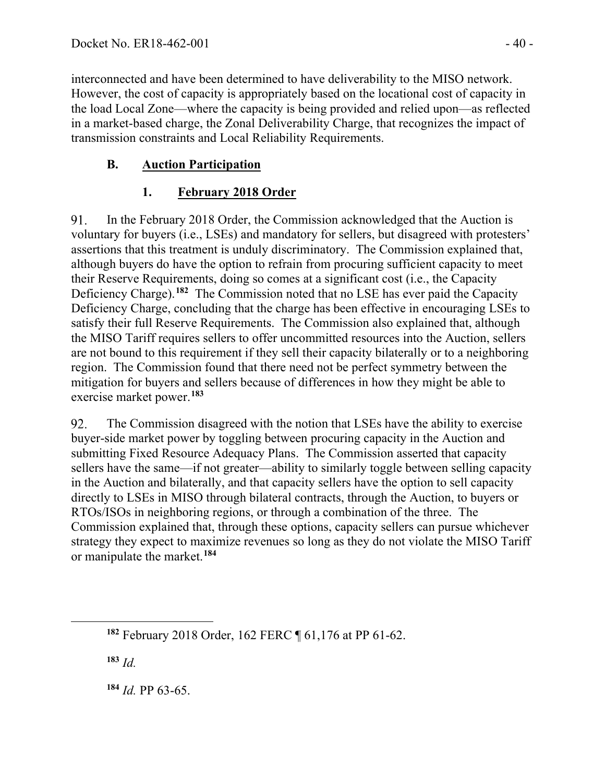interconnected and have been determined to have deliverability to the MISO network. However, the cost of capacity is appropriately based on the locational cost of capacity in the load Local Zone—where the capacity is being provided and relied upon—as reflected in a market-based charge, the Zonal Deliverability Charge, that recognizes the impact of transmission constraints and Local Reliability Requirements.

# **B. Auction Participation**

## **1. February 2018 Order**

91. In the February 2018 Order, the Commission acknowledged that the Auction is voluntary for buyers (i.e., LSEs) and mandatory for sellers, but disagreed with protesters' assertions that this treatment is unduly discriminatory. The Commission explained that, although buyers do have the option to refrain from procuring sufficient capacity to meet their Reserve Requirements, doing so comes at a significant cost (i.e., the Capacity Deficiency Charge).**[182](#page-39-0)** The Commission noted that no LSE has ever paid the Capacity Deficiency Charge, concluding that the charge has been effective in encouraging LSEs to satisfy their full Reserve Requirements. The Commission also explained that, although the MISO Tariff requires sellers to offer uncommitted resources into the Auction, sellers are not bound to this requirement if they sell their capacity bilaterally or to a neighboring region. The Commission found that there need not be perfect symmetry between the mitigation for buyers and sellers because of differences in how they might be able to exercise market power. **[183](#page-39-1)**

92. The Commission disagreed with the notion that LSEs have the ability to exercise buyer-side market power by toggling between procuring capacity in the Auction and submitting Fixed Resource Adequacy Plans. The Commission asserted that capacity sellers have the same—if not greater—ability to similarly toggle between selling capacity in the Auction and bilaterally, and that capacity sellers have the option to sell capacity directly to LSEs in MISO through bilateral contracts, through the Auction, to buyers or RTOs/ISOs in neighboring regions, or through a combination of the three. The Commission explained that, through these options, capacity sellers can pursue whichever strategy they expect to maximize revenues so long as they do not violate the MISO Tariff or manipulate the market.**[184](#page-39-2)**

<span id="page-39-1"></span>**<sup>183</sup>** *Id.*

<span id="page-39-2"></span>**<sup>184</sup>** *Id.* PP 63-65.

<span id="page-39-0"></span>**<sup>182</sup>** February 2018 Order, 162 FERC ¶ 61,176 at PP 61-62.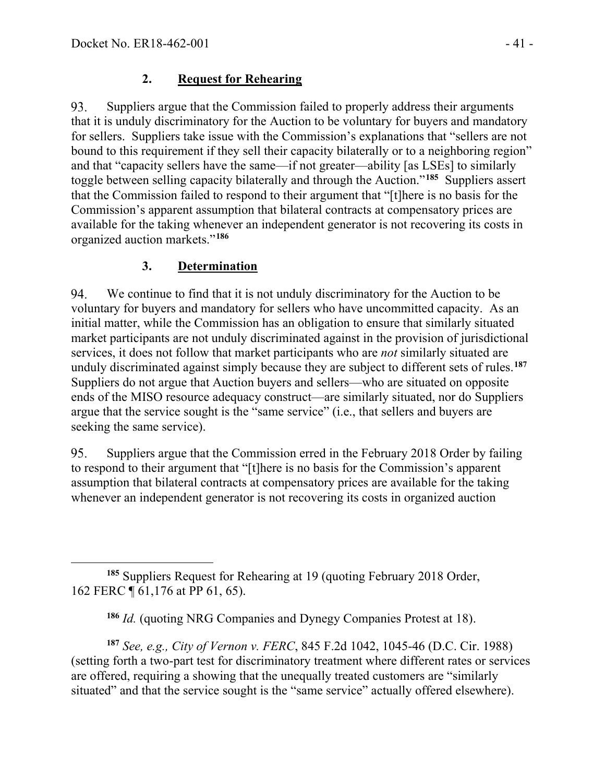#### **2. Request for Rehearing**

Suppliers argue that the Commission failed to properly address their arguments 93. that it is unduly discriminatory for the Auction to be voluntary for buyers and mandatory for sellers. Suppliers take issue with the Commission's explanations that "sellers are not bound to this requirement if they sell their capacity bilaterally or to a neighboring region" and that "capacity sellers have the same—if not greater—ability [as LSEs] to similarly toggle between selling capacity bilaterally and through the Auction."**[185](#page-40-0)** Suppliers assert that the Commission failed to respond to their argument that "[t]here is no basis for the Commission's apparent assumption that bilateral contracts at compensatory prices are available for the taking whenever an independent generator is not recovering its costs in organized auction markets."**[186](#page-40-1)**

### **3. Determination**

94. We continue to find that it is not unduly discriminatory for the Auction to be voluntary for buyers and mandatory for sellers who have uncommitted capacity. As an initial matter, while the Commission has an obligation to ensure that similarly situated market participants are not unduly discriminated against in the provision of jurisdictional services, it does not follow that market participants who are *not* similarly situated are unduly discriminated against simply because they are subject to different sets of rules.**[187](#page-40-2)** Suppliers do not argue that Auction buyers and sellers—who are situated on opposite ends of the MISO resource adequacy construct—are similarly situated, nor do Suppliers argue that the service sought is the "same service" (i.e., that sellers and buyers are seeking the same service).

95. Suppliers argue that the Commission erred in the February 2018 Order by failing to respond to their argument that "[t]here is no basis for the Commission's apparent assumption that bilateral contracts at compensatory prices are available for the taking whenever an independent generator is not recovering its costs in organized auction

<span id="page-40-2"></span><span id="page-40-1"></span>**<sup>187</sup>** *See, e.g., City of Vernon v. FERC*, 845 F.2d 1042, 1045-46 (D.C. Cir. 1988) (setting forth a two-part test for discriminatory treatment where different rates or services are offered, requiring a showing that the unequally treated customers are "similarly situated" and that the service sought is the "same service" actually offered elsewhere).

<span id="page-40-0"></span>**<sup>185</sup>** Suppliers Request for Rehearing at 19 (quoting February 2018 Order, 162 FERC ¶ 61,176 at PP 61, 65).

**<sup>186</sup>** *Id.* (quoting NRG Companies and Dynegy Companies Protest at 18).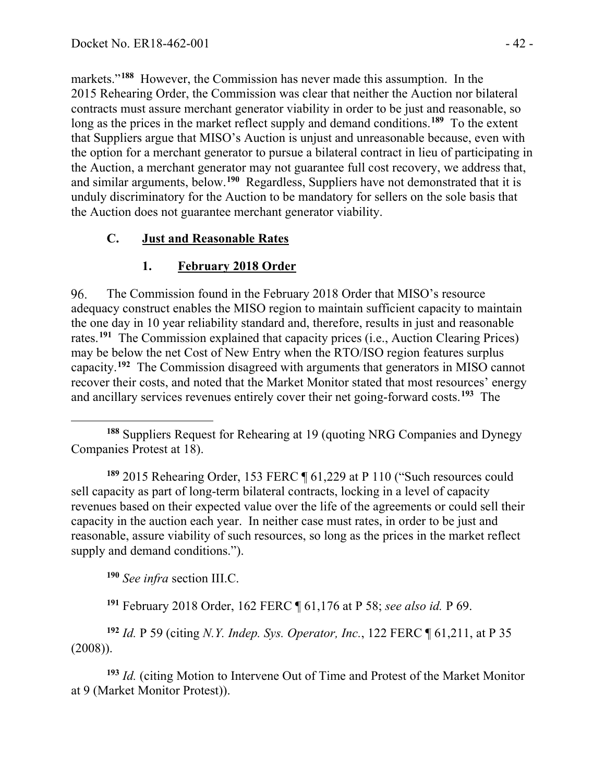markets."**[188](#page-41-0)** However, the Commission has never made this assumption. In the 2015 Rehearing Order, the Commission was clear that neither the Auction nor bilateral contracts must assure merchant generator viability in order to be just and reasonable, so long as the prices in the market reflect supply and demand conditions.<sup>[189](#page-41-1)</sup> To the extent that Suppliers argue that MISO's Auction is unjust and unreasonable because, even with the option for a merchant generator to pursue a bilateral contract in lieu of participating in the Auction, a merchant generator may not guarantee full cost recovery, we address that, and similar arguments, below. **[190](#page-41-2)** Regardless, Suppliers have not demonstrated that it is unduly discriminatory for the Auction to be mandatory for sellers on the sole basis that the Auction does not guarantee merchant generator viability.

### **C. Just and Reasonable Rates**

## **1. February 2018 Order**

The Commission found in the February 2018 Order that MISO's resource 96. adequacy construct enables the MISO region to maintain sufficient capacity to maintain the one day in 10 year reliability standard and, therefore, results in just and reasonable rates.**[191](#page-41-3)** The Commission explained that capacity prices (i.e., Auction Clearing Prices) may be below the net Cost of New Entry when the RTO/ISO region features surplus capacity.**[192](#page-41-4)** The Commission disagreed with arguments that generators in MISO cannot recover their costs, and noted that the Market Monitor stated that most resources' energy and ancillary services revenues entirely cover their net going-forward costs.**[193](#page-41-5)** The

<span id="page-41-0"></span>**<sup>188</sup>** Suppliers Request for Rehearing at 19 (quoting NRG Companies and Dynegy Companies Protest at 18).

<span id="page-41-1"></span>**<sup>189</sup>** 2015 Rehearing Order, 153 FERC ¶ 61,229 at P 110 ("Such resources could sell capacity as part of long-term bilateral contracts, locking in a level of capacity revenues based on their expected value over the life of the agreements or could sell their capacity in the auction each year. In neither case must rates, in order to be just and reasonable, assure viability of such resources, so long as the prices in the market reflect supply and demand conditions.").

**<sup>190</sup>** *See infra* section III.C.

**<sup>191</sup>** February 2018 Order, 162 FERC ¶ 61,176 at P 58; *see also id.* P 69.

<span id="page-41-4"></span><span id="page-41-3"></span><span id="page-41-2"></span>**<sup>192</sup>** *Id.* P 59 (citing *N.Y. Indep. Sys. Operator, Inc.*, 122 FERC ¶ 61,211, at P 35 (2008)).

<span id="page-41-5"></span>**<sup>193</sup>** *Id.* (citing Motion to Intervene Out of Time and Protest of the Market Monitor at 9 (Market Monitor Protest)).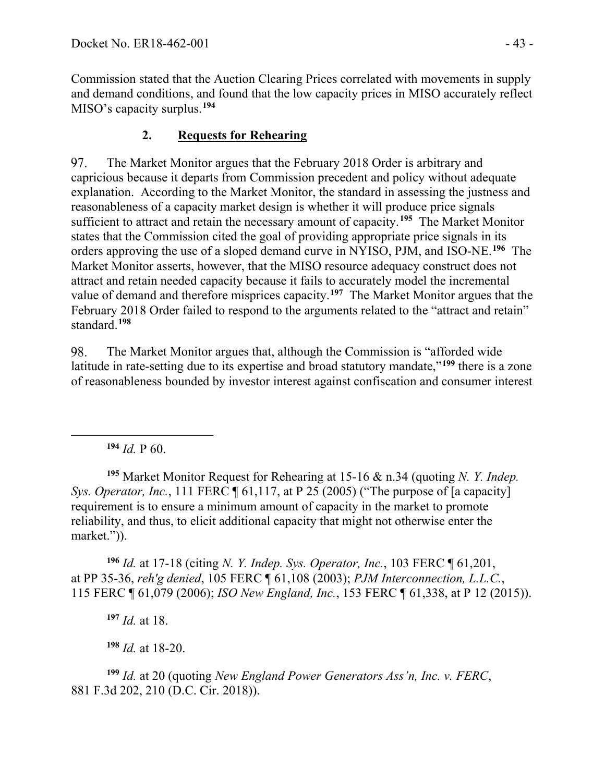Commission stated that the Auction Clearing Prices correlated with movements in supply and demand conditions, and found that the low capacity prices in MISO accurately reflect MISO's capacity surplus.**[194](#page-42-0)**

## **2. Requests for Rehearing**

97. The Market Monitor argues that the February 2018 Order is arbitrary and capricious because it departs from Commission precedent and policy without adequate explanation. According to the Market Monitor, the standard in assessing the justness and reasonableness of a capacity market design is whether it will produce price signals sufficient to attract and retain the necessary amount of capacity.**[195](#page-42-1)** The Market Monitor states that the Commission cited the goal of providing appropriate price signals in its orders approving the use of a sloped demand curve in NYISO, PJM, and ISO-NE.**[196](#page-42-2)** The Market Monitor asserts, however, that the MISO resource adequacy construct does not attract and retain needed capacity because it fails to accurately model the incremental value of demand and therefore misprices capacity.**[197](#page-42-3)** The Market Monitor argues that the February 2018 Order failed to respond to the arguments related to the "attract and retain" standard.**[198](#page-42-4)**

The Market Monitor argues that, although the Commission is "afforded wide 98. latitude in rate-setting due to its expertise and broad statutory mandate,"**[199](#page-42-5)** there is a zone of reasonableness bounded by investor interest against confiscation and consumer interest

 $194$  *Id.* P 60.

<span id="page-42-1"></span><span id="page-42-0"></span>**<sup>195</sup>** Market Monitor Request for Rehearing at 15-16 & n.34 (quoting *N. Y. Indep. Sys. Operator, Inc.,* 111 FERC **[61,117, at P 25 (2005)** ("The purpose of [a capacity] requirement is to ensure a minimum amount of capacity in the market to promote reliability, and thus, to elicit additional capacity that might not otherwise enter the market.")).

<span id="page-42-2"></span>**<sup>196</sup>** *Id.* at 17-18 (citing *N. Y. Indep. Sys. Operator, Inc.*, 103 FERC ¶ 61,201, at PP 35-36, *reh'g denied*, 105 FERC ¶ 61,108 (2003); *PJM Interconnection, L.L.C.*, 115 FERC ¶ 61,079 (2006); *ISO New England, Inc.*, 153 FERC ¶ 61,338, at P 12 (2015)).

**<sup>197</sup>** *Id.* at 18.

**<sup>198</sup>** *Id.* at 18-20.

<span id="page-42-5"></span><span id="page-42-4"></span><span id="page-42-3"></span>**<sup>199</sup>** *Id.* at 20 (quoting *New England Power Generators Ass'n, Inc. v. FERC*, 881 F.3d 202, 210 (D.C. Cir. 2018)).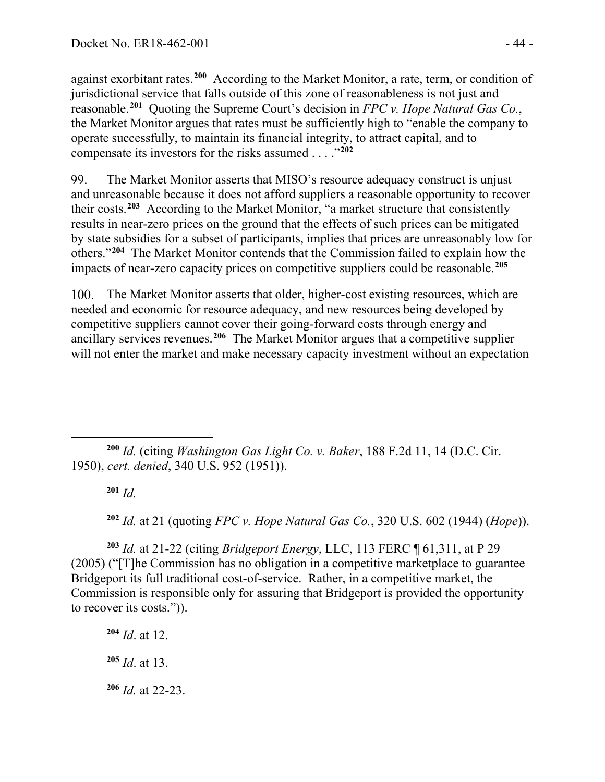against exorbitant rates.**[200](#page-43-0)** According to the Market Monitor, a rate, term, or condition of jurisdictional service that falls outside of this zone of reasonableness is not just and reasonable.**[201](#page-43-1)** Quoting the Supreme Court's decision in *FPC v. Hope Natural Gas Co.*, the Market Monitor argues that rates must be sufficiently high to "enable the company to operate successfully, to maintain its financial integrity, to attract capital, and to compensate its investors for the risks assumed . . . ."**[202](#page-43-2)**

99. The Market Monitor asserts that MISO's resource adequacy construct is unjust and unreasonable because it does not afford suppliers a reasonable opportunity to recover their costs.**[203](#page-43-3)** According to the Market Monitor, "a market structure that consistently results in near-zero prices on the ground that the effects of such prices can be mitigated by state subsidies for a subset of participants, implies that prices are unreasonably low for others."**[204](#page-43-4)** The Market Monitor contends that the Commission failed to explain how the impacts of near-zero capacity prices on competitive suppliers could be reasonable.**[205](#page-43-5)**

100. The Market Monitor asserts that older, higher-cost existing resources, which are needed and economic for resource adequacy, and new resources being developed by competitive suppliers cannot cover their going-forward costs through energy and ancillary services revenues.**[206](#page-43-6)** The Market Monitor argues that a competitive supplier will not enter the market and make necessary capacity investment without an expectation

<span id="page-43-1"></span><span id="page-43-0"></span>**<sup>200</sup>** *Id.* (citing *Washington Gas Light Co. v. Baker*, 188 F.2d 11, 14 (D.C. Cir. 1950), *cert. denied*, 340 U.S. 952 (1951)).

**<sup>201</sup>** *Id.*

**<sup>202</sup>** *Id.* at 21 (quoting *FPC v. Hope Natural Gas Co.*, 320 U.S. 602 (1944) (*Hope*)).

<span id="page-43-3"></span><span id="page-43-2"></span>**<sup>203</sup>** *Id.* at 21-22 (citing *Bridgeport Energy*, LLC, 113 FERC ¶ 61,311, at P 29 (2005) ("[T]he Commission has no obligation in a competitive marketplace to guarantee Bridgeport its full traditional cost-of-service. Rather, in a competitive market, the Commission is responsible only for assuring that Bridgeport is provided the opportunity to recover its costs.")).

<span id="page-43-6"></span><span id="page-43-5"></span><span id="page-43-4"></span>**<sup>204</sup>** *Id*. at 12. **<sup>205</sup>** *Id*. at 13. **<sup>206</sup>** *Id.* at 22-23.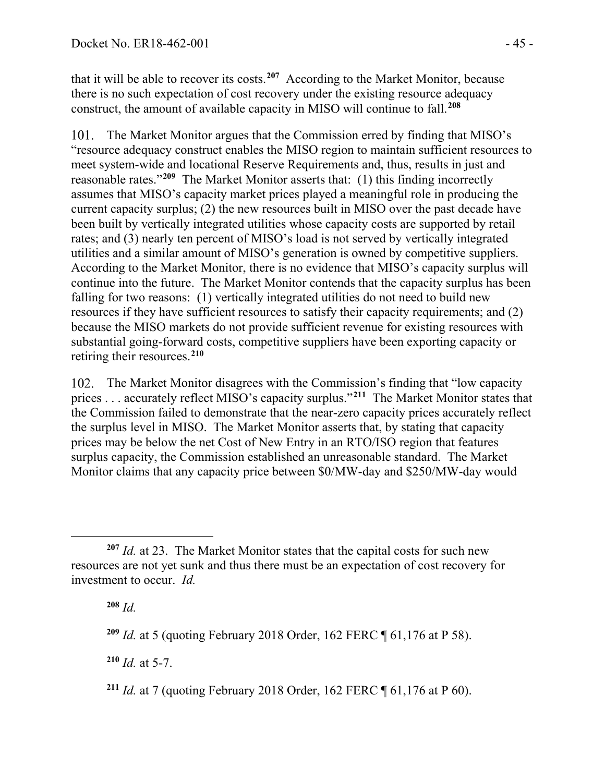that it will be able to recover its costs.**[207](#page-44-0)** According to the Market Monitor, because there is no such expectation of cost recovery under the existing resource adequacy construct, the amount of available capacity in MISO will continue to fall.**[208](#page-44-1)**

101. The Market Monitor argues that the Commission erred by finding that MISO's "resource adequacy construct enables the MISO region to maintain sufficient resources to meet system-wide and locational Reserve Requirements and, thus, results in just and reasonable rates."**[209](#page-44-2)** The Market Monitor asserts that: (1) this finding incorrectly assumes that MISO's capacity market prices played a meaningful role in producing the current capacity surplus; (2) the new resources built in MISO over the past decade have been built by vertically integrated utilities whose capacity costs are supported by retail rates; and (3) nearly ten percent of MISO's load is not served by vertically integrated utilities and a similar amount of MISO's generation is owned by competitive suppliers. According to the Market Monitor, there is no evidence that MISO's capacity surplus will continue into the future. The Market Monitor contends that the capacity surplus has been falling for two reasons: (1) vertically integrated utilities do not need to build new resources if they have sufficient resources to satisfy their capacity requirements; and (2) because the MISO markets do not provide sufficient revenue for existing resources with substantial going-forward costs, competitive suppliers have been exporting capacity or retiring their resources.**[210](#page-44-3)**

102. The Market Monitor disagrees with the Commission's finding that "low capacity" prices . . . accurately reflect MISO's capacity surplus."**[211](#page-44-4)** The Market Monitor states that the Commission failed to demonstrate that the near-zero capacity prices accurately reflect the surplus level in MISO. The Market Monitor asserts that, by stating that capacity prices may be below the net Cost of New Entry in an RTO/ISO region that features surplus capacity, the Commission established an unreasonable standard. The Market Monitor claims that any capacity price between \$0/MW-day and \$250/MW-day would

**<sup>208</sup>** *Id.*

<span id="page-44-3"></span> $210$  *Id.* at 5-7.

<span id="page-44-1"></span><span id="page-44-0"></span>**<sup>207</sup>** *Id.* at 23. The Market Monitor states that the capital costs for such new resources are not yet sunk and thus there must be an expectation of cost recovery for investment to occur. *Id.*

<span id="page-44-2"></span>**<sup>209</sup>** *Id.* at 5 (quoting February 2018 Order, 162 FERC ¶ 61,176 at P 58).

<span id="page-44-4"></span>**<sup>211</sup>** *Id.* at 7 (quoting February 2018 Order, 162 FERC ¶ 61,176 at P 60).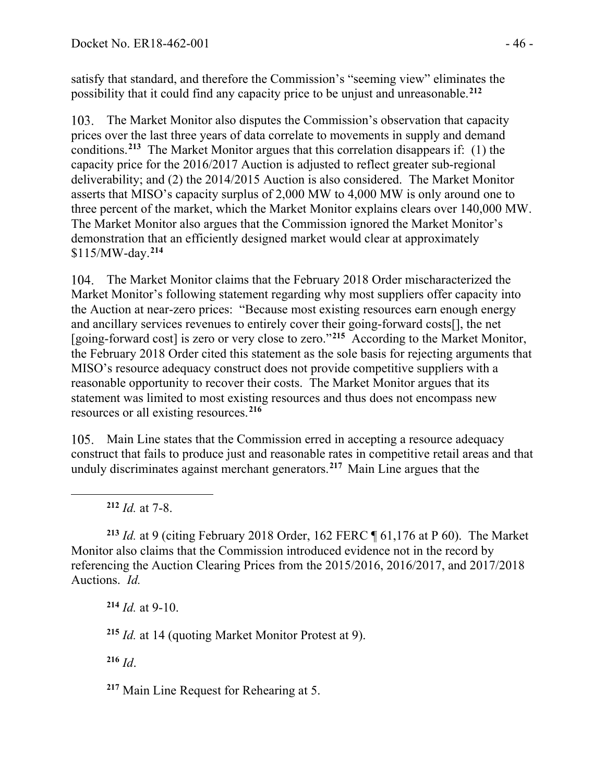satisfy that standard, and therefore the Commission's "seeming view" eliminates the possibility that it could find any capacity price to be unjust and unreasonable.**[212](#page-45-0)**

The Market Monitor also disputes the Commission's observation that capacity prices over the last three years of data correlate to movements in supply and demand conditions.**[213](#page-45-1)** The Market Monitor argues that this correlation disappears if: (1) the capacity price for the 2016/2017 Auction is adjusted to reflect greater sub-regional deliverability; and (2) the 2014/2015 Auction is also considered. The Market Monitor asserts that MISO's capacity surplus of 2,000 MW to 4,000 MW is only around one to three percent of the market, which the Market Monitor explains clears over 140,000 MW. The Market Monitor also argues that the Commission ignored the Market Monitor's demonstration that an efficiently designed market would clear at approximately \$115/MW-day.**[214](#page-45-2)**

The Market Monitor claims that the February 2018 Order mischaracterized the 104. Market Monitor's following statement regarding why most suppliers offer capacity into the Auction at near-zero prices: "Because most existing resources earn enough energy and ancillary services revenues to entirely cover their going-forward costs[], the net [going-forward cost] is zero or very close to zero."**[215](#page-45-3)** According to the Market Monitor, the February 2018 Order cited this statement as the sole basis for rejecting arguments that MISO's resource adequacy construct does not provide competitive suppliers with a reasonable opportunity to recover their costs. The Market Monitor argues that its statement was limited to most existing resources and thus does not encompass new resources or all existing resources.**[216](#page-45-4)**

105. Main Line states that the Commission erred in accepting a resource adequacy construct that fails to produce just and reasonable rates in competitive retail areas and that unduly discriminates against merchant generators.**[217](#page-45-5)** Main Line argues that the

**<sup>212</sup>** *Id.* at 7-8.

<span id="page-45-2"></span><span id="page-45-1"></span><span id="page-45-0"></span>**<sup>213</sup>** *Id.* at 9 (citing February 2018 Order, 162 FERC ¶ 61,176 at P 60). The Market Monitor also claims that the Commission introduced evidence not in the record by referencing the Auction Clearing Prices from the 2015/2016, 2016/2017, and 2017/2018 Auctions. *Id.*

**<sup>214</sup>** *Id.* at 9-10.

<span id="page-45-3"></span>**<sup>215</sup>** *Id.* at 14 (quoting Market Monitor Protest at 9).

<span id="page-45-4"></span>**<sup>216</sup>** *Id*.

<span id="page-45-5"></span>**<sup>217</sup>** Main Line Request for Rehearing at 5.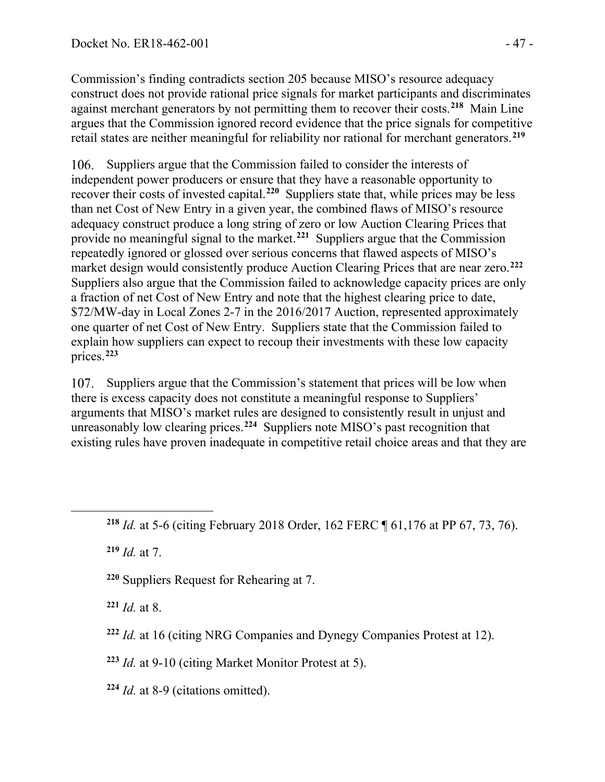Commission's finding contradicts section 205 because MISO's resource adequacy construct does not provide rational price signals for market participants and discriminates against merchant generators by not permitting them to recover their costs.**[218](#page-46-0)** Main Line argues that the Commission ignored record evidence that the price signals for competitive retail states are neither meaningful for reliability nor rational for merchant generators.**[219](#page-46-1)**

106. Suppliers argue that the Commission failed to consider the interests of independent power producers or ensure that they have a reasonable opportunity to recover their costs of invested capital.**[220](#page-46-2)** Suppliers state that, while prices may be less than net Cost of New Entry in a given year, the combined flaws of MISO's resource adequacy construct produce a long string of zero or low Auction Clearing Prices that provide no meaningful signal to the market.**[221](#page-46-3)** Suppliers argue that the Commission repeatedly ignored or glossed over serious concerns that flawed aspects of MISO's market design would consistently produce Auction Clearing Prices that are near zero.**[222](#page-46-4)** Suppliers also argue that the Commission failed to acknowledge capacity prices are only a fraction of net Cost of New Entry and note that the highest clearing price to date, \$72/MW-day in Local Zones 2-7 in the 2016/2017 Auction, represented approximately one quarter of net Cost of New Entry. Suppliers state that the Commission failed to explain how suppliers can expect to recoup their investments with these low capacity prices.**[223](#page-46-5)**

Suppliers argue that the Commission's statement that prices will be low when 107. there is excess capacity does not constitute a meaningful response to Suppliers' arguments that MISO's market rules are designed to consistently result in unjust and unreasonably low clearing prices.**[224](#page-46-6)** Suppliers note MISO's past recognition that existing rules have proven inadequate in competitive retail choice areas and that they are

<span id="page-46-1"></span>**<sup>219</sup>** *Id.* at 7.

<span id="page-46-2"></span>**<sup>220</sup>** Suppliers Request for Rehearing at 7.

<span id="page-46-3"></span>**<sup>221</sup>** *Id.* at 8.

<span id="page-46-4"></span>**<sup>222</sup>** *Id.* at 16 (citing NRG Companies and Dynegy Companies Protest at 12).

<span id="page-46-5"></span>**<sup>223</sup>** *Id.* at 9-10 (citing Market Monitor Protest at 5).

<span id="page-46-6"></span>**<sup>224</sup>** *Id.* at 8-9 (citations omitted).

<span id="page-46-0"></span>**<sup>218</sup>** *Id.* at 5-6 (citing February 2018 Order, 162 FERC ¶ 61,176 at PP 67, 73, 76).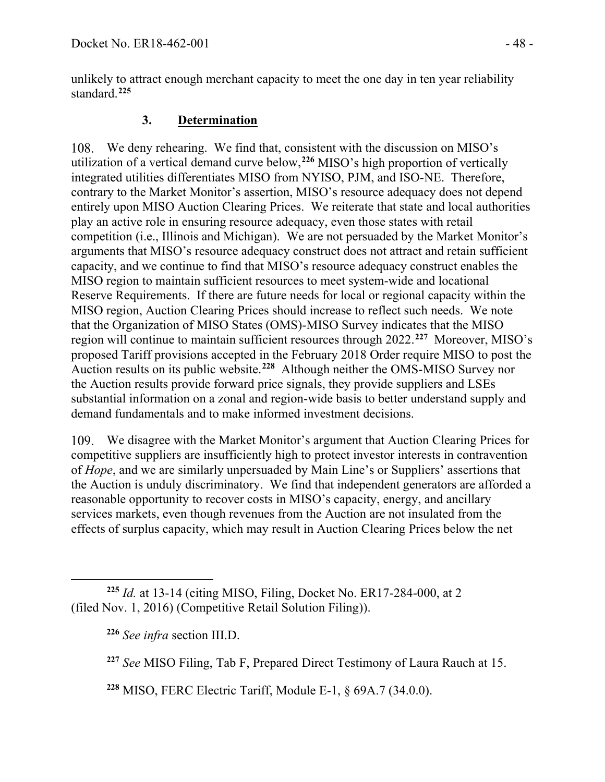unlikely to attract enough merchant capacity to meet the one day in ten year reliability standard.**[225](#page-47-0)**

### **3. Determination**

We deny rehearing. We find that, consistent with the discussion on MISO's utilization of a vertical demand curve below, **[226](#page-47-1)** MISO's high proportion of vertically integrated utilities differentiates MISO from NYISO, PJM, and ISO-NE. Therefore, contrary to the Market Monitor's assertion, MISO's resource adequacy does not depend entirely upon MISO Auction Clearing Prices. We reiterate that state and local authorities play an active role in ensuring resource adequacy, even those states with retail competition (i.e., Illinois and Michigan). We are not persuaded by the Market Monitor's arguments that MISO's resource adequacy construct does not attract and retain sufficient capacity, and we continue to find that MISO's resource adequacy construct enables the MISO region to maintain sufficient resources to meet system-wide and locational Reserve Requirements. If there are future needs for local or regional capacity within the MISO region, Auction Clearing Prices should increase to reflect such needs. We note that the Organization of MISO States (OMS)-MISO Survey indicates that the MISO region will continue to maintain sufficient resources through 2022.**[227](#page-47-2)** Moreover, MISO's proposed Tariff provisions accepted in the February 2018 Order require MISO to post the Auction results on its public website.**[228](#page-47-3)** Although neither the OMS-MISO Survey nor the Auction results provide forward price signals, they provide suppliers and LSEs substantial information on a zonal and region-wide basis to better understand supply and demand fundamentals and to make informed investment decisions.

We disagree with the Market Monitor's argument that Auction Clearing Prices for competitive suppliers are insufficiently high to protect investor interests in contravention of *Hope*, and we are similarly unpersuaded by Main Line's or Suppliers' assertions that the Auction is unduly discriminatory. We find that independent generators are afforded a reasonable opportunity to recover costs in MISO's capacity, energy, and ancillary services markets, even though revenues from the Auction are not insulated from the effects of surplus capacity, which may result in Auction Clearing Prices below the net

<span id="page-47-3"></span>**<sup>228</sup>** MISO, FERC Electric Tariff, Module E-1, § 69A.7 (34.0.0).

<span id="page-47-2"></span><span id="page-47-1"></span><span id="page-47-0"></span>**<sup>225</sup>** *Id.* at 13-14 (citing MISO, Filing, Docket No. ER17-284-000, at 2 (filed Nov. 1, 2016) (Competitive Retail Solution Filing)).

**<sup>226</sup>** *See infra* section III.D.

**<sup>227</sup>** *See* MISO Filing, Tab F, Prepared Direct Testimony of Laura Rauch at 15.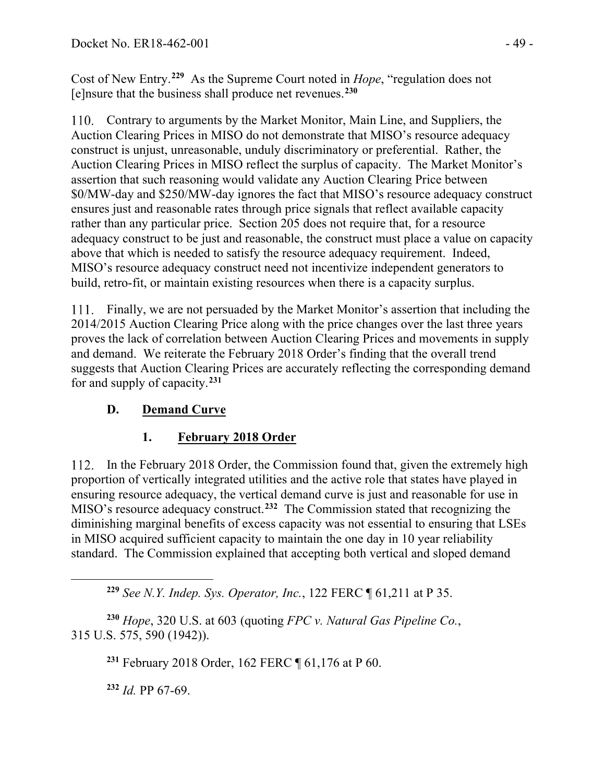Cost of New Entry.**[229](#page-48-0)** As the Supreme Court noted in *Hope*, "regulation does not [e]nsure that the business shall produce net revenues. **[230](#page-48-1)**

Contrary to arguments by the Market Monitor, Main Line, and Suppliers, the Auction Clearing Prices in MISO do not demonstrate that MISO's resource adequacy construct is unjust, unreasonable, unduly discriminatory or preferential. Rather, the Auction Clearing Prices in MISO reflect the surplus of capacity. The Market Monitor's assertion that such reasoning would validate any Auction Clearing Price between \$0/MW-day and \$250/MW-day ignores the fact that MISO's resource adequacy construct ensures just and reasonable rates through price signals that reflect available capacity rather than any particular price. Section 205 does not require that, for a resource adequacy construct to be just and reasonable, the construct must place a value on capacity above that which is needed to satisfy the resource adequacy requirement. Indeed, MISO's resource adequacy construct need not incentivize independent generators to build, retro-fit, or maintain existing resources when there is a capacity surplus.

Finally, we are not persuaded by the Market Monitor's assertion that including the 2014/2015 Auction Clearing Price along with the price changes over the last three years proves the lack of correlation between Auction Clearing Prices and movements in supply and demand. We reiterate the February 2018 Order's finding that the overall trend suggests that Auction Clearing Prices are accurately reflecting the corresponding demand for and supply of capacity.**[231](#page-48-2)**

# **D. Demand Curve**

# **1. February 2018 Order**

In the February 2018 Order, the Commission found that, given the extremely high  $112.$ proportion of vertically integrated utilities and the active role that states have played in ensuring resource adequacy, the vertical demand curve is just and reasonable for use in MISO's resource adequacy construct.**[232](#page-48-3)** The Commission stated that recognizing the diminishing marginal benefits of excess capacity was not essential to ensuring that LSEs in MISO acquired sufficient capacity to maintain the one day in 10 year reliability standard. The Commission explained that accepting both vertical and sloped demand

**<sup>229</sup>** *See N.Y. Indep. Sys. Operator, Inc.*, 122 FERC ¶ 61,211 at P 35.

<span id="page-48-3"></span><span id="page-48-2"></span><span id="page-48-1"></span><span id="page-48-0"></span>**<sup>230</sup>** *Hope*, 320 U.S. at 603 (quoting *FPC v. Natural Gas Pipeline Co.*, 315 U.S. 575, 590 (1942)).

**<sup>231</sup>** February 2018 Order, 162 FERC ¶ 61,176 at P 60.

**<sup>232</sup>** *Id.* PP 67-69.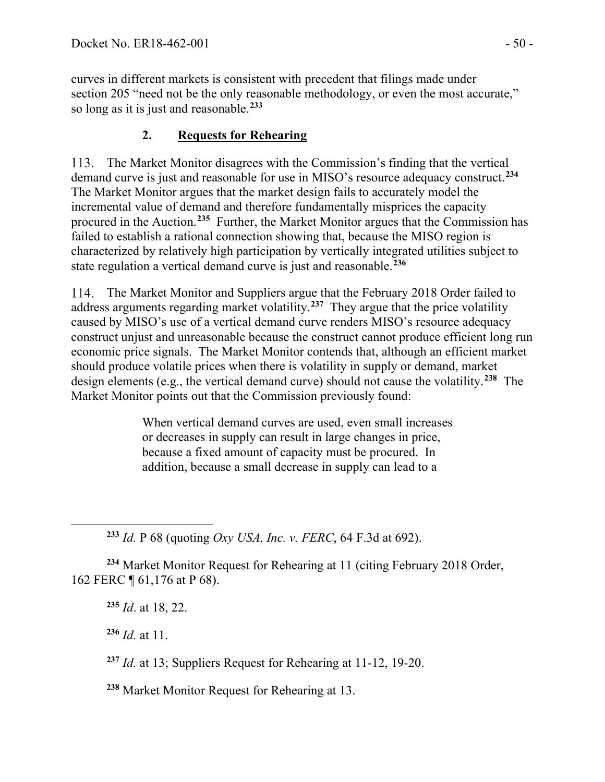curves in different markets is consistent with precedent that filings made under section 205 "need not be the only reasonable methodology, or even the most accurate," so long as it is just and reasonable.**[233](#page-49-0)**

# **2. Requests for Rehearing**

113. The Market Monitor disagrees with the Commission's finding that the vertical demand curve is just and reasonable for use in MISO's resource adequacy construct.**[234](#page-49-1)** The Market Monitor argues that the market design fails to accurately model the incremental value of demand and therefore fundamentally misprices the capacity procured in the Auction.**[235](#page-49-2)** Further, the Market Monitor argues that the Commission has failed to establish a rational connection showing that, because the MISO region is characterized by relatively high participation by vertically integrated utilities subject to state regulation a vertical demand curve is just and reasonable.**[236](#page-49-3)**

The Market Monitor and Suppliers argue that the February 2018 Order failed to address arguments regarding market volatility.**[237](#page-49-4)** They argue that the price volatility caused by MISO's use of a vertical demand curve renders MISO's resource adequacy construct unjust and unreasonable because the construct cannot produce efficient long run economic price signals. The Market Monitor contends that, although an efficient market should produce volatile prices when there is volatility in supply or demand, market design elements (e.g., the vertical demand curve) should not cause the volatility.**[238](#page-49-5)** The Market Monitor points out that the Commission previously found:

> When vertical demand curves are used, even small increases or decreases in supply can result in large changes in price, because a fixed amount of capacity must be procured. In addition, because a small decrease in supply can lead to a

**<sup>233</sup>** *Id.* P 68 (quoting *Oxy USA, Inc. v. FERC*, 64 F.3d at 692).

<span id="page-49-3"></span><span id="page-49-2"></span><span id="page-49-1"></span><span id="page-49-0"></span>**<sup>234</sup>** Market Monitor Request for Rehearing at 11 (citing February 2018 Order, 162 FERC ¶ 61,176 at P 68).

**<sup>235</sup>** *Id*. at 18, 22.

**<sup>236</sup>** *Id.* at 11.

<span id="page-49-4"></span>**<sup>237</sup>** *Id.* at 13; Suppliers Request for Rehearing at 11-12, 19-20.

<span id="page-49-5"></span>**<sup>238</sup>** Market Monitor Request for Rehearing at 13.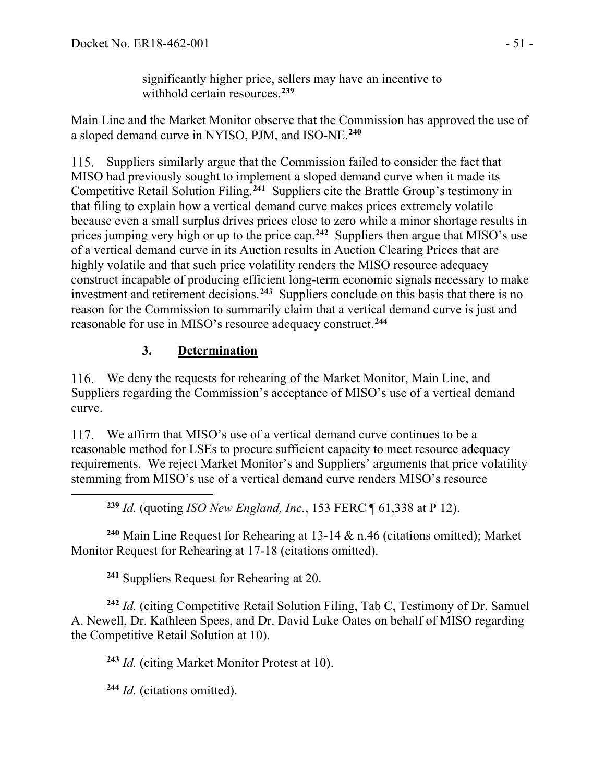significantly higher price, sellers may have an incentive to withhold certain resources.**[239](#page-50-0)**

Main Line and the Market Monitor observe that the Commission has approved the use of a sloped demand curve in NYISO, PJM, and ISO-NE.**[240](#page-50-1)**

115. Suppliers similarly argue that the Commission failed to consider the fact that MISO had previously sought to implement a sloped demand curve when it made its Competitive Retail Solution Filing.**[241](#page-50-2)** Suppliers cite the Brattle Group's testimony in that filing to explain how a vertical demand curve makes prices extremely volatile because even a small surplus drives prices close to zero while a minor shortage results in prices jumping very high or up to the price cap.**[242](#page-50-3)** Suppliers then argue that MISO's use of a vertical demand curve in its Auction results in Auction Clearing Prices that are highly volatile and that such price volatility renders the MISO resource adequacy construct incapable of producing efficient long-term economic signals necessary to make investment and retirement decisions.**[243](#page-50-4)** Suppliers conclude on this basis that there is no reason for the Commission to summarily claim that a vertical demand curve is just and reasonable for use in MISO's resource adequacy construct.**[244](#page-50-5)**

## **3. Determination**

We deny the requests for rehearing of the Market Monitor, Main Line, and Suppliers regarding the Commission's acceptance of MISO's use of a vertical demand curve.

We affirm that MISO's use of a vertical demand curve continues to be a reasonable method for LSEs to procure sufficient capacity to meet resource adequacy requirements. We reject Market Monitor's and Suppliers' arguments that price volatility stemming from MISO's use of a vertical demand curve renders MISO's resource

**<sup>239</sup>** *Id.* (quoting *ISO New England, Inc.*, 153 FERC ¶ 61,338 at P 12).

<span id="page-50-1"></span><span id="page-50-0"></span>**<sup>240</sup>** Main Line Request for Rehearing at 13-14 & n.46 (citations omitted); Market Monitor Request for Rehearing at 17-18 (citations omitted).

**<sup>241</sup>** Suppliers Request for Rehearing at 20.

<span id="page-50-4"></span><span id="page-50-3"></span><span id="page-50-2"></span>**<sup>242</sup>** *Id.* (citing Competitive Retail Solution Filing, Tab C, Testimony of Dr. Samuel A. Newell, Dr. Kathleen Spees, and Dr. David Luke Oates on behalf of MISO regarding the Competitive Retail Solution at 10).

**<sup>243</sup>** *Id.* (citing Market Monitor Protest at 10).

<span id="page-50-5"></span>**<sup>244</sup>** *Id.* (citations omitted).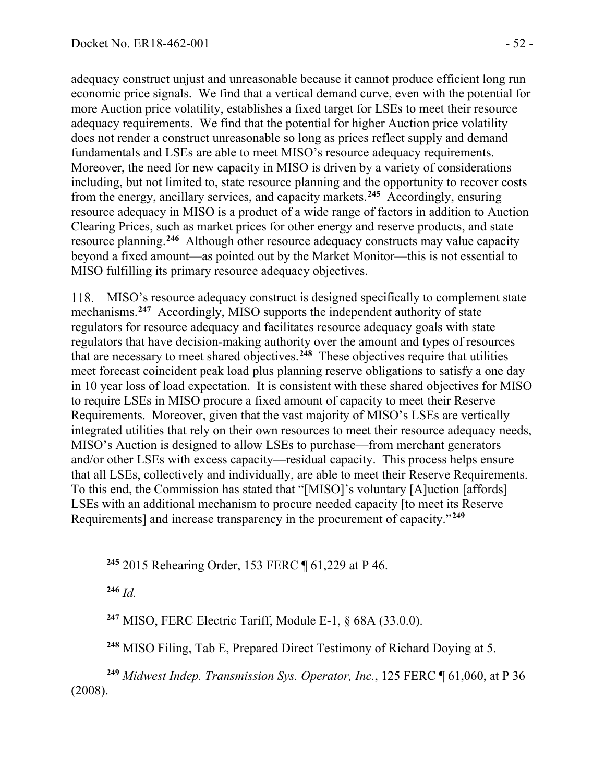adequacy construct unjust and unreasonable because it cannot produce efficient long run economic price signals. We find that a vertical demand curve, even with the potential for more Auction price volatility, establishes a fixed target for LSEs to meet their resource adequacy requirements. We find that the potential for higher Auction price volatility does not render a construct unreasonable so long as prices reflect supply and demand fundamentals and LSEs are able to meet MISO's resource adequacy requirements. Moreover, the need for new capacity in MISO is driven by a variety of considerations including, but not limited to, state resource planning and the opportunity to recover costs from the energy, ancillary services, and capacity markets.**[245](#page-51-0)** Accordingly, ensuring resource adequacy in MISO is a product of a wide range of factors in addition to Auction Clearing Prices, such as market prices for other energy and reserve products, and state resource planning.**[246](#page-51-1)** Although other resource adequacy constructs may value capacity beyond a fixed amount—as pointed out by the Market Monitor—this is not essential to MISO fulfilling its primary resource adequacy objectives.

MISO's resource adequacy construct is designed specifically to complement state 118. mechanisms.**[247](#page-51-2)** Accordingly, MISO supports the independent authority of state regulators for resource adequacy and facilitates resource adequacy goals with state regulators that have decision-making authority over the amount and types of resources that are necessary to meet shared objectives.**[248](#page-51-3)** These objectives require that utilities meet forecast coincident peak load plus planning reserve obligations to satisfy a one day in 10 year loss of load expectation. It is consistent with these shared objectives for MISO to require LSEs in MISO procure a fixed amount of capacity to meet their Reserve Requirements. Moreover, given that the vast majority of MISO's LSEs are vertically integrated utilities that rely on their own resources to meet their resource adequacy needs, MISO's Auction is designed to allow LSEs to purchase—from merchant generators and/or other LSEs with excess capacity—residual capacity. This process helps ensure that all LSEs, collectively and individually, are able to meet their Reserve Requirements. To this end, the Commission has stated that "[MISO]'s voluntary [A]uction [affords] LSEs with an additional mechanism to procure needed capacity [to meet its Reserve Requirements] and increase transparency in the procurement of capacity."**[249](#page-51-4)**

<span id="page-51-0"></span>**<sup>245</sup>** 2015 Rehearing Order, 153 FERC ¶ 61,229 at P 46.

<span id="page-51-1"></span>**<sup>246</sup>** *Id.*

**<sup>247</sup>** MISO, FERC Electric Tariff, Module E-1, § 68A (33.0.0).

**<sup>248</sup>** MISO Filing, Tab E, Prepared Direct Testimony of Richard Doying at 5.

<span id="page-51-4"></span><span id="page-51-3"></span><span id="page-51-2"></span>**<sup>249</sup>** *Midwest Indep. Transmission Sys. Operator, Inc.*, 125 FERC ¶ 61,060, at P 36 (2008).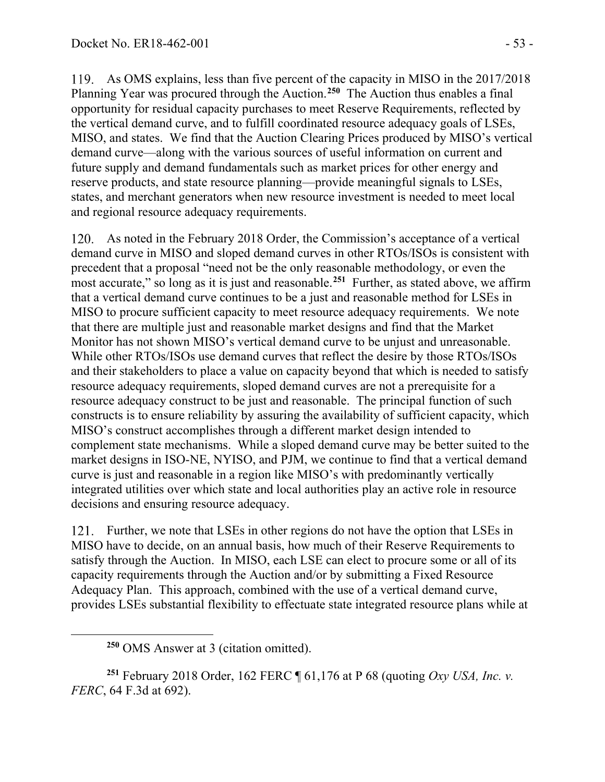As OMS explains, less than five percent of the capacity in MISO in the 2017/2018 Planning Year was procured through the Auction.**[250](#page-52-0)** The Auction thus enables a final opportunity for residual capacity purchases to meet Reserve Requirements, reflected by the vertical demand curve, and to fulfill coordinated resource adequacy goals of LSEs, MISO, and states. We find that the Auction Clearing Prices produced by MISO's vertical demand curve—along with the various sources of useful information on current and future supply and demand fundamentals such as market prices for other energy and reserve products, and state resource planning—provide meaningful signals to LSEs, states, and merchant generators when new resource investment is needed to meet local and regional resource adequacy requirements.

As noted in the February 2018 Order, the Commission's acceptance of a vertical demand curve in MISO and sloped demand curves in other RTOs/ISOs is consistent with precedent that a proposal "need not be the only reasonable methodology, or even the most accurate," so long as it is just and reasonable.**[251](#page-52-1)** Further, as stated above, we affirm that a vertical demand curve continues to be a just and reasonable method for LSEs in MISO to procure sufficient capacity to meet resource adequacy requirements. We note that there are multiple just and reasonable market designs and find that the Market Monitor has not shown MISO's vertical demand curve to be unjust and unreasonable. While other RTOs/ISOs use demand curves that reflect the desire by those RTOs/ISOs and their stakeholders to place a value on capacity beyond that which is needed to satisfy resource adequacy requirements, sloped demand curves are not a prerequisite for a resource adequacy construct to be just and reasonable. The principal function of such constructs is to ensure reliability by assuring the availability of sufficient capacity, which MISO's construct accomplishes through a different market design intended to complement state mechanisms. While a sloped demand curve may be better suited to the market designs in ISO-NE, NYISO, and PJM, we continue to find that a vertical demand curve is just and reasonable in a region like MISO's with predominantly vertically integrated utilities over which state and local authorities play an active role in resource decisions and ensuring resource adequacy.

121. Further, we note that LSEs in other regions do not have the option that LSEs in MISO have to decide, on an annual basis, how much of their Reserve Requirements to satisfy through the Auction. In MISO, each LSE can elect to procure some or all of its capacity requirements through the Auction and/or by submitting a Fixed Resource Adequacy Plan. This approach, combined with the use of a vertical demand curve, provides LSEs substantial flexibility to effectuate state integrated resource plans while at

<span id="page-52-1"></span><span id="page-52-0"></span>**<sup>251</sup>** February 2018 Order, 162 FERC ¶ 61,176 at P 68 (quoting *Oxy USA, Inc. v. FERC*, 64 F.3d at 692).

**<sup>250</sup>** OMS Answer at 3 (citation omitted).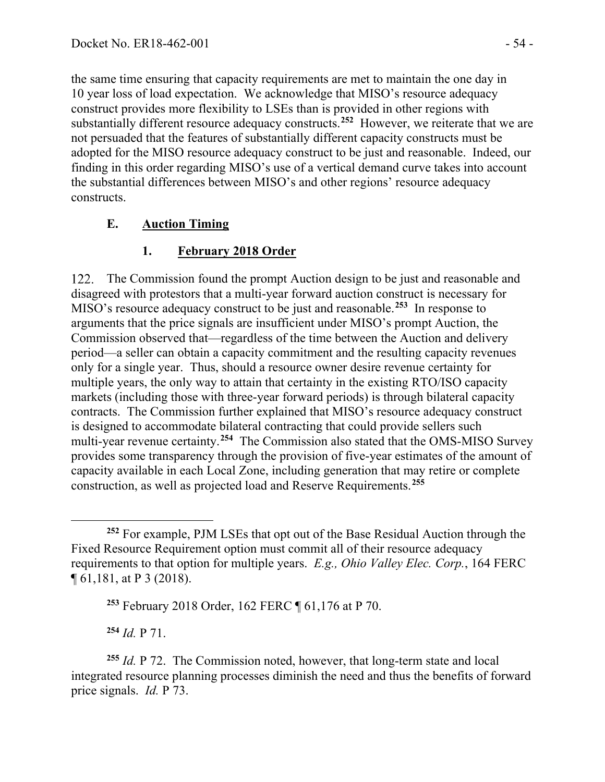the same time ensuring that capacity requirements are met to maintain the one day in 10 year loss of load expectation. We acknowledge that MISO's resource adequacy construct provides more flexibility to LSEs than is provided in other regions with substantially different resource adequacy constructs.**[252](#page-53-0)** However, we reiterate that we are not persuaded that the features of substantially different capacity constructs must be adopted for the MISO resource adequacy construct to be just and reasonable. Indeed, our finding in this order regarding MISO's use of a vertical demand curve takes into account the substantial differences between MISO's and other regions' resource adequacy constructs.

### **E. Auction Timing**

## **1. February 2018 Order**

122. The Commission found the prompt Auction design to be just and reasonable and disagreed with protestors that a multi-year forward auction construct is necessary for MISO's resource adequacy construct to be just and reasonable. **[253](#page-53-1)** In response to arguments that the price signals are insufficient under MISO's prompt Auction, the Commission observed that—regardless of the time between the Auction and delivery period—a seller can obtain a capacity commitment and the resulting capacity revenues only for a single year. Thus, should a resource owner desire revenue certainty for multiple years, the only way to attain that certainty in the existing RTO/ISO capacity markets (including those with three-year forward periods) is through bilateral capacity contracts. The Commission further explained that MISO's resource adequacy construct is designed to accommodate bilateral contracting that could provide sellers such multi-year revenue certainty. **[254](#page-53-2)** The Commission also stated that the OMS-MISO Survey provides some transparency through the provision of five-year estimates of the amount of capacity available in each Local Zone, including generation that may retire or complete construction, as well as projected load and Reserve Requirements.**[255](#page-53-3)**

**<sup>254</sup>** *Id.* P 71.

<span id="page-53-3"></span><span id="page-53-2"></span><span id="page-53-1"></span>**<sup>255</sup>** *Id.* P 72. The Commission noted, however, that long-term state and local integrated resource planning processes diminish the need and thus the benefits of forward price signals. *Id.* P 73.

<span id="page-53-0"></span>**<sup>252</sup>** For example, PJM LSEs that opt out of the Base Residual Auction through the Fixed Resource Requirement option must commit all of their resource adequacy requirements to that option for multiple years. *E.g., Ohio Valley Elec. Corp.*, 164 FERC ¶ 61,181, at P 3 (2018).

**<sup>253</sup>** February 2018 Order, 162 FERC ¶ 61,176 at P 70.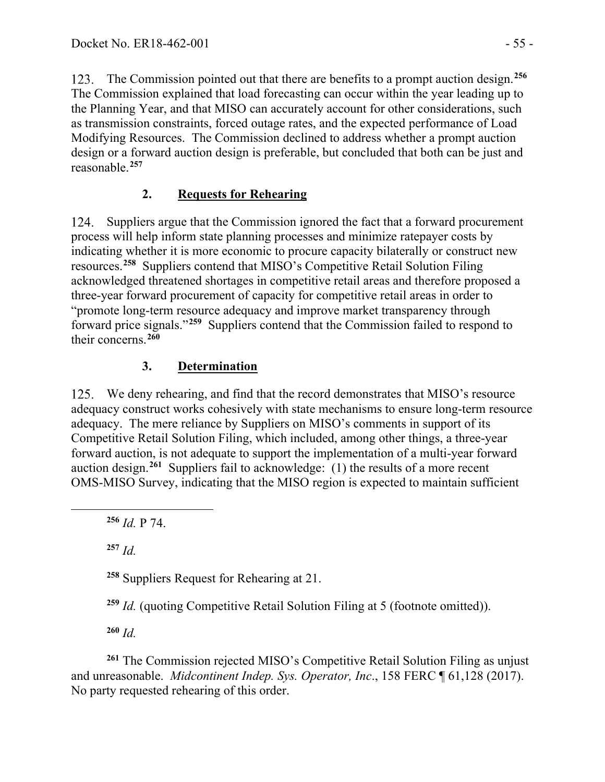The Commission pointed out that there are benefits to a prompt auction design.**[256](#page-54-0)** The Commission explained that load forecasting can occur within the year leading up to the Planning Year, and that MISO can accurately account for other considerations, such as transmission constraints, forced outage rates, and the expected performance of Load Modifying Resources. The Commission declined to address whether a prompt auction design or a forward auction design is preferable, but concluded that both can be just and reasonable.**[257](#page-54-1)**

### **2. Requests for Rehearing**

124. Suppliers argue that the Commission ignored the fact that a forward procurement process will help inform state planning processes and minimize ratepayer costs by indicating whether it is more economic to procure capacity bilaterally or construct new resources.**[258](#page-54-2)** Suppliers contend that MISO's Competitive Retail Solution Filing acknowledged threatened shortages in competitive retail areas and therefore proposed a three-year forward procurement of capacity for competitive retail areas in order to "promote long-term resource adequacy and improve market transparency through forward price signals."**[259](#page-54-3)** Suppliers contend that the Commission failed to respond to their concerns.**[260](#page-54-4)**

## **3. Determination**

We deny rehearing, and find that the record demonstrates that MISO's resource adequacy construct works cohesively with state mechanisms to ensure long-term resource adequacy. The mere reliance by Suppliers on MISO's comments in support of its Competitive Retail Solution Filing, which included, among other things, a three-year forward auction, is not adequate to support the implementation of a multi-year forward auction design.**[261](#page-54-5)** Suppliers fail to acknowledge: (1) the results of a more recent OMS-MISO Survey, indicating that the MISO region is expected to maintain sufficient

<span id="page-54-0"></span>**<sup>256</sup>** *Id.* P 74.

<span id="page-54-1"></span>**<sup>257</sup>** *Id.*

<span id="page-54-2"></span>**<sup>258</sup>** Suppliers Request for Rehearing at 21.

**<sup>259</sup>** *Id.* (quoting Competitive Retail Solution Filing at 5 (footnote omitted)).

**<sup>260</sup>** *Id.*

<span id="page-54-5"></span><span id="page-54-4"></span><span id="page-54-3"></span>**<sup>261</sup>** The Commission rejected MISO's Competitive Retail Solution Filing as unjust and unreasonable. *Midcontinent Indep. Sys. Operator, Inc*., 158 FERC ¶ 61,128 (2017). No party requested rehearing of this order.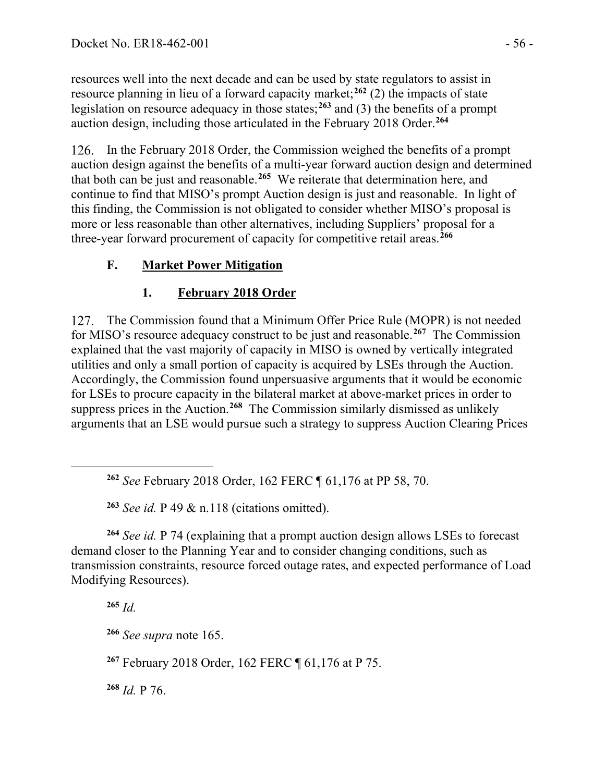resources well into the next decade and can be used by state regulators to assist in resource planning in lieu of a forward capacity market; **[262](#page-55-0)** (2) the impacts of state legislation on resource adequacy in those states;**[263](#page-55-1)** and (3) the benefits of a prompt auction design, including those articulated in the February 2018 Order.**[264](#page-55-2)**

126. In the February 2018 Order, the Commission weighed the benefits of a prompt auction design against the benefits of a multi-year forward auction design and determined that both can be just and reasonable.**[265](#page-55-3)** We reiterate that determination here, and continue to find that MISO's prompt Auction design is just and reasonable. In light of this finding, the Commission is not obligated to consider whether MISO's proposal is more or less reasonable than other alternatives, including Suppliers' proposal for a three-year forward procurement of capacity for competitive retail areas.**[266](#page-55-4)**

# **F. Market Power Mitigation**

# **1. February 2018 Order**

The Commission found that a Minimum Offer Price Rule (MOPR) is not needed 127. for MISO's resource adequacy construct to be just and reasonable.**[267](#page-55-5)** The Commission explained that the vast majority of capacity in MISO is owned by vertically integrated utilities and only a small portion of capacity is acquired by LSEs through the Auction. Accordingly, the Commission found unpersuasive arguments that it would be economic for LSEs to procure capacity in the bilateral market at above-market prices in order to suppress prices in the Auction.**[268](#page-55-6)** The Commission similarly dismissed as unlikely arguments that an LSE would pursue such a strategy to suppress Auction Clearing Prices

**<sup>263</sup>** *See id.* P 49 & n.118 (citations omitted).

<span id="page-55-3"></span><span id="page-55-2"></span><span id="page-55-1"></span><span id="page-55-0"></span>**<sup>264</sup>** *See id.* P 74 (explaining that a prompt auction design allows LSEs to forecast demand closer to the Planning Year and to consider changing conditions, such as transmission constraints, resource forced outage rates, and expected performance of Load Modifying Resources).

**<sup>265</sup>** *Id.*

<span id="page-55-4"></span>**<sup>266</sup>** *See supra* note 165.

<span id="page-55-5"></span>**<sup>267</sup>** February 2018 Order, 162 FERC ¶ 61,176 at P 75.

<span id="page-55-6"></span>**<sup>268</sup>** *Id.* P 76.

**<sup>262</sup>** *See* February 2018 Order, 162 FERC ¶ 61,176 at PP 58, 70.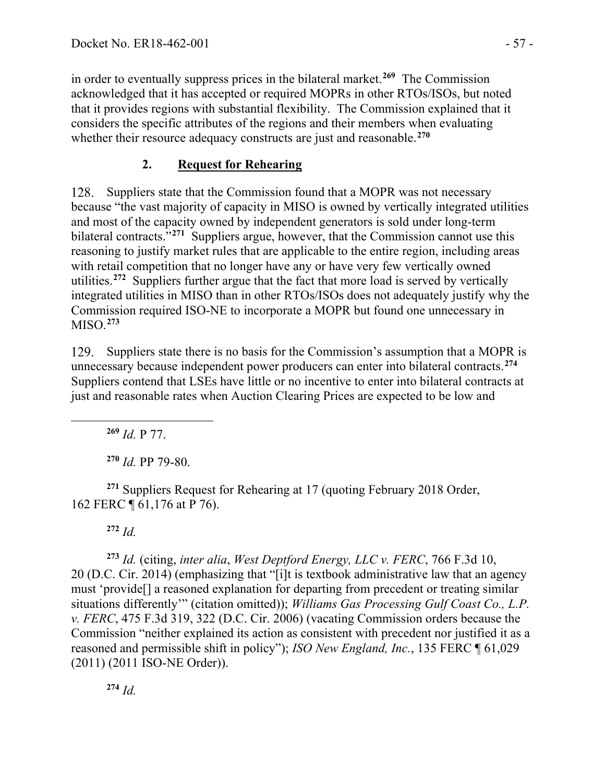in order to eventually suppress prices in the bilateral market.**[269](#page-56-0)** The Commission acknowledged that it has accepted or required MOPRs in other RTOs/ISOs, but noted that it provides regions with substantial flexibility. The Commission explained that it considers the specific attributes of the regions and their members when evaluating whether their resource adequacy constructs are just and reasonable.**[270](#page-56-1)**

# **2. Request for Rehearing**

Suppliers state that the Commission found that a MOPR was not necessary 128. because "the vast majority of capacity in MISO is owned by vertically integrated utilities and most of the capacity owned by independent generators is sold under long-term bilateral contracts.<sup>"[271](#page-56-2)</sup> Suppliers argue, however, that the Commission cannot use this reasoning to justify market rules that are applicable to the entire region, including areas with retail competition that no longer have any or have very few vertically owned utilities. **[272](#page-56-3)** Suppliers further argue that the fact that more load is served by vertically integrated utilities in MISO than in other RTOs/ISOs does not adequately justify why the Commission required ISO-NE to incorporate a MOPR but found one unnecessary in MISO.**[273](#page-56-4)**

Suppliers state there is no basis for the Commission's assumption that a MOPR is 129. unnecessary because independent power producers can enter into bilateral contracts. **[274](#page-56-5)** Suppliers contend that LSEs have little or no incentive to enter into bilateral contracts at just and reasonable rates when Auction Clearing Prices are expected to be low and

**<sup>269</sup>** *Id.* P 77.

**<sup>270</sup>** *Id.* PP 79-80.

<span id="page-56-2"></span><span id="page-56-1"></span><span id="page-56-0"></span>**<sup>271</sup>** Suppliers Request for Rehearing at 17 (quoting February 2018 Order, 162 FERC ¶ 61,176 at P 76).

**<sup>272</sup>** *Id.*

<span id="page-56-4"></span><span id="page-56-3"></span>**<sup>273</sup>** *Id.* (citing, *inter alia*, *West Deptford Energy, LLC v. FERC*, 766 F.3d 10, 20 (D.C. Cir. 2014) (emphasizing that "[i]t is textbook administrative law that an agency must 'provide[] a reasoned explanation for departing from precedent or treating similar situations differently'" (citation omitted)); *Williams Gas Processing Gulf Coast Co., L.P. v. FERC*, 475 F.3d 319, 322 (D.C. Cir. 2006) (vacating Commission orders because the Commission "neither explained its action as consistent with precedent nor justified it as a reasoned and permissible shift in policy"); *ISO New England, Inc.*, 135 FERC ¶ 61,029 (2011) (2011 ISO-NE Order)).

<span id="page-56-5"></span>**<sup>274</sup>** *Id.*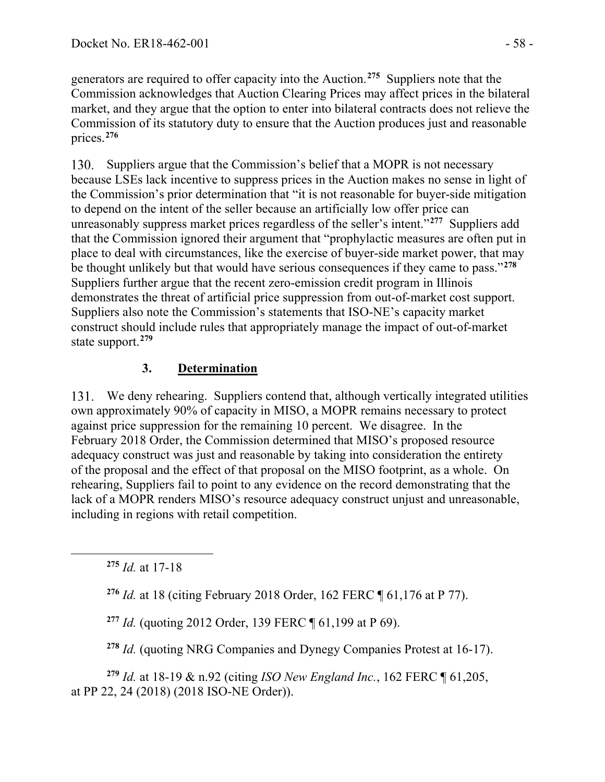generators are required to offer capacity into the Auction. **[275](#page-57-0)** Suppliers note that the Commission acknowledges that Auction Clearing Prices may affect prices in the bilateral market, and they argue that the option to enter into bilateral contracts does not relieve the Commission of its statutory duty to ensure that the Auction produces just and reasonable prices.**[276](#page-57-1)**

130. Suppliers argue that the Commission's belief that a MOPR is not necessary because LSEs lack incentive to suppress prices in the Auction makes no sense in light of the Commission's prior determination that "it is not reasonable for buyer-side mitigation to depend on the intent of the seller because an artificially low offer price can unreasonably suppress market prices regardless of the seller's intent."**[277](#page-57-2)** Suppliers add that the Commission ignored their argument that "prophylactic measures are often put in place to deal with circumstances, like the exercise of buyer-side market power, that may be thought unlikely but that would have serious consequences if they came to pass."**[278](#page-57-3)** Suppliers further argue that the recent zero-emission credit program in Illinois demonstrates the threat of artificial price suppression from out-of-market cost support. Suppliers also note the Commission's statements that ISO-NE's capacity market construct should include rules that appropriately manage the impact of out-of-market state support.**[279](#page-57-4)**

## **3. Determination**

We deny rehearing. Suppliers contend that, although vertically integrated utilities own approximately 90% of capacity in MISO, a MOPR remains necessary to protect against price suppression for the remaining 10 percent. We disagree. In the February 2018 Order, the Commission determined that MISO's proposed resource adequacy construct was just and reasonable by taking into consideration the entirety of the proposal and the effect of that proposal on the MISO footprint, as a whole. On rehearing, Suppliers fail to point to any evidence on the record demonstrating that the lack of a MOPR renders MISO's resource adequacy construct unjust and unreasonable, including in regions with retail competition.

<span id="page-57-0"></span>**<sup>275</sup>** *Id.* at 17-18

<span id="page-57-1"></span>**<sup>276</sup>** *Id.* at 18 (citing February 2018 Order, 162 FERC ¶ 61,176 at P 77).

**<sup>277</sup>** *Id.* (quoting 2012 Order, 139 FERC ¶ 61,199 at P 69).

**<sup>278</sup>** *Id.* (quoting NRG Companies and Dynegy Companies Protest at 16-17).

<span id="page-57-4"></span><span id="page-57-3"></span><span id="page-57-2"></span>**<sup>279</sup>** *Id.* at 18-19 & n.92 (citing *ISO New England Inc.*, 162 FERC ¶ 61,205, at PP 22, 24 (2018) (2018 ISO-NE Order)).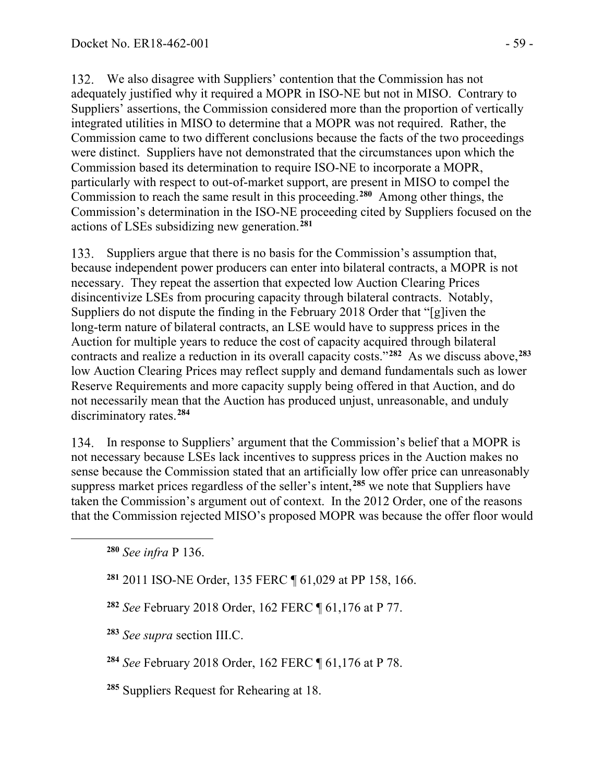We also disagree with Suppliers' contention that the Commission has not adequately justified why it required a MOPR in ISO-NE but not in MISO. Contrary to Suppliers' assertions, the Commission considered more than the proportion of vertically integrated utilities in MISO to determine that a MOPR was not required. Rather, the Commission came to two different conclusions because the facts of the two proceedings were distinct. Suppliers have not demonstrated that the circumstances upon which the Commission based its determination to require ISO-NE to incorporate a MOPR, particularly with respect to out-of-market support, are present in MISO to compel the Commission to reach the same result in this proceeding. **[280](#page-58-0)** Among other things, the Commission's determination in the ISO-NE proceeding cited by Suppliers focused on the actions of LSEs subsidizing new generation. **[281](#page-58-1)**

Suppliers argue that there is no basis for the Commission's assumption that, 133. because independent power producers can enter into bilateral contracts, a MOPR is not necessary. They repeat the assertion that expected low Auction Clearing Prices disincentivize LSEs from procuring capacity through bilateral contracts. Notably, Suppliers do not dispute the finding in the February 2018 Order that "[g]iven the long-term nature of bilateral contracts, an LSE would have to suppress prices in the Auction for multiple years to reduce the cost of capacity acquired through bilateral contracts and realize a reduction in its overall capacity costs."**[282](#page-58-2)** As we discuss above,**[283](#page-58-3)** low Auction Clearing Prices may reflect supply and demand fundamentals such as lower Reserve Requirements and more capacity supply being offered in that Auction, and do not necessarily mean that the Auction has produced unjust, unreasonable, and unduly discriminatory rates.**[284](#page-58-4)**

In response to Suppliers' argument that the Commission's belief that a MOPR is not necessary because LSEs lack incentives to suppress prices in the Auction makes no sense because the Commission stated that an artificially low offer price can unreasonably suppress market prices regardless of the seller's intent,**[285](#page-58-5)** we note that Suppliers have taken the Commission's argument out of context. In the 2012 Order, one of the reasons that the Commission rejected MISO's proposed MOPR was because the offer floor would

<span id="page-58-0"></span>**<sup>280</sup>** *See infra* P 136.

<span id="page-58-1"></span>**<sup>281</sup>** 2011 ISO-NE Order, 135 FERC ¶ 61,029 at PP 158, 166.

<span id="page-58-2"></span>**<sup>282</sup>** *See* February 2018 Order, 162 FERC ¶ 61,176 at P 77.

<span id="page-58-3"></span>**<sup>283</sup>** *See supra* section III.C.

<span id="page-58-4"></span>**<sup>284</sup>** *See* February 2018 Order, 162 FERC ¶ 61,176 at P 78.

<span id="page-58-5"></span>**<sup>285</sup>** Suppliers Request for Rehearing at 18.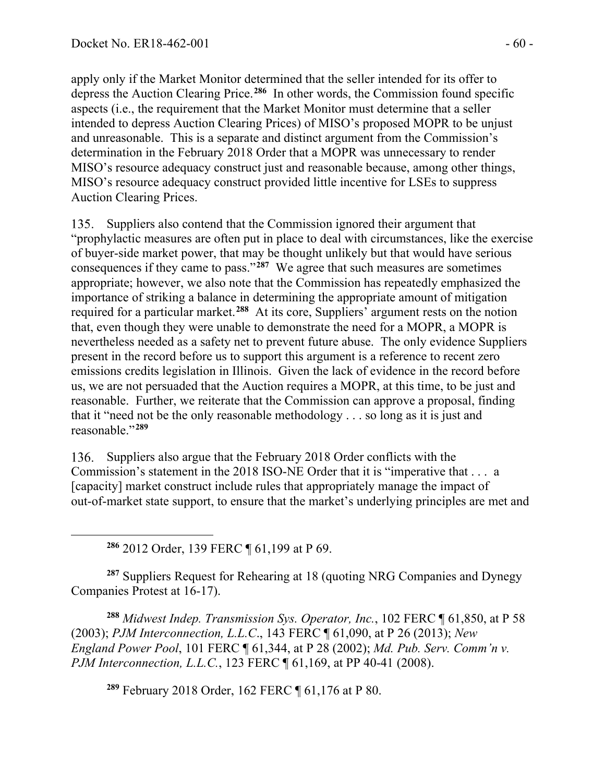apply only if the Market Monitor determined that the seller intended for its offer to depress the Auction Clearing Price.**[286](#page-59-0)** In other words, the Commission found specific aspects (i.e., the requirement that the Market Monitor must determine that a seller intended to depress Auction Clearing Prices) of MISO's proposed MOPR to be unjust and unreasonable. This is a separate and distinct argument from the Commission's determination in the February 2018 Order that a MOPR was unnecessary to render MISO's resource adequacy construct just and reasonable because, among other things, MISO's resource adequacy construct provided little incentive for LSEs to suppress Auction Clearing Prices.

135. Suppliers also contend that the Commission ignored their argument that "prophylactic measures are often put in place to deal with circumstances, like the exercise of buyer-side market power, that may be thought unlikely but that would have serious consequences if they came to pass."**[287](#page-59-1)** We agree that such measures are sometimes appropriate; however, we also note that the Commission has repeatedly emphasized the importance of striking a balance in determining the appropriate amount of mitigation required for a particular market.**[288](#page-59-2)** At its core, Suppliers' argument rests on the notion that, even though they were unable to demonstrate the need for a MOPR, a MOPR is nevertheless needed as a safety net to prevent future abuse. The only evidence Suppliers present in the record before us to support this argument is a reference to recent zero emissions credits legislation in Illinois. Given the lack of evidence in the record before us, we are not persuaded that the Auction requires a MOPR, at this time, to be just and reasonable. Further, we reiterate that the Commission can approve a proposal, finding that it "need not be the only reasonable methodology . . . so long as it is just and reasonable."**[289](#page-59-3)**

136. Suppliers also argue that the February 2018 Order conflicts with the Commission's statement in the 2018 ISO-NE Order that it is "imperative that . . . a [capacity] market construct include rules that appropriately manage the impact of out-of-market state support, to ensure that the market's underlying principles are met and

**<sup>286</sup>** 2012 Order, 139 FERC ¶ 61,199 at P 69.

<span id="page-59-1"></span><span id="page-59-0"></span>**<sup>287</sup>** Suppliers Request for Rehearing at 18 (quoting NRG Companies and Dynegy Companies Protest at 16-17).

<span id="page-59-3"></span><span id="page-59-2"></span>**<sup>288</sup>** *Midwest Indep. Transmission Sys. Operator, Inc.*, 102 FERC ¶ 61,850, at P 58 (2003); *PJM Interconnection, L.L.C*., 143 FERC ¶ 61,090, at P 26 (2013); *New England Power Pool*, 101 FERC ¶ 61,344, at P 28 (2002); *Md. Pub. Serv. Comm'n v. PJM Interconnection, L.L.C.*, 123 FERC ¶ 61,169, at PP 40-41 (2008).

**<sup>289</sup>** February 2018 Order, 162 FERC ¶ 61,176 at P 80.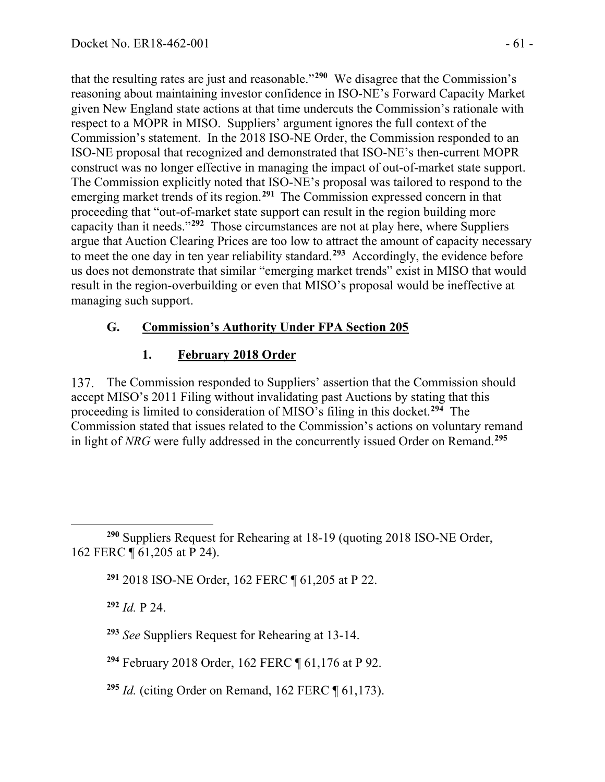that the resulting rates are just and reasonable."**[290](#page-60-0)** We disagree that the Commission's reasoning about maintaining investor confidence in ISO-NE's Forward Capacity Market given New England state actions at that time undercuts the Commission's rationale with respect to a MOPR in MISO. Suppliers' argument ignores the full context of the Commission's statement. In the 2018 ISO-NE Order, the Commission responded to an ISO-NE proposal that recognized and demonstrated that ISO-NE's then-current MOPR construct was no longer effective in managing the impact of out-of-market state support. The Commission explicitly noted that ISO-NE's proposal was tailored to respond to the emerging market trends of its region. **[291](#page-60-1)** The Commission expressed concern in that proceeding that "out-of-market state support can result in the region building more capacity than it needs."**[292](#page-60-2)** Those circumstances are not at play here, where Suppliers argue that Auction Clearing Prices are too low to attract the amount of capacity necessary to meet the one day in ten year reliability standard.**[293](#page-60-3)** Accordingly, the evidence before us does not demonstrate that similar "emerging market trends" exist in MISO that would result in the region-overbuilding or even that MISO's proposal would be ineffective at managing such support.

### **G. Commission's Authority Under FPA Section 205**

#### **1. February 2018 Order**

137. The Commission responded to Suppliers' assertion that the Commission should accept MISO's 2011 Filing without invalidating past Auctions by stating that this proceeding is limited to consideration of MISO's filing in this docket.**[294](#page-60-4)** The Commission stated that issues related to the Commission's actions on voluntary remand in light of *NRG* were fully addressed in the concurrently issued Order on Remand. **[295](#page-60-5)**

**<sup>292</sup>** *Id.* P 24.

<span id="page-60-2"></span><span id="page-60-1"></span><span id="page-60-0"></span>**<sup>290</sup>** Suppliers Request for Rehearing at 18-19 (quoting 2018 ISO-NE Order, 162 FERC ¶ 61,205 at P 24).

**<sup>291</sup>** 2018 ISO-NE Order, 162 FERC ¶ 61,205 at P 22.

<span id="page-60-3"></span>**<sup>293</sup>** *See* Suppliers Request for Rehearing at 13-14.

<span id="page-60-4"></span>**<sup>294</sup>** February 2018 Order, 162 FERC ¶ 61,176 at P 92.

<span id="page-60-5"></span>**<sup>295</sup>** *Id.* (citing Order on Remand, 162 FERC ¶ 61,173).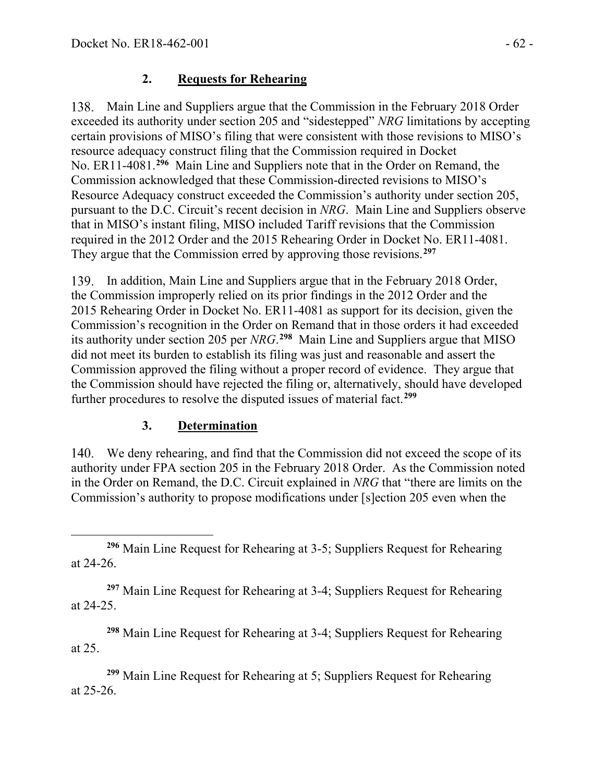### **2. Requests for Rehearing**

Main Line and Suppliers argue that the Commission in the February 2018 Order exceeded its authority under section 205 and "sidestepped" *NRG* limitations by accepting certain provisions of MISO's filing that were consistent with those revisions to MISO's resource adequacy construct filing that the Commission required in Docket No. ER11-4081.**[296](#page-61-0)** Main Line and Suppliers note that in the Order on Remand, the Commission acknowledged that these Commission-directed revisions to MISO's Resource Adequacy construct exceeded the Commission's authority under section 205, pursuant to the D.C. Circuit's recent decision in *NRG*. Main Line and Suppliers observe that in MISO's instant filing, MISO included Tariff revisions that the Commission required in the 2012 Order and the 2015 Rehearing Order in Docket No. ER11-4081. They argue that the Commission erred by approving those revisions.**[297](#page-61-1)**

139. In addition, Main Line and Suppliers argue that in the February 2018 Order, the Commission improperly relied on its prior findings in the 2012 Order and the 2015 Rehearing Order in Docket No. ER11-4081 as support for its decision, given the Commission's recognition in the Order on Remand that in those orders it had exceeded its authority under section 205 per *NRG*. **[298](#page-61-2)** Main Line and Suppliers argue that MISO did not meet its burden to establish its filing was just and reasonable and assert the Commission approved the filing without a proper record of evidence. They argue that the Commission should have rejected the filing or, alternatively, should have developed further procedures to resolve the disputed issues of material fact.**[299](#page-61-3)**

## **3. Determination**

We deny rehearing, and find that the Commission did not exceed the scope of its authority under FPA section 205 in the February 2018 Order. As the Commission noted in the Order on Remand, the D.C. Circuit explained in *NRG* that "there are limits on the Commission's authority to propose modifications under [s]ection 205 even when the

<span id="page-61-1"></span>**<sup>297</sup>** Main Line Request for Rehearing at 3-4; Suppliers Request for Rehearing at 24-25.

<span id="page-61-2"></span>**<sup>298</sup>** Main Line Request for Rehearing at 3-4; Suppliers Request for Rehearing at 25.

<span id="page-61-3"></span>**<sup>299</sup>** Main Line Request for Rehearing at 5; Suppliers Request for Rehearing at 25-26.

<span id="page-61-0"></span>**<sup>296</sup>** Main Line Request for Rehearing at 3-5; Suppliers Request for Rehearing at 24-26.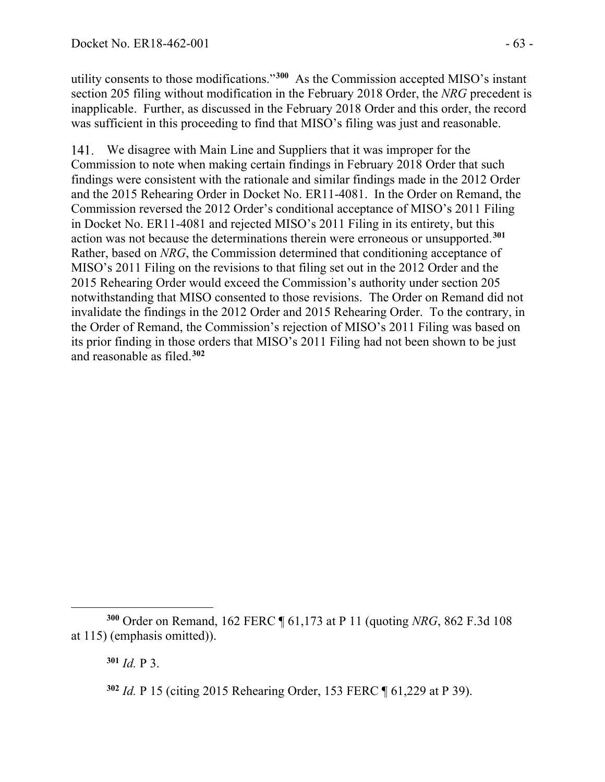utility consents to those modifications."**[300](#page-62-0)** As the Commission accepted MISO's instant section 205 filing without modification in the February 2018 Order, the *NRG* precedent is inapplicable. Further, as discussed in the February 2018 Order and this order, the record was sufficient in this proceeding to find that MISO's filing was just and reasonable.

We disagree with Main Line and Suppliers that it was improper for the Commission to note when making certain findings in February 2018 Order that such findings were consistent with the rationale and similar findings made in the 2012 Order and the 2015 Rehearing Order in Docket No. ER11-4081. In the Order on Remand, the Commission reversed the 2012 Order's conditional acceptance of MISO's 2011 Filing in Docket No. ER11-4081 and rejected MISO's 2011 Filing in its entirety, but this action was not because the determinations therein were erroneous or unsupported. **[301](#page-62-1)** Rather, based on *NRG*, the Commission determined that conditioning acceptance of MISO's 2011 Filing on the revisions to that filing set out in the 2012 Order and the 2015 Rehearing Order would exceed the Commission's authority under section 205 notwithstanding that MISO consented to those revisions. The Order on Remand did not invalidate the findings in the 2012 Order and 2015 Rehearing Order. To the contrary, in the Order of Remand, the Commission's rejection of MISO's 2011 Filing was based on its prior finding in those orders that MISO's 2011 Filing had not been shown to be just and reasonable as filed.**[302](#page-62-2)**

**<sup>301</sup>** *Id.* P 3.

<span id="page-62-2"></span><span id="page-62-1"></span><span id="page-62-0"></span>**<sup>300</sup>** Order on Remand, 162 FERC ¶ 61,173 at P 11 (quoting *NRG*, 862 F.3d 108 at 115) (emphasis omitted)).

**<sup>302</sup>** *Id.* P 15 (citing 2015 Rehearing Order, 153 FERC ¶ 61,229 at P 39).